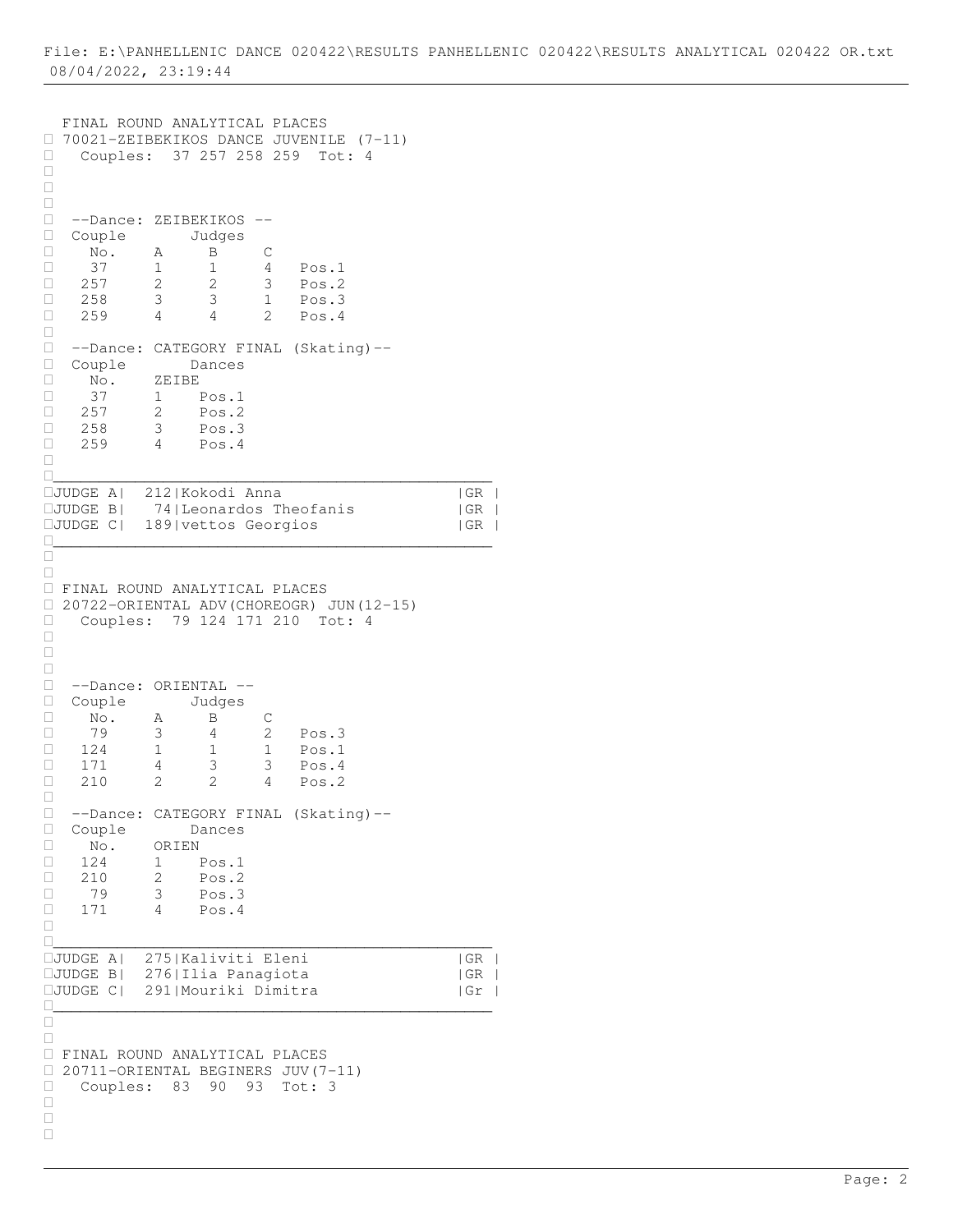```
 FINAL ROUND ANALYTICAL PLACES 
\Box 70021-ZEIBEKIKOS DANCE JUVENILE (7-11)<br>\Box Couples: 37 257 258 259 Tot: 4
     Couples: 37 257 258 259 Tot: 4
\Box\Box\Box --Dance: ZEIBEKIKOS --
 Couple Judges
 No. A B C
□ 37 1 1 4 Pos.1<br>□ 257 2 2 3 Pos.2
□ 257 2 2 3 Pos.2<br>□ 258 3 3 1 Pos.3
     258 3 3 1 Pos.3
 259 4 4 2 Pos.4
\Box --Dance: CATEGORY FINAL (Skating)--
 Couple Dances
 No. ZEIBE
 37 1 Pos.1
\Box 257 2 Pos.2
 258 3 Pos.3
\Box 259 4 Pos.4
\Box________________________________________________
JUDGE A| 212|Kokodi Anna |GR |
            74| Leonardos Theofanis | GR |
JUDGE C| 189|vettos Georgios |GR |
________________________________________________
\frac{\Box}{\Box}\Box FINAL ROUND ANALYTICAL PLACES 
 20722-ORIENTAL ADV(CHOREOGR) JUN(12-15) 
Couples: 79 124 171 210 Tot: 4
\Box\Box\Box□ --Dance: ORIENTAL --<br>□ Couple Judges
\Box Couple<br>\Box No. A
   No. A B C<br>79 3 4 2
□ 79 3 4 2 Pos.3<br>□ 124 1 1 1 Pos.1
□ 124 1 1 1 Pos.1<br>□ 171 4 3 3 Pos.4
\Box 171 4 3 3 Pos.4<br>\Box 210 2 2 4 Pos.2
            2 2 4 Pos.2
\Box□ --Dance: CATEGORY FINAL (Skating)--<br>□ Couple Dances
D Couple<br>D No. ORI
             ORIEN
\begin{array}{cccc} \Box & 124 & 1 & \text{Pos.1} \\ \Box & 210 & 2 & \text{Pos.2} \end{array}□ 210 2 Pos.2<br>□ 79 3 Pos.3
\begin{array}{cccc} \Box & 79 & 3 & \text{Pos.3} \\ \Box & 171 & 4 & \text{Pos.4} \end{array}4 Pos.4
\Box________________________________________________
D<br>DJUDGE A| 275|Kaliviti Eleni | |GR |<br>DJUDGE B| 276|Ilia Panagiota | |GR |
JUDGE B| 276|Ilia Panagiota |GR |
JUDGE C| 291|Mouriki Dimitra |Gr |
________________________________________________
\Box\Box FINAL ROUND ANALYTICAL PLACES 
\Box 20711-ORIENTAL BEGINERS JUV(7-11)<br>\Box Couples: 83 90 93 Tot: 3
    Couples: 83 90 93 Tot: 3
\Box\Box\Box
```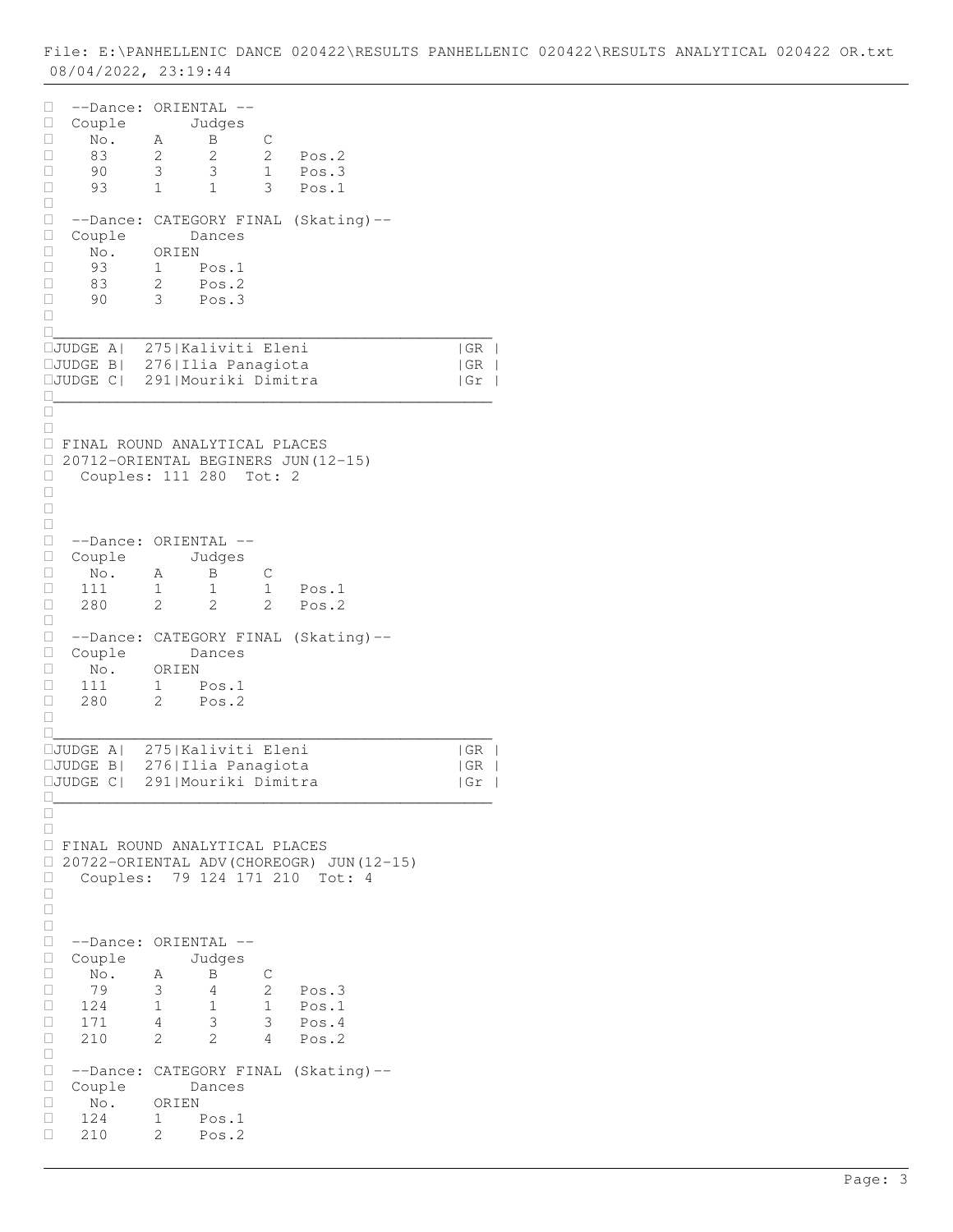| □<br>Ц<br>□<br>□<br>□<br>□<br>□           | --Dance:<br>Couple<br>No.<br>83<br>90<br>93                                              | ORIENTAL --<br>Α<br>2<br>$\mathsf 3$<br>1            | Judges<br>B<br>2<br>$\mathsf 3$<br>1                                 | $\mathsf C$<br>2<br>$\mathbf 1$<br>3         | Pos.2<br>Pos.3<br>Pos.1                             |                                                                            |
|-------------------------------------------|------------------------------------------------------------------------------------------|------------------------------------------------------|----------------------------------------------------------------------|----------------------------------------------|-----------------------------------------------------|----------------------------------------------------------------------------|
| □<br>□<br>$\Box$<br>□<br>□<br>□<br>П      | $--Dance:$<br>Couple<br>No.<br>93<br>83<br>90                                            | ORIEN<br>$1 \quad \blacksquare$<br>$\mathbf{2}$<br>3 | Dances<br>Pos.1<br>Pos.2<br>Pos.3                                    |                                              | CATEGORY FINAL (Skating)--                          |                                                                            |
| Ш                                         | □JUDGE A <br>□JUDGE B <br>$\Box\mathtt{JUDGE}$ C                                         |                                                      | 275   Kaliviti Eleni<br>276  Ilia Panagiota<br>291   Mouriki Dimitra |                                              |                                                     | GR<br>$\mid$ GR<br>$\mathbb{R}$<br> Gr<br>$\overline{\phantom{a}}$         |
| П<br>□<br>$\Box$<br>Ц<br>□<br>□           | FINAL ROUND ANALYTICAL PLACES<br>20712-ORIENTAL BEGINERS JUN (12-15)<br>Couples: 111 280 |                                                      |                                                                      | Tot: 2                                       |                                                     |                                                                            |
| □<br>$\Box$<br>□<br>$\Box$<br>□<br>□<br>□ | --Dance: ORIENTAL --<br>Couple<br>No.<br>111<br>280                                      | Α<br>1<br>2                                          | Judges<br>Β<br>1<br>2                                                | С<br>$\mathbf 1$<br>2                        | Pos.1<br>Pos.2                                      |                                                                            |
| □<br>$\Box$<br>□<br>□<br>□<br>П           | --Dance:<br>Couple<br>No.<br>111<br>280                                                  | ORIEN<br>1<br>2                                      | Dances<br>Pos.1<br>Pos.2                                             |                                              | CATEGORY FINAL (Skating)--                          |                                                                            |
|                                           | $\Box$ JUDGE A <br>$\Box$ JUDGE B <br>$\Box$ JUDGE C                                     |                                                      | 275   Kaliviti Eleni<br>276  Ilia Panagiota<br>291 Mouriki Dimitra   |                                              |                                                     | GR <br>$\overline{\phantom{a}}$<br> GR<br>  Gr<br>$\overline{\phantom{a}}$ |
| □<br>Ш<br>Ц<br>□<br>O                     | FINAL ROUND ANALYTICAL PLACES<br>Couples:                                                |                                                      | 79 124 171 210                                                       |                                              | 20722-ORIENTAL ADV (CHOREOGR) JUN (12-15)<br>Tot: 4 |                                                                            |
| □<br>□<br>□<br>□<br>□<br>П<br>П<br>□      | --Dance: ORIENTAL --<br>Couple<br>No.<br>79<br>124<br>171<br>210                         | Α<br>3<br>$\mathbf{1}$<br>4<br>$\mathcal{L}$         | Judges<br>B<br>4<br>1<br>3<br>$\mathcal{L}$                          | С<br>$\overline{2}$<br>$\mathbf 1$<br>3<br>4 | Pos.3<br>Pos.1<br>Pos.4<br>Pos.2                    |                                                                            |
| П<br>□<br>□<br>□<br>П<br>п                | --Dance:<br>Couple<br>No.<br>124<br>210                                                  | ORIEN<br>1<br>2                                      | Dances<br>Pos.1<br>Pos.2                                             |                                              | CATEGORY FINAL (Skating)--                          |                                                                            |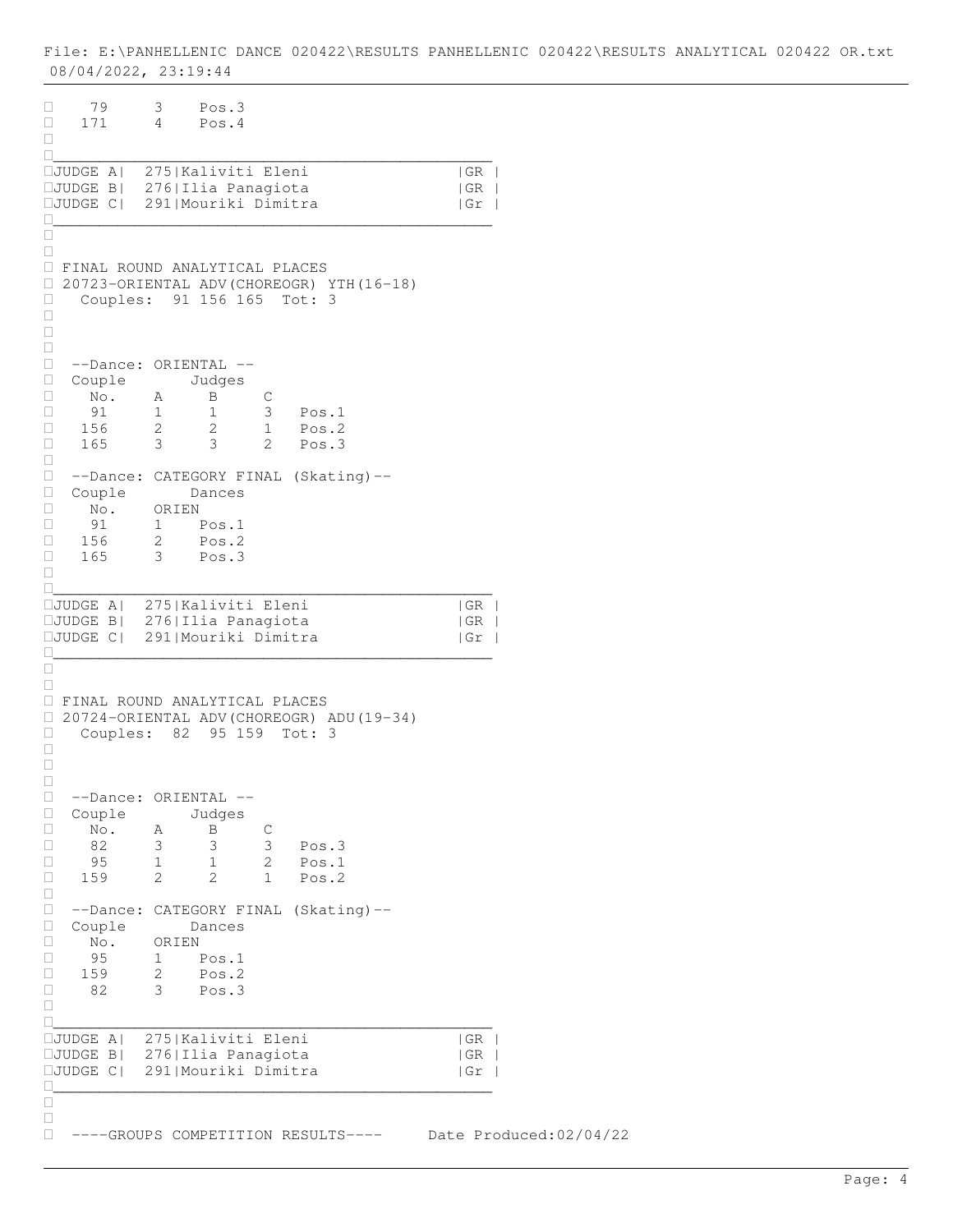| 79<br>3<br>Pos.3<br>0<br>$\overline{4}$<br>Pos.4<br>$\Box$<br>171<br>П.<br>H                                                                                                                                                                                                  |                     |                        |
|-------------------------------------------------------------------------------------------------------------------------------------------------------------------------------------------------------------------------------------------------------------------------------|---------------------|------------------------|
| 275   Kaliviti Eleni<br>□JUDGE A <br><b>CJUDGE B</b>   276   Ilia Panagiota<br>291   Mouriki Dimitra<br>$\square$ JUDGE $C$                                                                                                                                                   | GR <br> GR <br>  Gr |                        |
| П<br>П<br><b>I FINAL ROUND ANALYTICAL PLACES</b><br>20723-ORIENTAL ADV (CHOREOGR) YTH (16-18)<br>0<br>Couples: 91 156 165 Tot: 3<br>$\Box$<br>$\Box$<br>O                                                                                                                     |                     |                        |
| O<br>П<br>--Dance: ORIENTAL --<br>$\Box$<br>Couple<br>Judges<br>No.<br>$\Box$<br>B<br>$\mathsf C$<br>А<br>91<br>$\mathbf{1}$<br>3<br>1<br>Pos.1<br>П<br>156<br>$\overline{2}$<br>2<br>$\Box$<br>1<br>Pos.2<br>3<br>165<br>$\mathcal{S}$<br>2<br>Pos.3<br>$\Box$               |                     |                        |
| 0<br>0<br>--Dance: CATEGORY FINAL (Skating)--<br>0<br>Couple<br>Dances<br>No.<br>0<br>ORIEN<br>91<br>O<br>1 Pos.1<br>$\overline{2}$<br>П.<br>156<br>Pos.2<br>$3^{\circ}$<br>Pos.3<br>165<br>П<br>П                                                                            |                     |                        |
| <b>IJUDGE A</b>   275   Kaliviti Eleni<br><b>IJUDGE B</b>   276   Ilia Panagiota<br>291   Mouriki Dimitra<br>$\square$ JUDGE C $\mid$<br>$\mathbf{L}$                                                                                                                         | GR <br> GR <br>  Gr |                        |
| $\mathbf{L}$<br>П<br>FINAL ROUND ANALYTICAL PLACES<br>20724-ORIENTAL ADV (CHOREOGR) ADU (19-34)<br>$\Box$<br>Couples:<br>95 159<br>0<br>82<br>Tot: 3<br>$\Box$<br>$\Box$                                                                                                      |                     |                        |
| □<br>--Dance: ORIENTAL --<br>□<br>Couple<br>Judges<br>Ш<br>$\Box$<br>No.<br>$\mathsf C$<br>B<br>Α<br>3<br>82<br>3<br>3<br>Pos.3<br>O<br>$\overline{c}$<br>95<br>$\mathbf 1$<br>$\mathbf{1}$<br>$\Box$<br>Pos.1<br>$\mathbf{2}$<br>2<br>$\mathbf{1}$<br>$\Box$<br>159<br>Pos.2 |                     |                        |
| $\Box$<br>$\Box$<br>--Dance: CATEGORY FINAL (Skating)--<br>$\Box$<br>Couple<br>Dances<br>$\Box$<br>No.<br>ORIEN<br>95<br>Pos.1<br>O<br>1<br>159<br>2<br>$\Box$<br>Pos.2<br>3<br>□<br>82<br>Pos.3<br>O                                                                         |                     |                        |
| П<br>275   Kaliviti Eleni<br>$\Box$ JUDGE A <br>$\Box$ JUDGE B <br>276  Ilia Panagiota<br>291   Mouriki Dimitra<br>$\Box$ JUDGE $C$                                                                                                                                           | GR <br> GR <br>  Gr |                        |
| п<br>П<br>0<br>----GROUPS COMPETITION RESULTS----                                                                                                                                                                                                                             |                     | Date Produced:02/04/22 |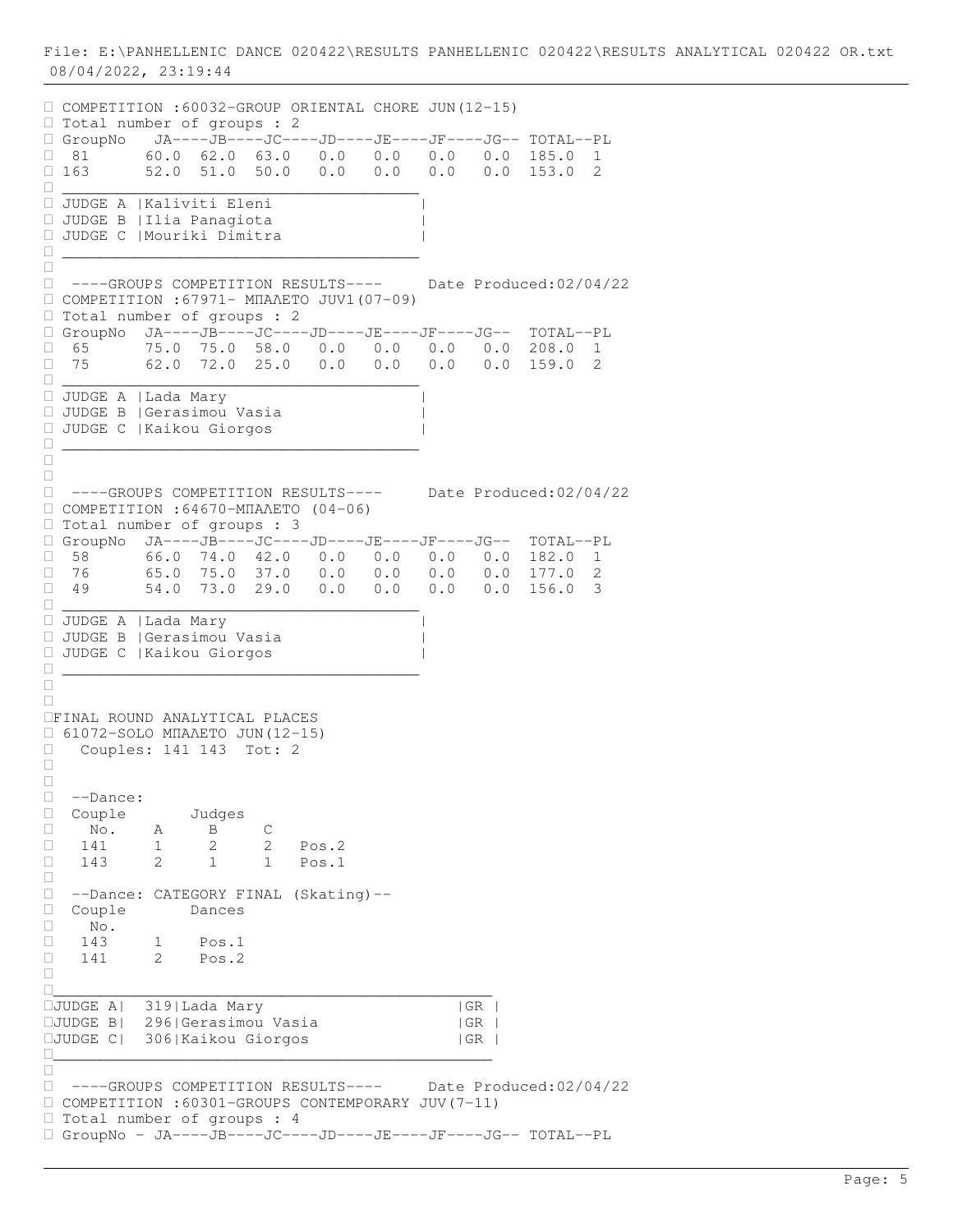COMPETITION :60032-GROUP ORIENTAL CHORE JUN(12-15) □ Total number of groups : 2 GroupNo JA----JB----JC----JD----JE----JF----JG-- TOTAL--PL  $\Box$  81 60.0 62.0 63.0 0.0 0.0 0.0 0.0 185.0 1  $\Box$  163 52.0 51.0 50.0 0.0 0.0 0.0 0.0 0.0 153.0 2 \_\_\_\_\_\_\_\_\_\_\_\_\_\_\_\_\_\_\_\_\_\_\_\_\_\_\_\_\_\_\_\_\_\_\_\_\_\_\_ JUDGE A |Kaliviti Eleni | JUDGE B |Ilia Panagiota | JUDGE C |Mouriki Dimitra | \_\_\_\_\_\_\_\_\_\_\_\_\_\_\_\_\_\_\_\_\_\_\_\_\_\_\_\_\_\_\_\_\_\_\_\_\_\_\_  $\Box$  ----GROUPS COMPETITION RESULTS---- Date Produced:02/04/22 COMPETITION :67971- ΜΠΑΛΕΤΟ JUV1(07-09) □ Total number of groups : 2 GroupNo JA----JB----JC----JD----JE----JF----JG-- TOTAL--PL  $\Box$  65 75.0 75.0 58.0 0.0 0.0 0.0 0.0 208.0 1<br> $\Box$  75 62.0 72.0 25.0 0.0 0.0 0.0 0.0 159.0 2 75 62.0 72.0 25.0 0.0 0.0 0.0 0.0 159.0 2 \_\_\_\_\_\_\_\_\_\_\_\_\_\_\_\_\_\_\_\_\_\_\_\_\_\_\_\_\_\_\_\_\_\_\_\_\_\_\_ JUDGE A |Lada Mary | JUDGE B |Gerasimou Vasia | JUDGE C |Kaikou Giorgos | \_\_\_\_\_\_\_\_\_\_\_\_\_\_\_\_\_\_\_\_\_\_\_\_\_\_\_\_\_\_\_\_\_\_\_\_\_\_\_  $\Box$  $\Box$  ----GROUPS COMPETITION RESULTS---- Date Produced:02/04/22  $\Box$  COMPETITION :64670-ΜΠΑΛΕΤΟ (04-06)  $\Box$  Total number of groups : 3 GroupNo JA----JB----JC----JD----JE----JF----JG-- TOTAL--PL  $\Box$  58 66.0 74.0 42.0 0.0 0.0 0.0 0.0 182.0 1<br> $\Box$  76 65.0 75.0 37.0 0.0 0.0 0.0 0.0 177.0 2  $\Box$  76 65.0 75.0 37.0 0.0 0.0 0.0 0.0 177.0 2<br>  $\Box$  79 54.0 73.0 29.0 0.0 0.0 0.0 0.0 156.0 3 49 54.0 73.0 29.0 0.0 0.0 0.0 0.0 156.0 3 \_\_\_\_\_\_\_\_\_\_\_\_\_\_\_\_\_\_\_\_\_\_\_\_\_\_\_\_\_\_\_\_\_\_\_\_\_\_\_ JUDGE A |Lada Mary | JUDGE B |Gerasimou Vasia | JUDGE C |Kaikou Giorgos | \_\_\_\_\_\_\_\_\_\_\_\_\_\_\_\_\_\_\_\_\_\_\_\_\_\_\_\_\_\_\_\_\_\_\_\_\_\_\_  $\Box$  $\Box$ FINAL ROUND ANALYTICAL PLACES 61072-SOLO ΜΠΑΛΕΤΟ JUΝ(12-15) Couples: 141 143 Tot: 2  $\Box$  $\Box$ □ --Dance:<br>□ Couple □ Couple Judges<br>□ No. A B  $\begin{array}{ccccccccc}\n\Box & \overline{\text{No.}} & \text{A} & \text{B} & \text{C} \\
\Box & 141 & 1 & 2 & 2\n\end{array}$ Pos.2 143 2 1 1 Pos.1  $\Box$  --Dance: CATEGORY FINAL (Skating)-- □ Couple Dances<br>□ No.  $\begin{array}{ccc}\n\Box & \text{No.} \\
\Box & 143\n\end{array}$ 143 1 Pos.1 141 2 Pos.2  $\Box$ \_\_\_\_\_\_\_\_\_\_\_\_\_\_\_\_\_\_\_\_\_\_\_\_\_\_\_\_\_\_\_\_\_\_\_\_\_\_\_\_\_\_\_\_\_\_\_\_ JUDGE A| 319|Lada Mary |GR | JUDGE B| 296|Gerasimou Vasia |GR | JUDGE C| 306|Kaikou Giorgos |GR | \_\_\_\_\_\_\_\_\_\_\_\_\_\_\_\_\_\_\_\_\_\_\_\_\_\_\_\_\_\_\_\_\_\_\_\_\_\_\_\_\_\_\_\_\_\_\_\_  $\frac{\square}{\square}$  ----GROUPS COMPETITION RESULTS---- Date Produced:02/04/22 COMPETITION :60301-GROUPS CONTEMPORARY JUV(7-11) Total number of groups : 4 GroupNo - JA----JB----JC----JD----JE----JF----JG-- TOTAL--PL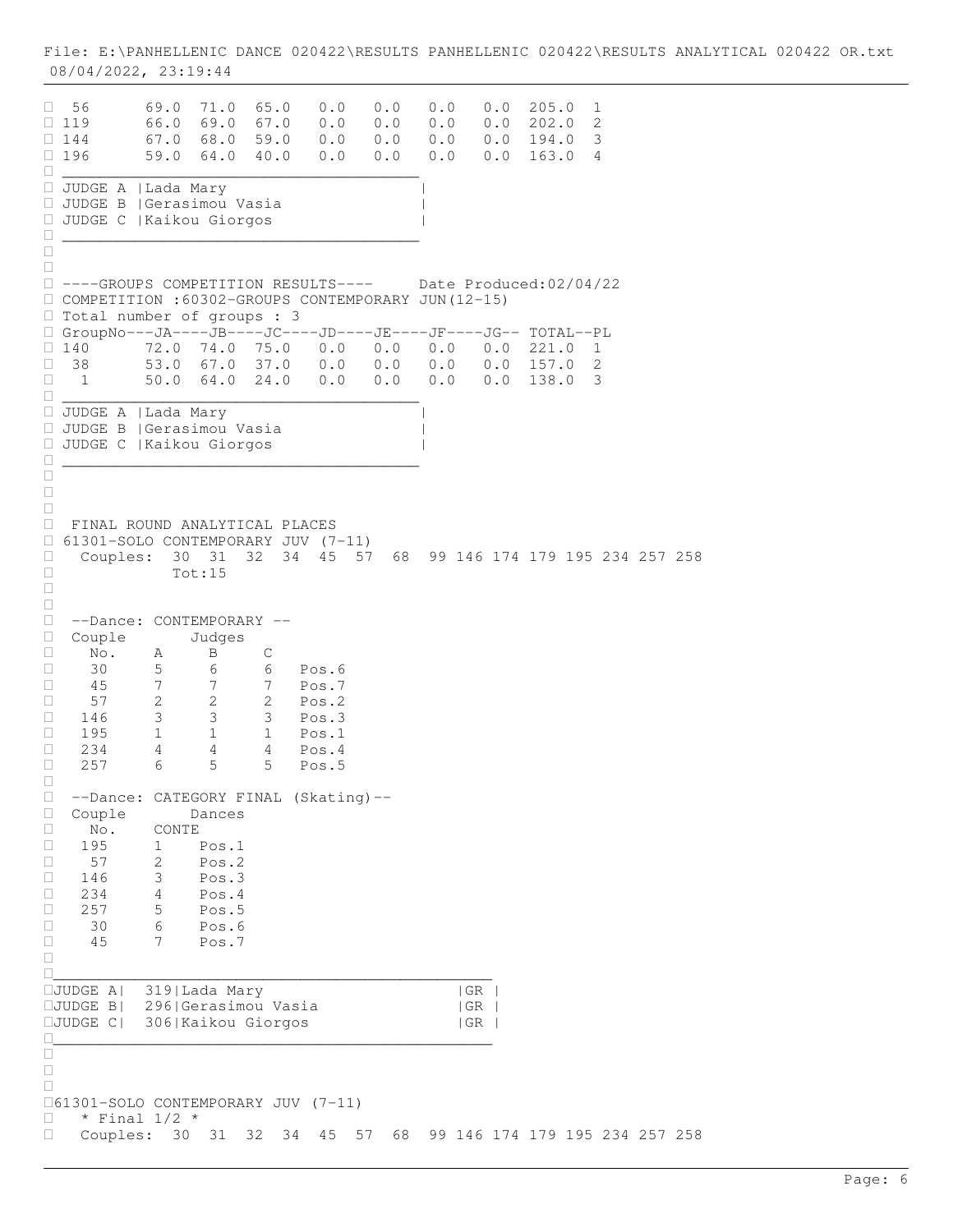$\Box$  56 69.0 71.0 65.0 0.0 0.0 0.0 0.0 205.0 1<br> $\Box$  119 66.0 69.0 67.0 0.0 0.0 0.0 0.0 202.0 2  $\Box$  119 66.0 69.0 67.0 0.0 0.0 0.0 0.0 0.0 202.0 2  $\Box$  144 67.0 68.0 59.0 0.0 0.0 0.0 0.0 0.0 194.0 3  $\Box$  196 59.0 64.0 40.0 0.0 0.0 0.0 0.0 0.0 163.0 4 \_\_\_\_\_\_\_\_\_\_\_\_\_\_\_\_\_\_\_\_\_\_\_\_\_\_\_\_\_\_\_\_\_\_\_\_\_\_\_ JUDGE A |Lada Mary | JUDGE B |Gerasimou Vasia | JUDGE C |Kaikou Giorgos | \_\_\_\_\_\_\_\_\_\_\_\_\_\_\_\_\_\_\_\_\_\_\_\_\_\_\_\_\_\_\_\_\_\_\_\_\_\_\_  $\Box$  $\Box$  ----GROUPS COMPETITION RESULTS---- Date Produced:02/04/22 COMPETITION :60302-GROUPS CONTEMPORARY JUN(12-15) □ Total number of groups : 3 GroupNo---JA----JB----JC----JD----JE----JF----JG-- TOTAL--PL  $\Box$  140 72.0 74.0 75.0 0.0 0.0 0.0 0.0 221.0 1<br> $\Box$  38 53.0 67.0 37.0 0.0 0.0 0.0 0.0 157.0 2 38 53.0 67.0 37.0 0.0 0.0 0.0 0.0 157.0 2 1 50.0 64.0 24.0 0.0 0.0 0.0 0.0 138.0 3 \_\_\_\_\_\_\_\_\_\_\_\_\_\_\_\_\_\_\_\_\_\_\_\_\_\_\_\_\_\_\_\_\_\_\_\_\_\_\_ JUDGE A |Lada Mary | JUDGE B |Gerasimou Vasia | JUDGE C |Kaikou Giorgos | \_\_\_\_\_\_\_\_\_\_\_\_\_\_\_\_\_\_\_\_\_\_\_\_\_\_\_\_\_\_\_\_\_\_\_\_\_\_\_  $\Box$  $\Box$  $\Box$  FINAL ROUND ANALYTICAL PLACES  $\Box$  61301-SOLO CONTEMPORARY JUV (7-11)<br> $\Box$  Couples: 30 31 32 34 45 57 Couples: 30 31 32 34 45 57 68 99 146 174 179 195 234 257 258 Tot:15  $\Box$  $\Box$  --Dance: CONTEMPORARY -- Couple Judges No. A B C  $\Box$  30 5 6 6 Pos.6<br> $\Box$  45 7 7 7 Pos.7 □ 45 7 7 7 Pos.7<br>□ 57 2 2 2 Pos.2  $\begin{array}{ccccccccc}\n & & 57 & & 2 & & 2 & & 2 & & \text{Pos.2} \\
\Box & 146 & & 3 & & 3 & & 3 & & \text{Pos.3}\n\end{array}$ 146 3 3 3 Pos.3<br>195 1 1 1 Pos.1 □ 195 1 1 1 Pos.1<br>□ 234 4 4 4 Pos.4  $\begin{array}{ccccccc}\n\Box & 234 & & 4 & & 4 & & 4 & & \n\Box & 257 & & 6 & & 5 & & 5 & & \n\Box\end{array}$ 5 Pos.5  $\Box$ □ --Dance: CATEGORY FINAL (Skating)--<br>□ Couple Dances □ Couple Dance<br>□ No. CONTE  $\begin{array}{ccc} \square & & \text{No.} \\ \square & & 195 \end{array}$ 1 Pos.1  $\begin{array}{cccc} \Box & 57 & 2 & \text{Pos.2} \\ \Box & 146 & 3 & \text{Pos.3} \end{array}$  $\begin{array}{cccc} \Box & 146 & 3 & \text{Pos.3} \\ \Box & 234 & 4 & \text{Pos.4} \end{array}$  $\begin{array}{cccc} \Box & 234 & 4 & \text{Pos.4} \\ \Box & 257 & 5 & \text{Pos.5} \end{array}$  $\begin{array}{cccc} \Box & 257 & 5 & \text{Pos.5} \\ \Box & 30 & 6 & \text{Pos.6} \end{array}$  $\begin{array}{cccc} \Box & 30 & 6 & \text{Pos.6} \\ \Box & 45 & 7 & \text{Pos.7} \end{array}$  45 7 Pos.7  $\Box$ \_\_\_\_\_\_\_\_\_\_\_\_\_\_\_\_\_\_\_\_\_\_\_\_\_\_\_\_\_\_\_\_\_\_\_\_\_\_\_\_\_\_\_\_\_\_\_\_ JUDGE A| 319|Lada Mary |GR | JUDGE B| 296|Gerasimou Vasia |GR | JUDGE C| 306|Kaikou Giorgos |GR |  $\Box$  $\Box$  $\Box$  $\Box$ 61301-SOLO CONTEMPORARY JUV (7-11)  $\Box$  \* Final 1/2 \* Couples: 30 31 32 34 45 57 68 99 146 174 179 195 234 257 258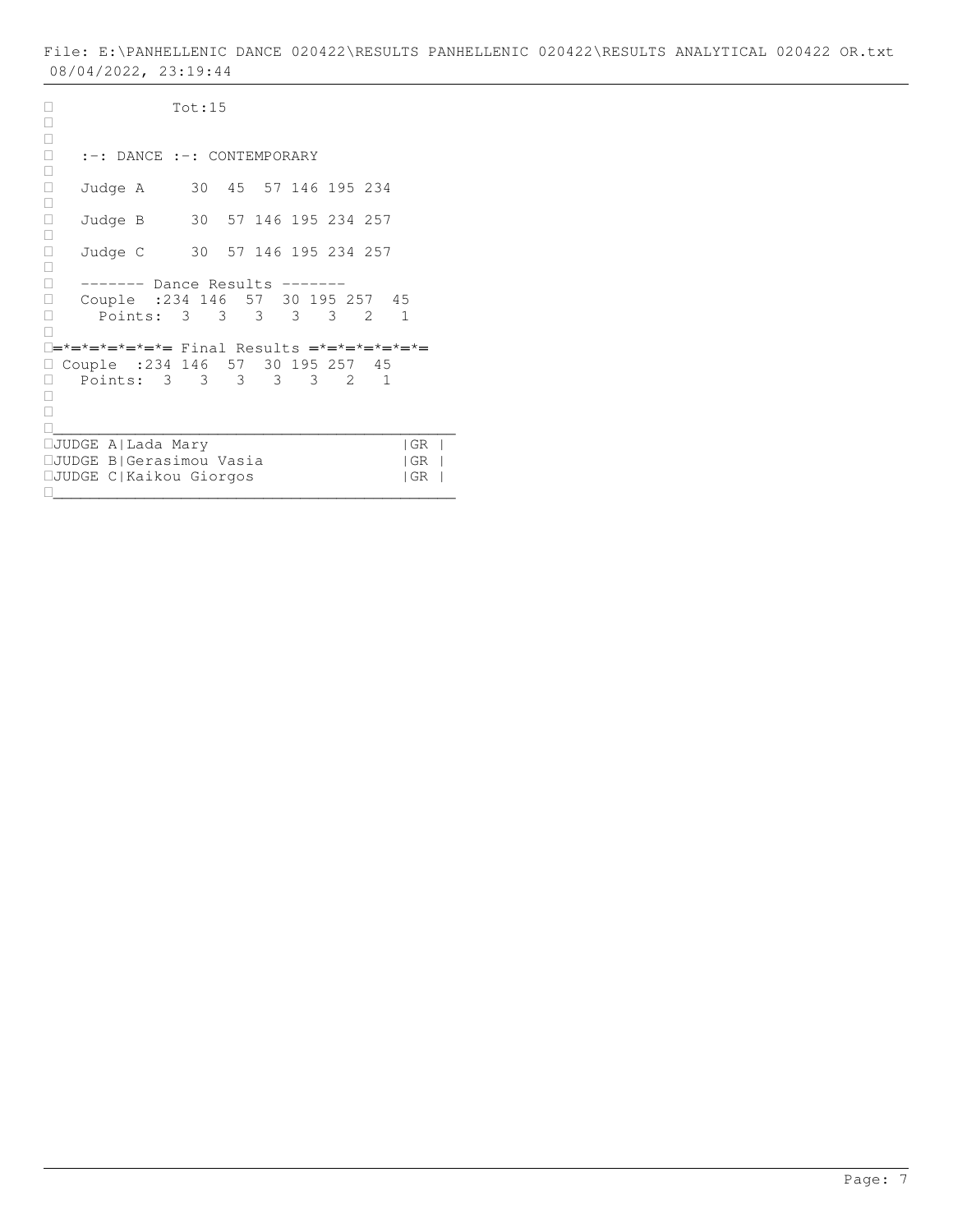Tot:15  $\Box$  $\Box$  :-: DANCE :-: CONTEMPORARY  $\Box$  Judge A 30 45 57 146 195 234  $\Box$ □ Judge B 30 57 146 195 234 257  $\Box$  Judge C 30 57 146 195 234 257  $\Box$ □ ------- Dance Results -------<br>□ Couple :234 146 57 30 195 : Couple :234 146 57 30 195 257 45 Points: 3 3 3 3 3 2 1  $\Box$ ═\*═\*═\*═\*═\*═\*═ Final Results ═\*═\*═\*═\*═\*═\*═ □ Couple :234 146 57 30 195 257 45 Points: 3 3 3 3 3 2 1  $\Box$  $\Box$ \_\_\_\_\_\_\_\_\_\_\_\_\_\_\_\_\_\_\_\_\_\_\_\_\_\_\_\_\_\_\_\_\_\_\_\_\_\_\_\_\_\_\_\_ JUDGE A|Lada Mary |GR | JUDGE B|Gerasimou Vasia |GR | JUDGE C|Kaikou Giorgos |GR | \_\_\_\_\_\_\_\_\_\_\_\_\_\_\_\_\_\_\_\_\_\_\_\_\_\_\_\_\_\_\_\_\_\_\_\_\_\_\_\_\_\_\_\_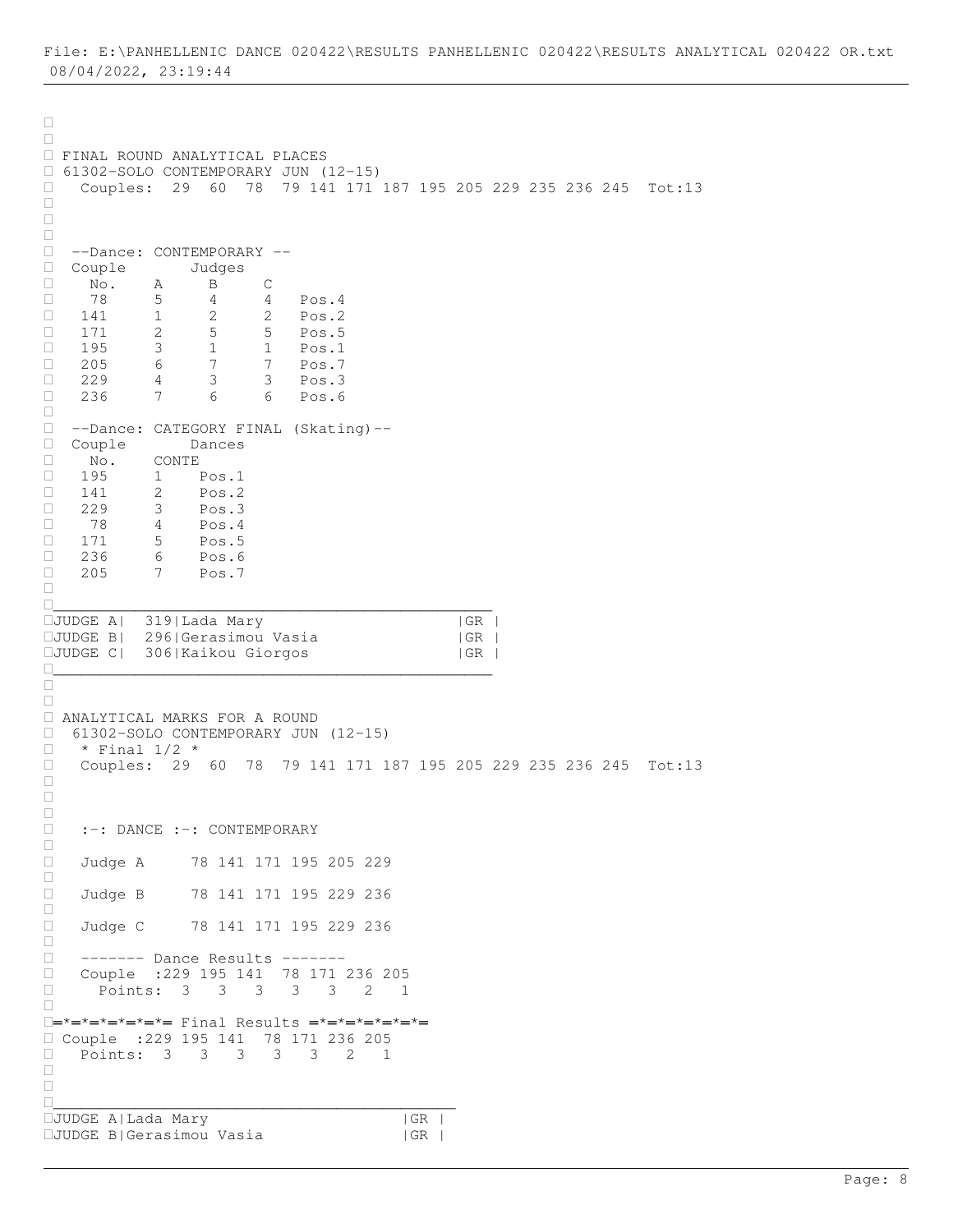$\Box$  $\Box$  FINAL ROUND ANALYTICAL PLACES 61302-SOLO CONTEMPORARY JUN (12-15) Couples: 29 60 78 79 141 171 187 195 205 229 235 236 245 Tot:13  $\Box$  $\Box$  $\Box$  --Dance: CONTEMPORARY -- □ Couple Judges<br>□ No. A B  $\begin{array}{ccccccccc}\n\Box & \text{No.} & \text{A} & \text{B} & \text{C} \\
\Box & 78 & 5 & 4 & 4\n\end{array}$  78 5 4 4 Pos.4 141 1 2 2 Pos.2 171 2 5 5 Pos.5 195 3 1 1 Pos.1 □ 205 6 7 7 Pos.7 229 4 3 3 Pos.3 236 7 6 6 Pos.6  $\Box$  --Dance: CATEGORY FINAL (Skating)-- Couple Dances No. CONTE □ 195 1 Pos.1<br>□ 141 2 Pos.2  $\begin{array}{cccc} \Box & 141 & 2 & \text{Pos.2} \\ \Box & 229 & 3 & \text{Pos.3} \end{array}$ 229 3 Pos.3<br>78 4 Pos.4 □ 78 4 Pos.4<br>□ 171 5 Pos.5  $\begin{array}{cccc} \Box & 171 & 5 & \text{Pos.5} \\ \Box & 236 & 6 & \text{Pos.6} \end{array}$  $\begin{array}{cccc} \square & 236 & 6 & \text{Pos.6} \\ \square & 205 & 7 & \text{Pos.7} \end{array}$ 7 Pos.7  $\Box$ \_\_\_\_\_\_\_\_\_\_\_\_\_\_\_\_\_\_\_\_\_\_\_\_\_\_\_\_\_\_\_\_\_\_\_\_\_\_\_\_\_\_\_\_\_\_\_\_ JUDGE A| 319|Lada Mary |GR | JUDGE B| 296|Gerasimou Vasia |GR | JUDGE C| 306|Kaikou Giorgos |GR | \_\_\_\_\_\_\_\_\_\_\_\_\_\_\_\_\_\_\_\_\_\_\_\_\_\_\_\_\_\_\_\_\_\_\_\_\_\_\_\_\_\_\_\_\_\_\_\_  $\begin{array}{c} \square \\ \square \end{array}$  $\Box$  ANALYTICAL MARKS FOR A ROUND  $\Box$  61302-SOLO CONTEMPORARY JUN (12-15)<br> $\Box$  \* Final 1/2 \*  $\Box$  \* Final  $1/2$  \*<br> $\Box$  Couples: 29 Couples: 29 60 78 79 141 171 187 195 205 229 235 236 245 Tot:13  $\Box$  $\Box$  $\Box$  :-: DANCE :-: CONTEMPORARY  $\Box$  Judge A 78 141 171 195 205 229  $\Box$ □ Judge B 78 141 171 195 229 236  $\Box$ □ Judge C 78 141 171 195 229 236  $\Box$ □ ------- Dance Results -------<br>□ Couple :229 195 141 78 171 Couple :229 195 141 78 171 236 205 Points: 3 3 3 3 3 2 1  $\Box$ ═\*═\*═\*═\*═\*═\*═ Final Results ═\*═\*═\*═\*═\*═\*═ Couple :229 195 141 78 171 236 205 Points: 3 3 3 3 3 2 1  $\Box$  $\Box$ \_\_\_\_\_\_\_\_\_\_\_\_\_\_\_\_\_\_\_\_\_\_\_\_\_\_\_\_\_\_\_\_\_\_\_\_\_\_\_\_\_\_\_\_ JUDGE A|Lada Mary |GR | JUDGE B|Gerasimou Vasia |GR |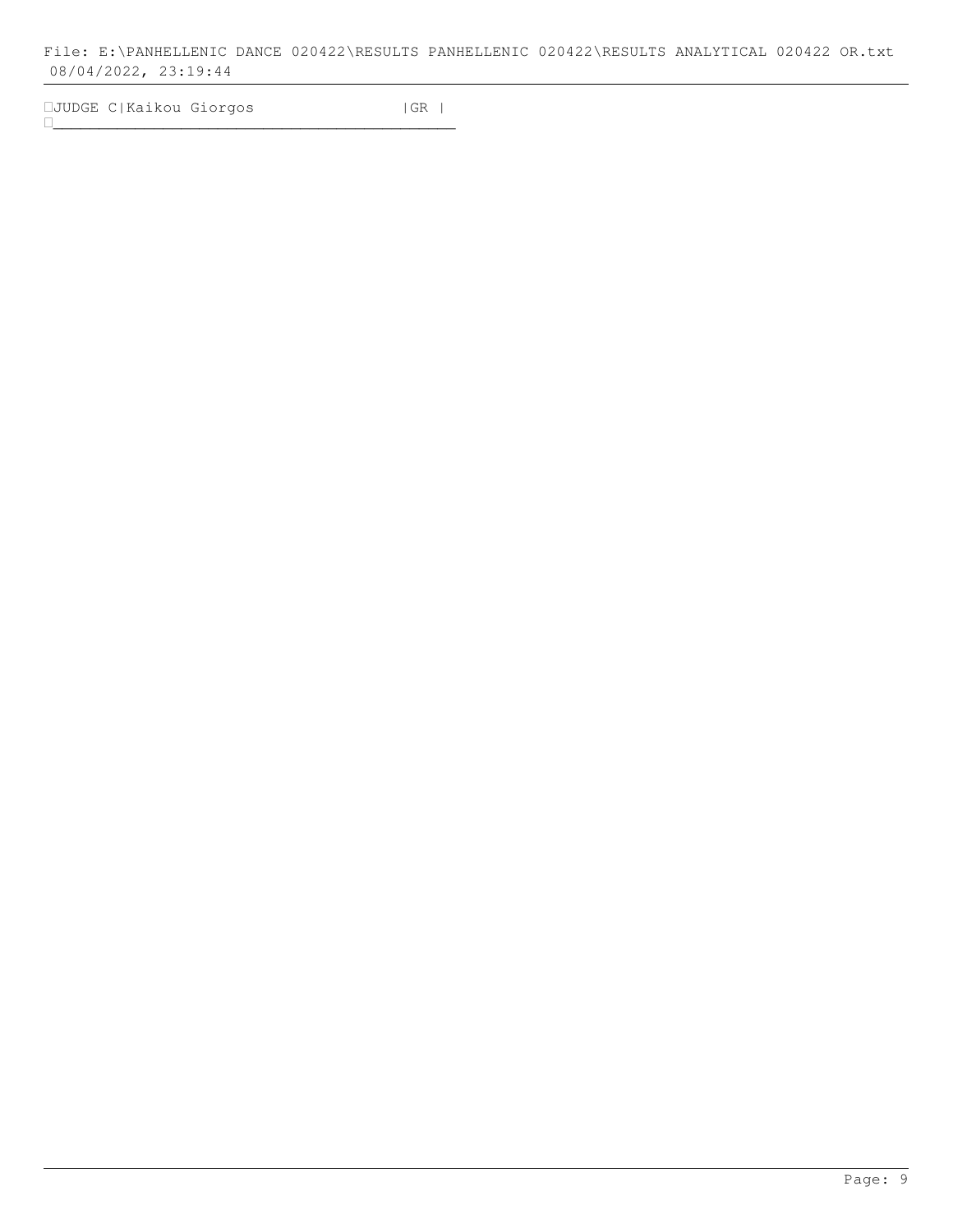JUDGE C|Kaikou Giorgos |GR | \_\_\_\_\_\_\_\_\_\_\_\_\_\_\_\_\_\_\_\_\_\_\_\_\_\_\_\_\_\_\_\_\_\_\_\_\_\_\_\_\_\_\_\_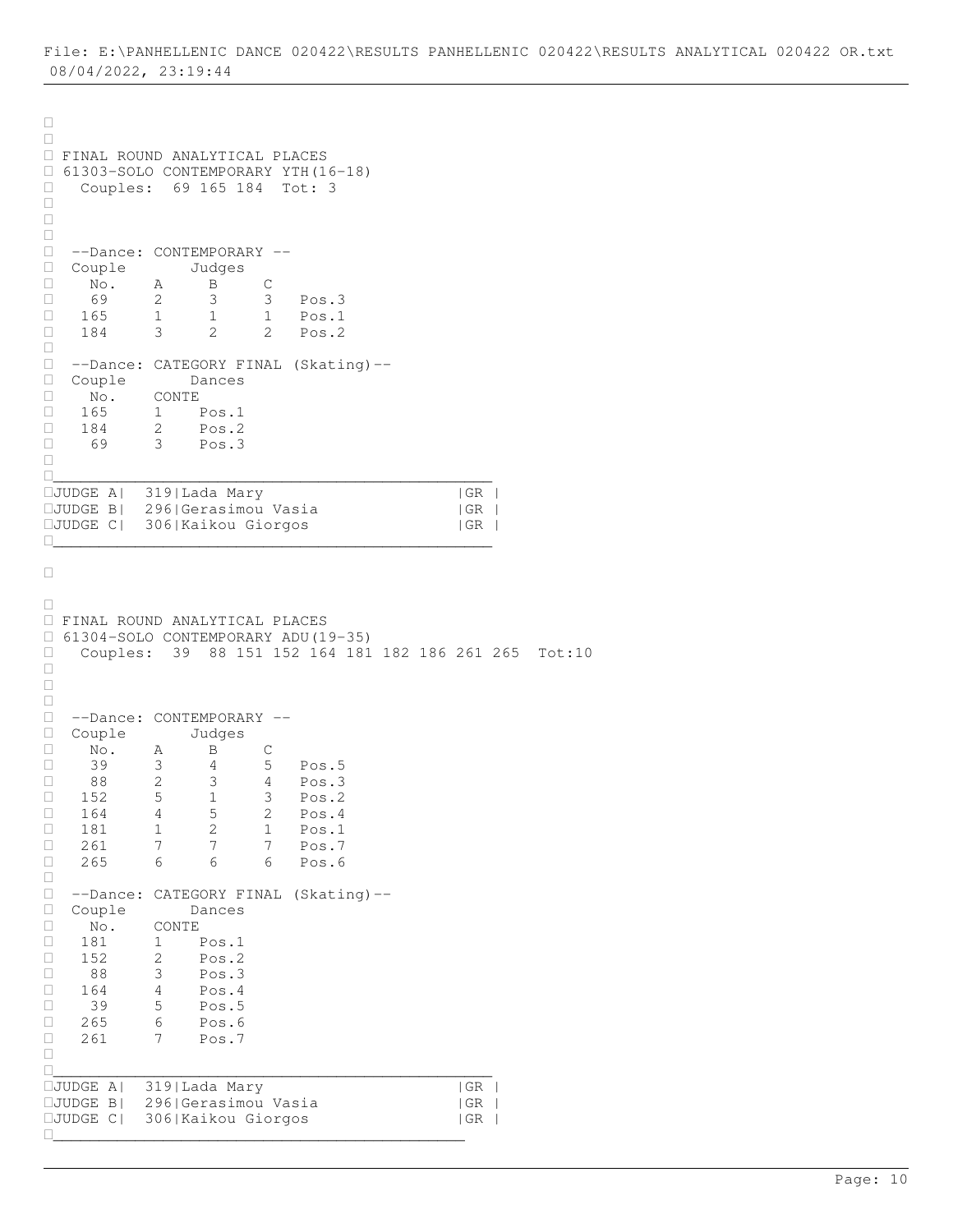```
\Box\Box FINAL ROUND ANALYTICAL PLACES 
 61303-SOLO CONTEMPORARY YTH(16-18) 
 Couples: 69 165 184 Tot: 3
\Box\Box\Box --Dance: CONTEMPORARY --
□ Couple Judges<br>□ No. A B
\begin{array}{ccccccccc}\n\Box & & \overline{\text{No.}} & & A & & \overline{\text{B}} & & \text{C} \\
\Box & & 69 & & 2 & & 3 & & 3\n\end{array}□ 69 2 3 3 Pos.3<br>□ 165 1 1 1 Pos.1
            1 1 1 Pos.1<br>3 2 2 Pos.2
 184 3 2 2 Pos.2
\Box --Dance: CATEGORY FINAL (Skating)--
 Couple Dances
\begin{array}{ccc}\n\Box & \text{No.} & \text{CONTE} \\
\Box & 165 & 1\n\end{array}165 1 Pos.1
184 2 Pos.2
 69 3 Pos.3
\Box________________________________________________
JUDGE A| 319|Lada Mary |GR |
JUDGE B| 296|Gerasimou Vasia |GR |
JUDGE C| 306|Kaikou Giorgos |GR |
________________________________________________
\Box\Box FINAL ROUND ANALYTICAL PLACES 
 61304-SOLO CONTEMPORARY ADU(19-35) 
 Couples: 39 88 151 152 164 181 182 186 261 265 Tot:10
\Box\Box\Box --Dance: CONTEMPORARY --
□ Couple Judges<br>□ No. A B C
\Box No. A B C
 39 3 4 5 Pos.5
 88 2 3 4 Pos.3
 152 5 1 3 Pos.2
 164 4 5 2 Pos.4
181 1 2 1 Pos.1
□ 261 7 7 7 Pos.7
 265 6 6 6 Pos.6
\begin{array}{c} \square \\ \square \end{array} --Dance: CATEGORY FINAL (Skating)--
□ Couple Dances<br>□ No. CONTE
\begin{array}{ccc} \square & & \text{No.} \\ \square & & 181 \end{array}\begin{array}{ccccccc} \Box & & 181 & & 1 & & \text{Pos.1} \\ \Box & & 152 & & 2 & & \text{Pos.2} \end{array}\begin{array}{cccc} \Box & 152 & 2 & \text{Pos.2} \\ \Box & 88 & 3 & \text{Pos.3} \end{array}3 Pos.3
 164 4 Pos.4
\Box 39 5 Pos.5
\Box 265 6 Pos.6
□ 261 7 Pos.7
\Box________________________________________________
D<br>DJUDGE A| 319|Lada Mary | |GR |<br>DJUDGE B| 296|Gerasimou Vasia | |GR |
JUDGE B| 296|Gerasimou Vasia |GR |
JUDGE C| 306|Kaikou Giorgos |GR |
_____________________________________________
```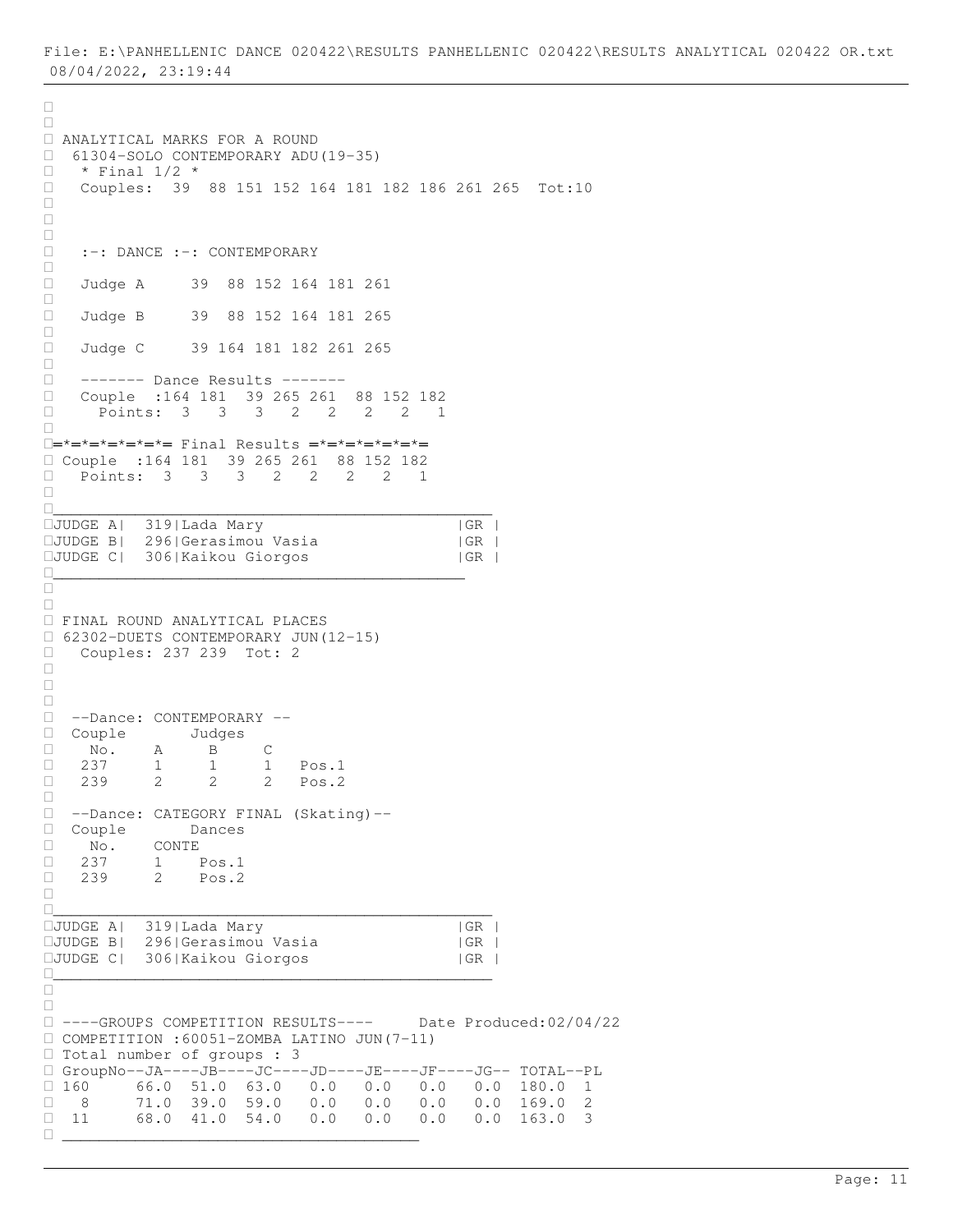```
\Box\Box ANALYTICAL MARKS FOR A ROUND
\Box 61304-SOLO CONTEMPORARY ADU(19-35)<br>
\Box * Final 1/2 *
\Box * Final 1/2 *<br>\Box Couples: 39
    Couples: 39 88 151 152 164 181 182 186 261 265 Tot:10
\Box\Box\Box :-: DANCE :-: CONTEMPORARY 
\Box Judge A 39 88 152 164 181 261
\Box Judge B 39 88 152 164 181 265
\Box□ Judge C 39 164 181 182 261 265
\Box ------- Dance Results -------
□ Couple :164 181 39 265 261 88 152 182<br>□ Points: 3 3 3 2 2 2 2 1
     Points: 3 3 3 2 2 2 2 1
\Box═*═*═*═*═*═*═ Final Results ═*═*═*═*═*═*═
 Couple :164 181 39 265 261 88 152 182
 Points: 3 3 3 2 2 2 2 1
\Box________________________________________________
JUDGE A| 319|Lada Mary |GR |
JUDGE B| 296|Gerasimou Vasia |GR |
JUDGE C| 306|Kaikou Giorgos |GR |
_____________________________________________
\Box\Box FINAL ROUND ANALYTICAL PLACES 
 62302-DUETS CONTEMPORARY JUN(12-15) 
□ Couples: 237 239 Tot: 2
\Box\Box\Box --Dance: CONTEMPORARY --
□ Couple Judges<br>□ No. A B (
\begin{tabular}{|c|c|c|c|c|} \hline & \multicolumn{1}{|c|}{\text{No.}} & A & B & C \\ \hline \multicolumn{1}{|c|}{\text{No.}} & A & 1 & 1 & 1 \\ \hline \end{tabular}237 1 1 1 Pos.1<br>239 2 2 2 Pos.2
 239 2 2 2 Pos.2
\Box□ --Dance: CATEGORY FINAL (Skating)--<br>□ Couple Dances
□ Couple Dances<br>□ No. CONTE
 No. CONTE
 237 1 Pos.1
 239 2 Pos.2
\Box________________________________________________
JUDGE A| 319|Lada Mary |GR |
JUDGE B| 296|Gerasimou Vasia |GR |
JUDGE C| 306|Kaikou Giorgos |GR |
________________________________________________
\Box\Box ----GROUPS COMPETITION RESULTS---- Date Produced:02/04/22
 COMPETITION :60051-ZOMBA LATINO JUN(7-11) 
□ Total number of groups : 3
 GroupNo--JA----JB----JC----JD----JE----JF----JG-- TOTAL--PL
\Box 160 66.0 51.0 63.0 0.0 0.0 0.0 0.0 180.0 1<br>\Box 8 71.0 39.0 59.0 0.0 0.0 0.0 0.0 169.0 2
          8 71.0 39.0 59.0 0.0 0.0 0.0 0.0 169.0 2
 11 68.0 41.0 54.0 0.0 0.0 0.0 0.0 163.0 3
 _______________________________________
```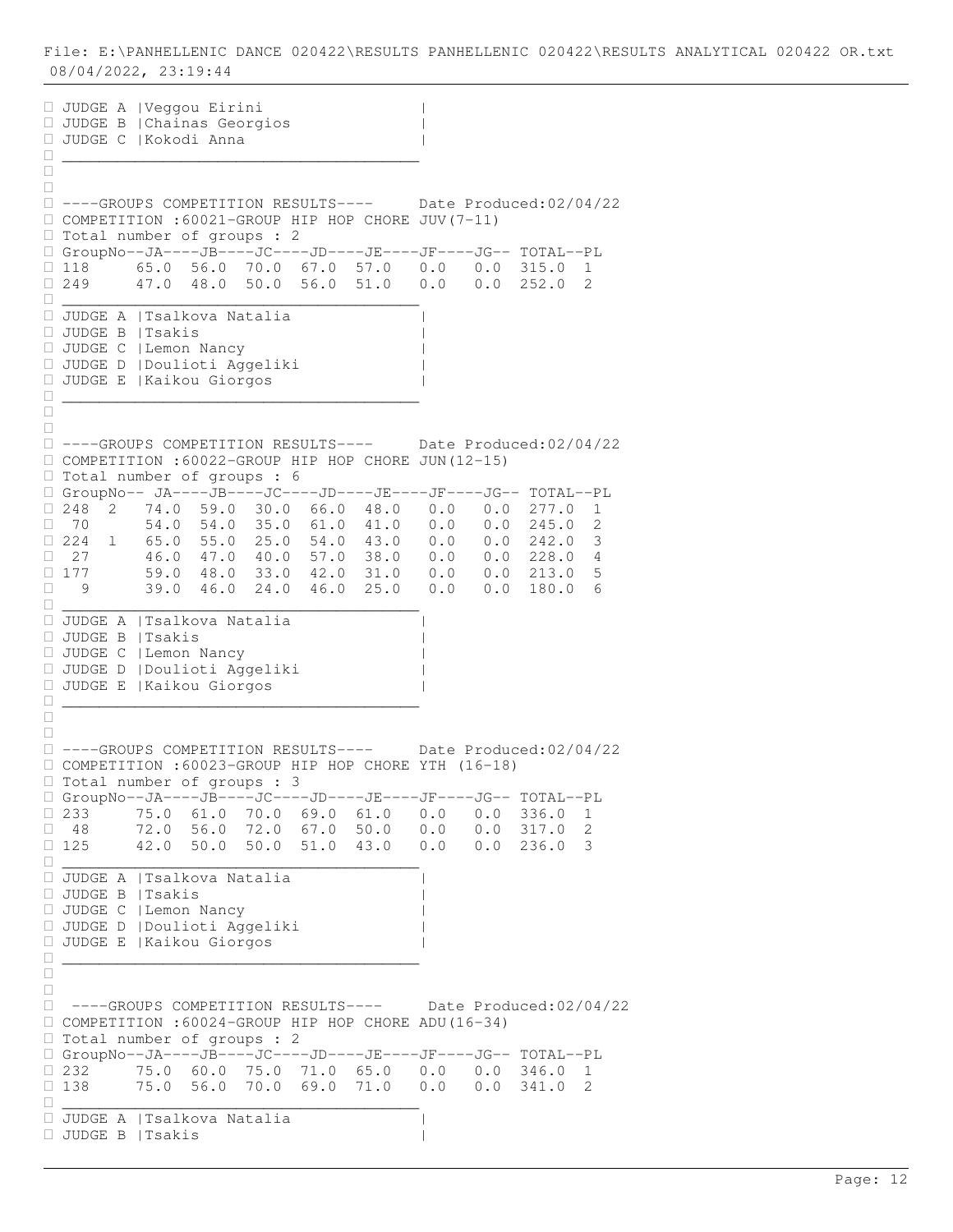JUDGE A |Veggou Eirini | JUDGE B |Chainas Georgios | JUDGE C |Kokodi Anna | \_\_\_\_\_\_\_\_\_\_\_\_\_\_\_\_\_\_\_\_\_\_\_\_\_\_\_\_\_\_\_\_\_\_\_\_\_\_\_  $\Box$  $\Box$  ----GROUPS COMPETITION RESULTS---- Date Produced:02/04/22 COMPETITION :60021-GROUP HIP HOP CHORE JUV(7-11) □ Total number of groups : 2  $\Box$  GroupNo--JA----JB----JC----JD----JE----JF----JG-- TOTAL--PL  $\Box$  118 65.0 56.0 70.0 67.0 57.0 0.0 0.0 315.0 1<br> $\Box$  249 47.0 48.0 50.0 56.0 51.0 0.0 0.0 252.0 2 249 47.0 48.0 50.0 56.0 51.0 0.0 0.0 252.0 2 \_\_\_\_\_\_\_\_\_\_\_\_\_\_\_\_\_\_\_\_\_\_\_\_\_\_\_\_\_\_\_\_\_\_\_\_\_\_\_ JUDGE A |Tsalkova Natalia | JUDGE B |Tsakis | JUDGE C |Lemon Nancy | JUDGE D |Doulioti Aggeliki | JUDGE E |Kaikou Giorgos | \_\_\_\_\_\_\_\_\_\_\_\_\_\_\_\_\_\_\_\_\_\_\_\_\_\_\_\_\_\_\_\_\_\_\_\_\_\_\_  $\frac{\Box}{\Box} =$  $\Box$  ----GROUPS COMPETITION RESULTS---- Date Produced:02/04/22 COMPETITION :60022-GROUP HIP HOP CHORE JUN(12-15) Total number of groups : 6 GroupNo-- JA----JB----JC----JD----JE----JF----JG-- TOTAL--PL  $\Box$  248  $^{\degree}$  2  $\Box$  74.0  $\Box$  59.0  $\Box$  30.0 66.0 48.0 0.0 0.0 0.0 277.0 1  $\Box$  70 54.0 54.0 35.0 61.0 41.0 0.0 0.0 245.0 2  $\Box$  224 1 65.0 55.0 25.0 54.0 43.0 0.0 0.0 242.0 3  $\Box$  27 46.0 47.0 40.0 57.0 38.0 0.0 0.0 228.0 4  $\Box$  27 46.0 47.0 40.0 57.0 50.0 0.0 0.0 213.0 5<br> $\Box$  177 59.0 48.0 33.0 42.0 31.0 0.0 0.0 213.0 5<br> $\Box$  9 39.0 46.0 24.0 46.0 25.0 0.0 0.0 180.0 6 9 39.0 46.0 24.0 46.0 25.0 0.0 0.0 180.0 6 \_\_\_\_\_\_\_\_\_\_\_\_\_\_\_\_\_\_\_\_\_\_\_\_\_\_\_\_\_\_\_\_\_\_\_\_\_\_\_ JUDGE A |Tsalkova Natalia | JUDGE B |Tsakis | JUDGE C |Lemon Nancy | JUDGE D |Doulioti Aggeliki | JUDGE E |Kaikou Giorgos | \_\_\_\_\_\_\_\_\_\_\_\_\_\_\_\_\_\_\_\_\_\_\_\_\_\_\_\_\_\_\_\_\_\_\_\_\_\_\_  $\Box$  $\Box$  ----GROUPS COMPETITION RESULTS---- Date Produced:02/04/22 COMPETITION :60023-GROUP HIP HOP CHORE YTH (16-18) Total number of groups : 3  $\begin{tabular}{lllllllll} $\Box$ GroupNo--JA----JB----JC----JD----JE----JF----JG---&{\tt TOTAL--PL} \\ $\Box$ 233 & {\tt 75.0} & {\tt 61.0} & {\tt 70.0} & {\tt 69.0} & {\tt 61.0} & {\tt 0.0} & {\tt 0.0} & {\tt 336.0} & {\tt 1} \end{tabular}$  $\Box$  233  $^+$  75.0 61.0 70.0 69.0 61.0 0.0 0.0 336.0 1  $\Box$  48 72.0 56.0 72.0 67.0 50.0 0.0 0.0 317.0 2  $\Box$  125 42.0 50.0 50.0 51.0 43.0 0.0 0.0 236.0 3 \_\_\_\_\_\_\_\_\_\_\_\_\_\_\_\_\_\_\_\_\_\_\_\_\_\_\_\_\_\_\_\_\_\_\_\_\_\_\_ JUDGE A |Tsalkova Natalia | JUDGE B |Tsakis | JUDGE C |Lemon Nancy | JUDGE D |Doulioti Aggeliki | JUDGE E |Kaikou Giorgos | \_\_\_\_\_\_\_\_\_\_\_\_\_\_\_\_\_\_\_\_\_\_\_\_\_\_\_\_\_\_\_\_\_\_\_\_\_\_\_  $\Box$  $\Box$  ----GROUPS COMPETITION RESULTS---- Date Produced:02/04/22 COMPETITION :60024-GROUP HIP HOP CHORE ADU(16-34)  $\Box$  Total number of groups : 2 GroupNo--JA----JB----JC----JD----JE----JF----JG-- TOTAL--PL  $\Box$  232 75.0 60.0 75.0 71.0 65.0 0.0 0.0 346.0 1<br> $\Box$  138 75.0 56.0 70.0 69.0 71.0 0.0 0.0 341.0 2  $\Box$  138 75.0 56.0 70.0 69.0 71.0 0.0 0.0 341.0 2 \_\_\_\_\_\_\_\_\_\_\_\_\_\_\_\_\_\_\_\_\_\_\_\_\_\_\_\_\_\_\_\_\_\_\_\_\_\_\_ JUDGE A |Tsalkova Natalia | JUDGE B |Tsakis |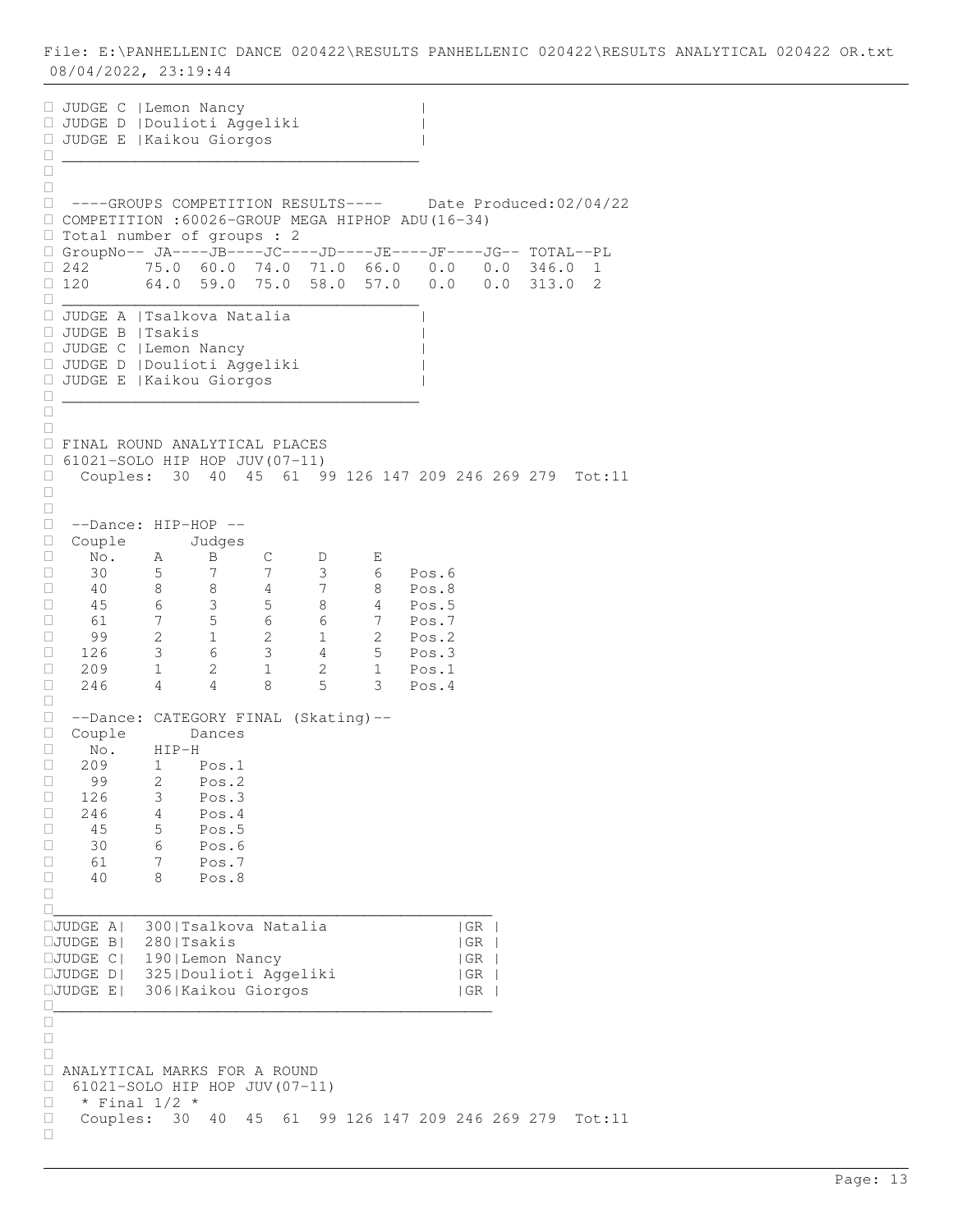JUDGE C |Lemon Nancy | JUDGE D |Doulioti Aggeliki | JUDGE E |Kaikou Giorgos | \_\_\_\_\_\_\_\_\_\_\_\_\_\_\_\_\_\_\_\_\_\_\_\_\_\_\_\_\_\_\_\_\_\_\_\_\_\_\_  $\Box$  $\Box$  ----GROUPS COMPETITION RESULTS---- Date Produced:02/04/22 COMPETITION :60026-GROUP MEGA HIPHOP ADU(16-34) □ Total number of groups : 2 GroupNo-- JA----JB----JC----JD----JE----JF----JG-- TOTAL--PL  $\Box$  242  $^{+}$  75.0 60.0 74.0 71.0 66.0 0.0 0.0 346.0 1  $\Box$  120 64.0 59.0 75.0 58.0 57.0 0.0 0.0 313.0 2 \_\_\_\_\_\_\_\_\_\_\_\_\_\_\_\_\_\_\_\_\_\_\_\_\_\_\_\_\_\_\_\_\_\_\_\_\_\_\_ JUDGE A |Tsalkova Natalia | JUDGE B |Tsakis | JUDGE C |Lemon Nancy | JUDGE D |Doulioti Aggeliki | JUDGE E |Kaikou Giorgos | \_\_\_\_\_\_\_\_\_\_\_\_\_\_\_\_\_\_\_\_\_\_\_\_\_\_\_\_\_\_\_\_\_\_\_\_\_\_\_  $\frac{\Box}{\Box}$  $\Box$  FINAL ROUND ANALYTICAL PLACES  $\Box$  61021-SOLO HIP HOP JUV(07-11) Couples: 30 40 45 61 99 126 147 209 246 269 279 Tot:11  $\Box$  $\Box$  --Dance: HIP-HOP --  $\begin{tabular}{llllll} \hline & Couple &\quad &\text{Judges} \\ \hline \text{ } & \text{No.} & \text{A} & \text{B} \\ & \text{ } & \text{ } & \text{ } & \text{ } \\ & \text{ } & \text{ } & \text{ } & \text{ } & \text{ } \\ \hline \end{tabular}$  No. A B C D E 30 5 7 7 3 6 Pos.6 40 8 8 4 7 8 Pos.8  $\Box$  45 6 3 5 8 4 Pos.5 61 7 5 6 6 7 Pos.7 99 2 1 2 1 2 Pos.2 126 3 6 3 4 5 Pos.3 □ 209 1 2 1 2 1 Pos.1 246 4 4 8 5 3 Pos.4  $\Box$  --Dance: CATEGORY FINAL (Skating)-- Couple Dances  $\begin{array}{ccc}\n\Box & \text{No.} & \text{HIP-H} \\
\Box & 209 & 1 & \text{P}\n\end{array}$ 209 1 Pos.1<br>99 2 Pos.2  $\begin{array}{cccc} \Box & 99 & 2 & \text{Pos.2} \\ \Box & 126 & 3 & \text{Pos.3} \end{array}$ 126 3 Pos.3  $\Box$  246 4 Pos.4  $\begin{array}{ccccccccc}\n & -1 & 4 & \text{Pos.4} \\
\Box & 45 & 5 & \text{Pos.5} \\
\Box & 30 & 6 & \text{Pos.6}\n\end{array}$ 5<br>6<br>7  $\begin{array}{cccc} \Box & 61 & 7 & \text{Pos.7} \\ \Box & 40 & 8 & \text{Pos.8} \end{array}$ 8 Pos.8  $\Box$ \_\_\_\_\_\_\_\_\_\_\_\_\_\_\_\_\_\_\_\_\_\_\_\_\_\_\_\_\_\_\_\_\_\_\_\_\_\_\_\_\_\_\_\_\_\_\_\_ JUDGE A| 300|Tsalkova Natalia |GR | JUDGE B| 280|Tsakis |GR | JUDGE C| 190|Lemon Nancy |GR | JUDGE D| 325|Doulioti Aggeliki |GR | JUDGE E| 306|Kaikou Giorgos |GR | \_\_\_\_\_\_\_\_\_\_\_\_\_\_\_\_\_\_\_\_\_\_\_\_\_\_\_\_\_\_\_\_\_\_\_\_\_\_\_\_\_\_\_\_\_\_\_\_  $\Box$  $\Box$  $\Box$  ANALYTICAL MARKS FOR A ROUND 61021-SOLO HIP HOP JUV(07-11)  $\Box$  \* Final 1/2 \* Couples: 30 40 45 61 99 126 147 209 246 269 279 Tot:11  $\Box$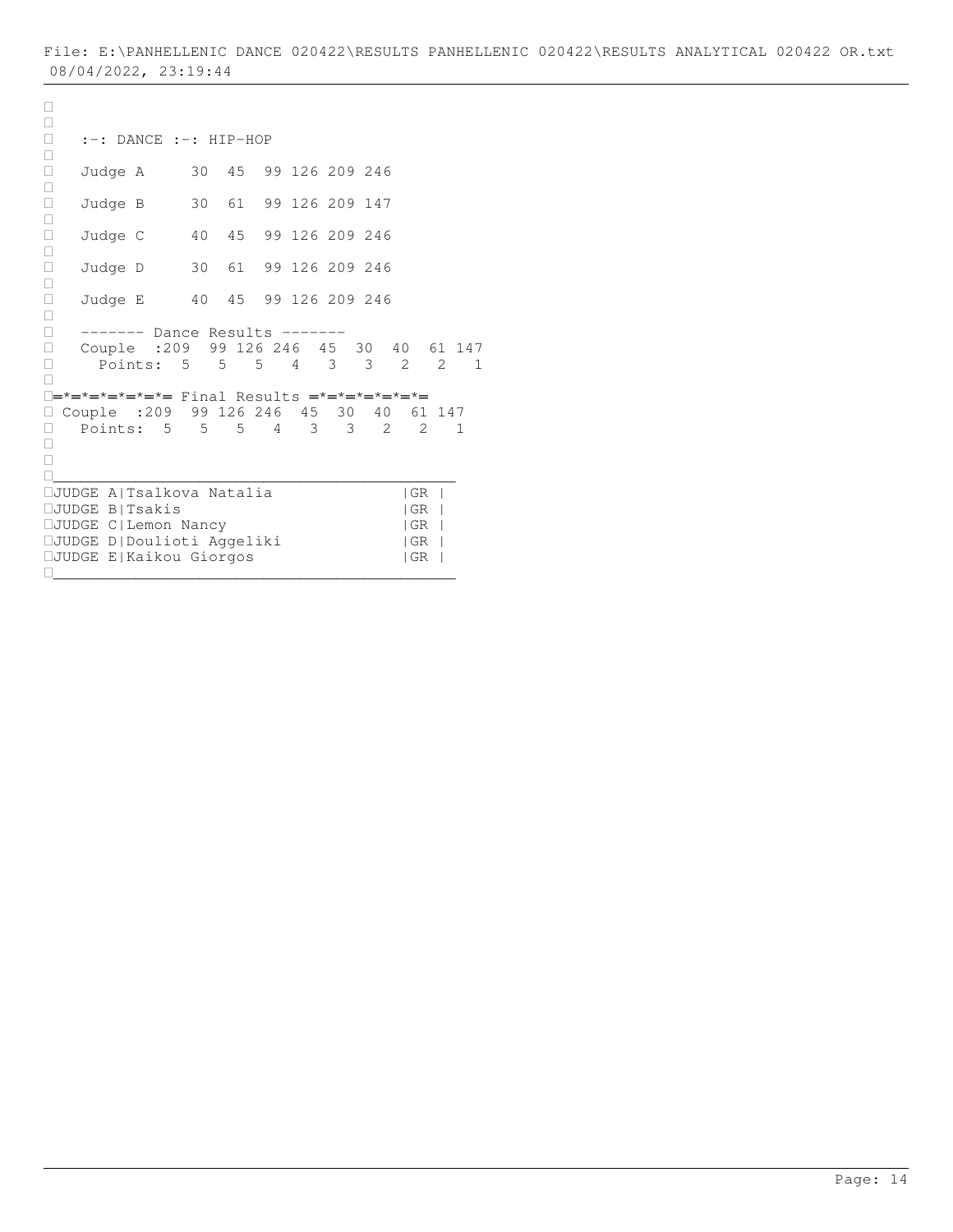```
\Box :-: DANCE :-: HIP-HOP 
\Box Judge A 30 45 99 126 209 246
\Box□ Judge B 30 61 99 126 209 147
\Box□ Judge C 40 45 99 126 209 246
\Box Judge D 30 61 99 126 209 246
\Box Judge E 40 45 99 126 209 246
\Box ------- Dance Results -------
□ Couple :209 99 126 246 45 30 40 61 147<br>□ Points: 5 5 5 4 3 3 2 2 1
   Points: 5 5 5 4 3 3 2 2 1
\Box═*═*═*═*═*═*═ Final Results ═*═*═*═*═*═*═
□ Couple :209 99 126 246 45 30 40 61 147
□ Points: 5 5 5 4 3 3 2 2 1
\Box\Box____________________________________________
JUDGE A|Tsalkova Natalia |GR |
JUDGE B|Tsakis |GR |
JUDGE C|Lemon Nancy |GR |
JUDGE D|Doulioti Aggeliki |GR |
JUDGE E|Kaikou Giorgos |GR |
____________________________________________
```
 $\Box$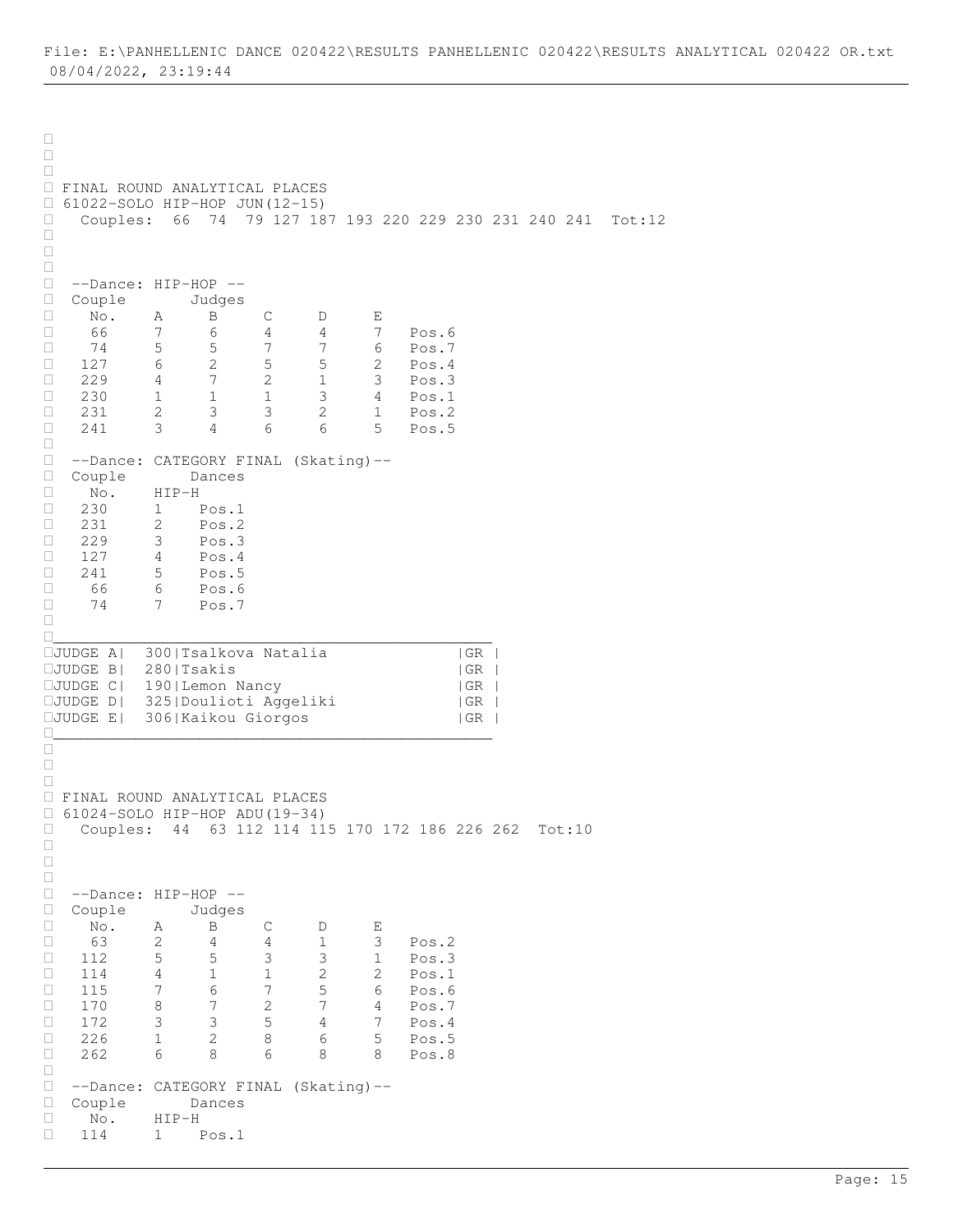$\Box$  $\Box$  $\Box$  FINAL ROUND ANALYTICAL PLACES  $\Box$  61022-SOLO HIP-HOP JUN(12-15)<br> $\Box$  Couples: 66 74 79 127 18 Couples: 66 74 79 127 187 193 220 229 230 231 240 241 Tot:12  $\Box$  $\Box$  $\Box$ □ --Dance: HIP-HOP --<br>□ Couple Judges  $\Box$  Couple No. A B C D E 66 7 6 4 4 7 Pos.6 □ 66 7 6 4 4 7 Pos.6<br>□ 74 5 5 7 7 6 Pos.7<br>□ 127 6 2 5 5 2 Pos.4 □ 127 6 2 5 5 2 Pos.4 229 4 7 2 1 3 Pos.3  $\begin{array}{cccccccc} \Box & 229 & & 4 & & 7 & & 2 & & 1 & & 3 & & \text{Pos.3} \\ \Box & 230 & & 1 & & 1 & & 1 & & 3 & & 4 & & \text{Pos.1} \\ \Box & 231 & & 2 & & 3 & & 3 & & 2 & & 1 & & \text{Pos.2} \end{array}$  231 2 3 3 2 1 Pos.2 241 3 4 6 6 5 Pos.5  $\Box$  --Dance: CATEGORY FINAL (Skating)-- □ Couple Dances<br>□ No. HIP-H  $\begin{array}{ccc} \square & \text{No.} & \text{HIP-H} \\ \square & 230 & 1 & \text{I} \end{array}$ 230 1 Pos.1<br>231 2 Pos.2 □ 231 2 Pos.2<br>□ 229 3 Pos.3  $\begin{array}{cccc} \Box & 229 & 3 & \text{Pos.3} \\ \Box & 127 & 4 & \text{Pos.4} \end{array}$  $\begin{array}{cccc} \Box & 127 & 4 & \text{Pos.4} \\ \Box & 241 & 5 & \text{Pos.5} \end{array}$  $\begin{array}{cccc} \Box & 241 & 5 & \text{Pos.5} \\ \Box & 66 & 6 & \text{Pos.6} \end{array}$  66 6 Pos.6 74 7 Pos.7  $\Box$ \_\_\_\_\_\_\_\_\_\_\_\_\_\_\_\_\_\_\_\_\_\_\_\_\_\_\_\_\_\_\_\_\_\_\_\_\_\_\_\_\_\_\_\_\_\_\_\_ JUDGE A| 300|Tsalkova Natalia |GR | JUDGE B| 280|Tsakis |GR | JUDGE C| 190|Lemon Nancy |GR | JUDGE D| 325|Doulioti Aggeliki |GR | JUDGE E| 306|Kaikou Giorgos |GR | \_\_\_\_\_\_\_\_\_\_\_\_\_\_\_\_\_\_\_\_\_\_\_\_\_\_\_\_\_\_\_\_\_\_\_\_\_\_\_\_\_\_\_\_\_\_\_\_  $\frac{\Box}{\Box}$  $\Box$  $\Box$  FINAL ROUND ANALYTICAL PLACES 61024-SOLO HIP-HOP ADU(19-34) Couples: 44 63 112 114 115 170 172 186 226 262 Tot:10  $\Box$  $\Box$  $\Box$ □ --Dance: HIP-HOP --<br>□ Couple Judges □ Couple Judges<br>□ No. A B No. A B C D E  $\Box$  63 2 4 4 1 3 Pos. 2<br> $\Box$  112 5 5 3 3 1 Pos. 3 □ 112 5 5 3 3 1 Pos.3<br>□ 114 4 1 1 2 2 Pos.1 Pos.1 115 7 6 7 5 6 Pos.6 □ 170 8 7 2 7 4 Pos.7<br>□ 172 3 3 5 4 7 Pos.4 □ 172 3 3 5 4 7 Pos.4 226 1 2 8 6 5 Pos.5 262 6 8 6 8 8 Pos.8  $\begin{array}{c} \square \\ \square \end{array}$  --Dance: CATEGORY FINAL (Skating)-- Couple Dances No. HIP-H 114 1 Pos.1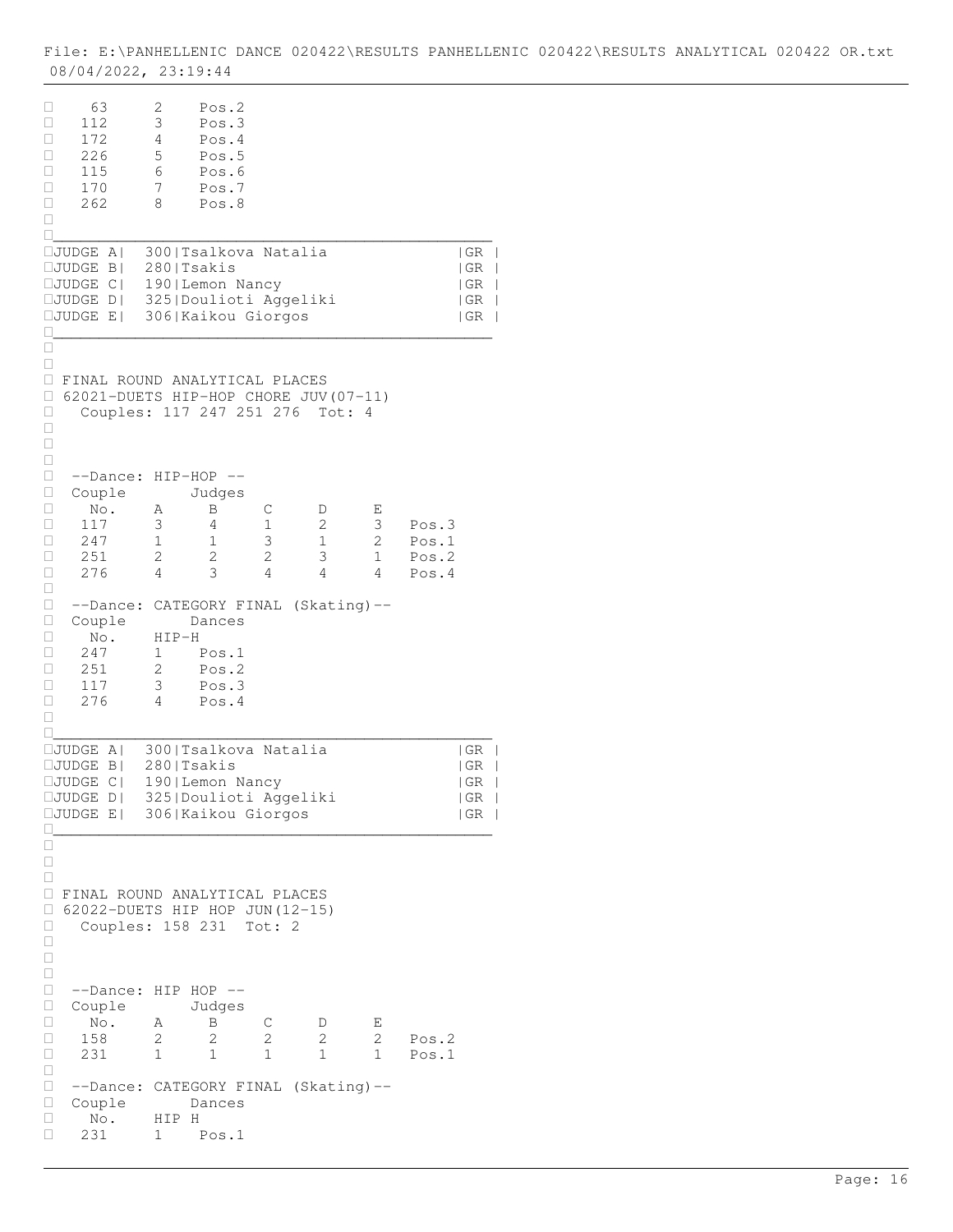| O20422\RESULTS PANHELLENIC 020422\RESULTS ANALYTICAL 0<br>020422<br>OR.txt<br>' E:\PANHELLENIC DANCE \<br>File: |
|-----------------------------------------------------------------------------------------------------------------|
| 08/04/2022 <b>,</b><br>ソス・TU・<br>ムン・エフ・ココ                                                                       |

| □<br>63<br>112<br>∟<br>$\Box$<br>172<br>$\Box$<br>226<br>□<br>115<br>□<br>170<br>$\Box$<br>262<br>□                                                 | 2<br>3<br>4<br>5<br>6<br>7<br>8       | Pos.2<br>Pos.3<br>Pos.4<br>Pos.5<br>Pos.6<br>Pos.7<br>Pos.8                                    |                       |                                 |                                 |                                                               |
|-----------------------------------------------------------------------------------------------------------------------------------------------------|---------------------------------------|------------------------------------------------------------------------------------------------|-----------------------|---------------------------------|---------------------------------|---------------------------------------------------------------|
| □JUDGE A <br>$\square$ JUDGE<br>$B \mid$<br>$\square$ JUDGE<br>$C \mid$<br>$\Box \texttt{UDE}$ D <br>JUDGE E                                        | 280   Tsakis                          | 300   Tsalkova Natalia<br>190   Lemon Nancy<br>325   Doulioti Aggeliki<br>306   Kaikou Giorgos |                       |                                 |                                 | GR <br> GR<br>  GR<br>$\Box$<br> GR <br>  GR<br>$\mathcal{L}$ |
| Ш<br>□<br><b>E FINAL ROUND ANALYTICAL PLACES</b><br>□<br>62021-DUETS HIP-HOP CHORE JUV (07-11)<br>Couples: 117 247 251 276<br>Ц<br>$\Box$<br>□<br>□ |                                       |                                                                                                |                       | Tot:                            | 4                               |                                                               |
| □<br>--Dance:<br>□<br>Couple<br>□<br>No.<br>117<br>□<br>$\Box$<br>247<br>$\Box$<br>251<br>276<br>□                                                  | $HIP-HOP$ --<br>Α<br>3<br>1<br>2<br>4 | Judges<br>Β<br>4<br>$\mathbf 1$<br>2<br>3                                                      | С<br>1<br>3<br>2<br>4 | D<br>2<br>$\mathbf 1$<br>3<br>4 | E<br>3<br>2<br>$\mathbf 1$<br>4 | Pos.3<br>Pos.1<br>Pos.2<br>Pos.4                              |
| □<br>$\Box$<br>--Dance: CATEGORY FINAL (Skating)--<br>$\Box$<br>Couple<br>□<br>No.<br>$\Box$<br>247<br>$\Box$<br>251<br>117<br>□<br>276<br>□<br>П   | $HIP-H$<br>1<br>2<br>3<br>4           | Dances<br>Pos.1<br>Pos.2<br>Pos.3<br>Pos.4                                                     |                       |                                 |                                 |                                                               |
| $\square$ JUDGE<br>$A \mid$<br>$\square$ JUDGE<br>$\vert B \vert$<br>$\square$ JUDGE<br> C <br>□JUDGE D  325 Doulioti Aggeliki<br>JUDGE E           | 280   Tsakis                          | 300   Tsalkova Natalia<br>190 Lemon Nancy<br>306 Kaikou Giorgos                                |                       |                                 |                                 | GR<br>  GR<br> GR<br> GR<br> GR<br>$\overline{\phantom{a}}$   |
| □<br>□<br>□<br>□.<br>FINAL ROUND ANALYTICAL PLACES<br>□<br>62022-DUETS HIP HOP JUN (12-15)<br>Couples: 158 231<br>u<br>□<br>□<br>□                  |                                       |                                                                                                | Tot: 2                |                                 |                                 |                                                               |
| □<br>--Dance:<br>$\Box$<br>Couple<br>□<br>$\mathrm{No}$ .<br>158<br>□<br>$\Box$<br>231                                                              | HIP<br>Α<br>2<br>$\mathbf{1}$         | $HOP$ --<br>Judges<br>Β<br>2<br>$\mathbf{1}$                                                   | С<br>2<br>1           | D<br>2<br>1                     | Е<br>2<br>$\mathbf{1}$          | Pos.2<br>Pos.1                                                |
| $\Box$<br>$\Box$<br>--Dance:<br>$\Box$<br>Couple<br>$\Box$<br>$\mathbb{N} \circ$ .<br>□<br>231                                                      | HIP<br>Η<br>1                         | CATEGORY FINAL (Skating)--<br>Dances<br>Pos.1                                                  |                       |                                 |                                 |                                                               |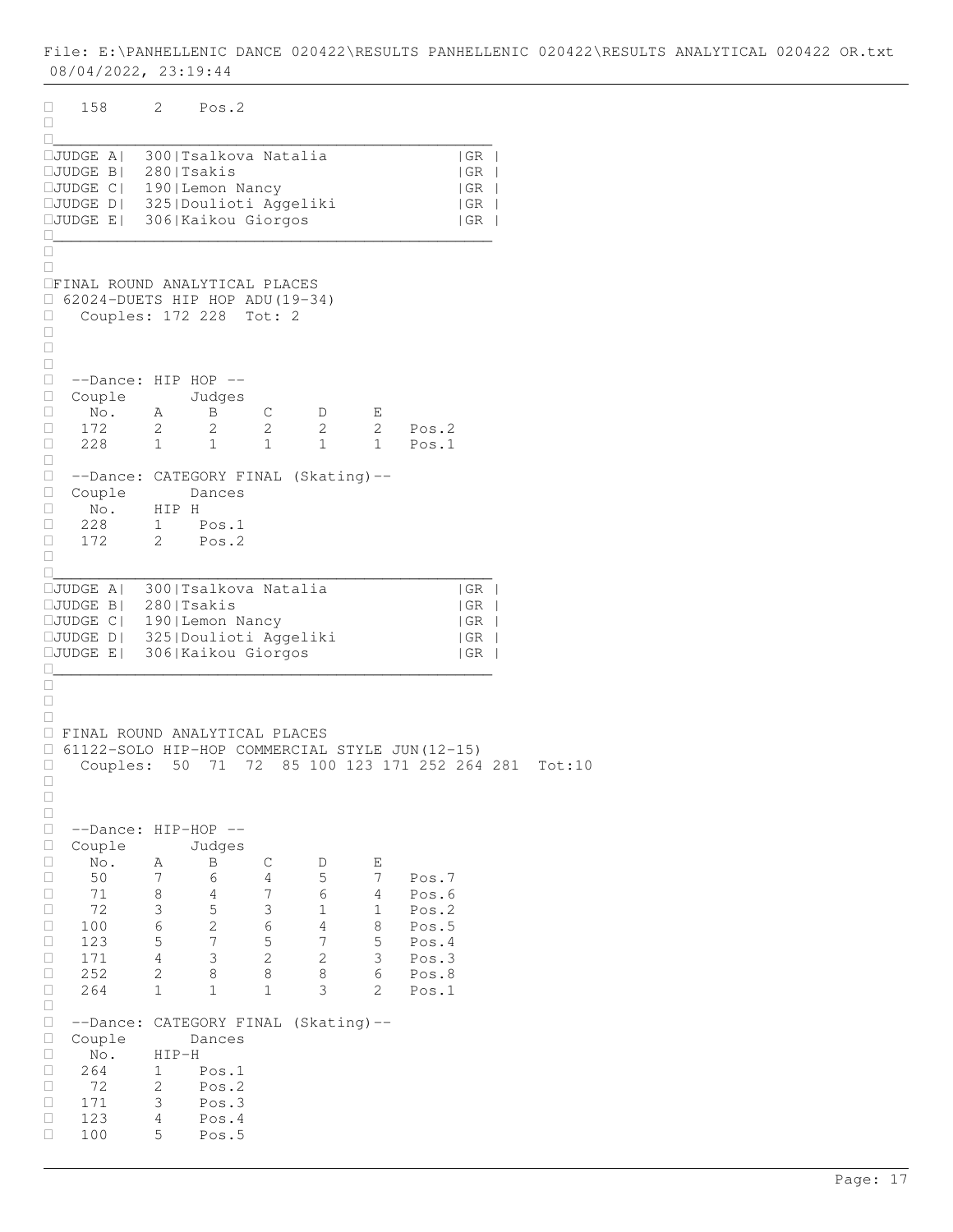| 0                | 158                                                                      | 2                 | Pos.2                    |                     |                |                   |                |                                         |
|------------------|--------------------------------------------------------------------------|-------------------|--------------------------|---------------------|----------------|-------------------|----------------|-----------------------------------------|
| □<br>□           |                                                                          |                   |                          |                     |                |                   |                |                                         |
|                  | □JUDGE A  300 Tsalkova Natalia<br>$\Box$ JUDGE B                         | 280   Tsakis      |                          |                     |                |                   |                | GR <br> GR                              |
|                  | <b>CJUDGE C  190 Lemon Nancy</b>                                         |                   |                          |                     |                |                   |                | $\vert$ GR                              |
|                  | □JUDGE D  325 Doulioti Aggeliki<br>□JUDGE E  306 Kaikou Giorgos          |                   |                          |                     |                |                   |                | GR <br> GR <br>$\overline{\phantom{a}}$ |
| 0                |                                                                          |                   |                          |                     |                |                   |                |                                         |
| □<br>0           |                                                                          |                   |                          |                     |                |                   |                |                                         |
|                  | <b>IFINAL ROUND ANALYTICAL PLACES</b><br>62024-DUETS HIP HOP ADU (19-34) |                   |                          |                     |                |                   |                |                                         |
| $\Box$<br>Ц      | Couples: 172 228                                                         |                   |                          | Tot: 2              |                |                   |                |                                         |
| 0<br>$\Box$      |                                                                          |                   |                          |                     |                |                   |                |                                         |
| $\Box$           |                                                                          |                   |                          |                     |                |                   |                |                                         |
| 0<br>$\Box$      | $--Dance: HIP HOP --$<br>Couple                                          |                   | Judges                   |                     |                |                   |                |                                         |
| $\Box$           | No.                                                                      | Α                 | B                        | С                   | D              | Е                 |                |                                         |
| о<br>$\Box$      | 172<br>228                                                               | 2<br>$\mathbf{1}$ | 2<br>1                   | $\overline{2}$<br>1 | 2<br>1         | 2<br>$\mathbf{1}$ | Pos.2<br>Pos.1 |                                         |
| $\Box$           |                                                                          |                   |                          |                     |                |                   |                |                                         |
| 0<br>0           | --Dance: CATEGORY FINAL (Skating)--<br>Couple                            |                   | Dances                   |                     |                |                   |                |                                         |
| 0                | $\mathbb N \circ$ .                                                      | HIP H             |                          |                     |                |                   |                |                                         |
| $\Box$<br>0      | 228<br>172                                                               | 1<br>2            | Pos.1<br>Pos.2           |                     |                |                   |                |                                         |
| □                |                                                                          |                   |                          |                     |                |                   |                |                                         |
| 0                | $\Box \texttt{JUDGE A}$                                                  |                   | 300   Tsalkova Natalia   |                     |                |                   |                | GR                                      |
|                  | □JUDGE B  280 Tsakis                                                     |                   |                          |                     |                |                   |                | GR<br>$\vert$ GR                        |
|                  | □JUDGE C  190 Lemon Nancy<br>□JUDGE D  325 Doulioti Aggeliki             |                   |                          |                     |                |                   |                | GR <br>$\blacksquare$                   |
| Ш                | □JUDGE E  306 Kaikou Giorgos                                             |                   |                          |                     |                |                   |                | GR                                      |
| □                |                                                                          |                   |                          |                     |                |                   |                |                                         |
| $\Box$<br>□      |                                                                          |                   |                          |                     |                |                   |                |                                         |
|                  | <b>I FINAL ROUND ANALYTICAL PLACES</b>                                   |                   |                          |                     |                |                   |                |                                         |
| Ω.<br>о          | 61122-SOLO HIP-HOP COMMERCIAL STYLE JUN(12-15)<br>Couples:               | 50                | 71                       | 72                  |                |                   |                | 85 100 123 171 252 264 281<br>Tot:10    |
| u<br>О           |                                                                          |                   |                          |                     |                |                   |                |                                         |
| О                |                                                                          |                   |                          |                     |                |                   |                |                                         |
| $\Box$<br>$\Box$ | --Dance:<br>Couple                                                       |                   | $HIP-HOP$ --<br>Judges   |                     |                |                   |                |                                         |
| $\Box$           | No.                                                                      | Α                 | $\, {\bf B}$             | С                   | D              | Е                 |                |                                         |
| □<br>□           | 50<br>71                                                                 | 7<br>8            | 6<br>4                   | 4<br>7              | 5<br>6         | 7<br>4            | Pos.7<br>Pos.6 |                                         |
| $\Box$           | 72                                                                       | 3                 | $\mathsf S$              | 3                   | $1\,$          | $\mathbf 1$       | Pos.2          |                                         |
| □<br>□           | 100<br>123                                                               | 6<br>5            | $\sqrt{2}$<br>7          | 6<br>5              | 4<br>7         | 8<br>5            | Pos.5<br>Pos.4 |                                         |
| $\Box$           | 171                                                                      | $\overline{4}$    | 3                        | 2                   | $\mathbf{2}$   | 3                 | Pos.3          |                                         |
| $\Box$<br>О      | 252<br>264                                                               | $\mathbf 2$<br>1  | 8<br>$\mathbf 1$         | 8<br>1              | 8<br>3         | 6<br>2            | Pos.8<br>Pos.1 |                                         |
| □                |                                                                          |                   |                          |                     |                |                   |                |                                         |
| 0<br>$\Box$      | --Dance:<br>Couple                                                       |                   | CATEGORY FINAL<br>Dances |                     | $(Skating)$ -- |                   |                |                                         |
| О<br>о           | No.<br>264                                                               | $HIP-H$<br>1      | Pos.1                    |                     |                |                   |                |                                         |
| $\Box$           | 72                                                                       | 2                 | Pos.2                    |                     |                |                   |                |                                         |
| О<br>□           | 171<br>123                                                               | 3<br>4            | Pos.3<br>Pos.4           |                     |                |                   |                |                                         |
| 0                | 100                                                                      | 5                 | Pos.5                    |                     |                |                   |                |                                         |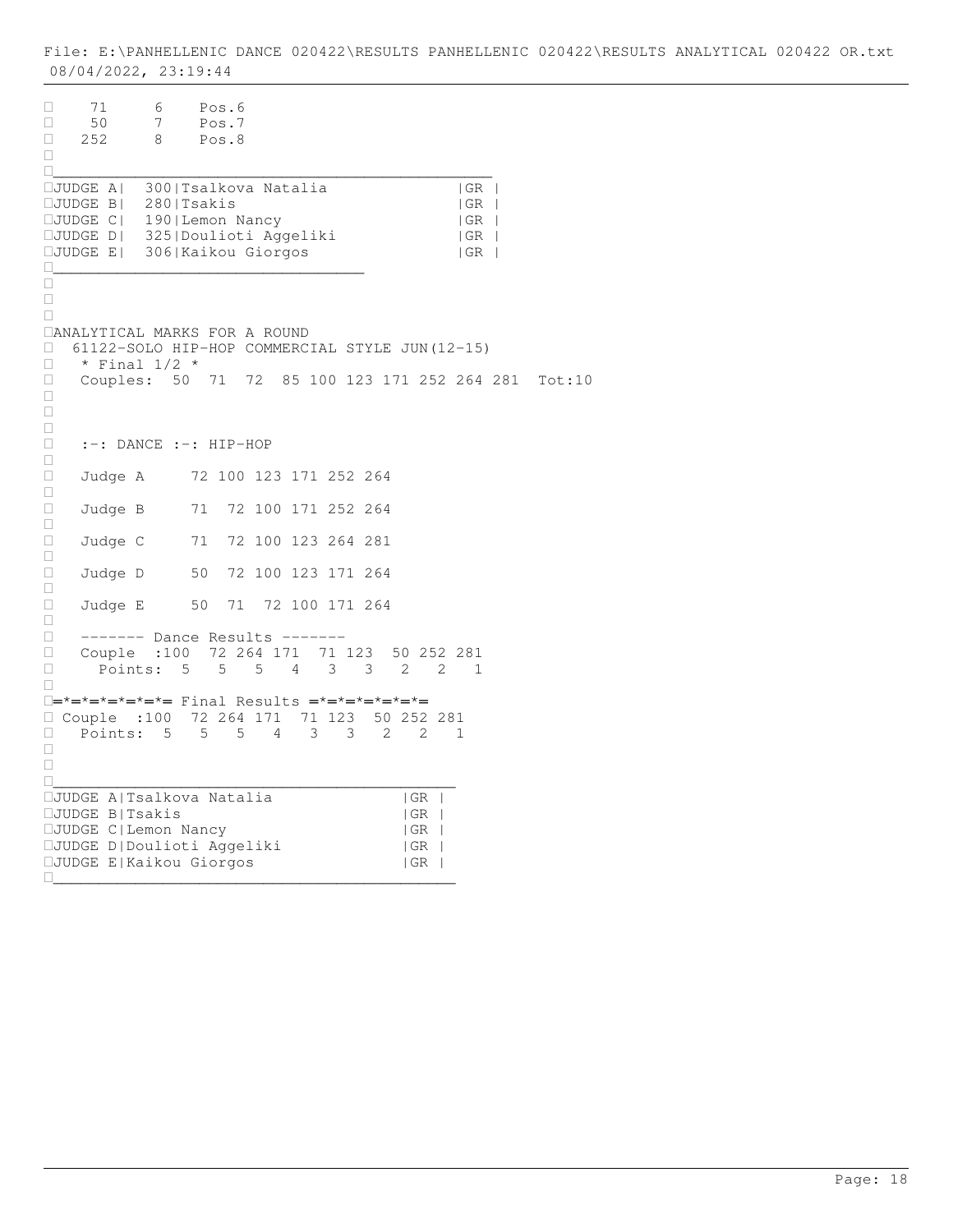71 6 Pos.6 50 7 Pos.7 252 8 Pos.8  $\Box$ \_\_\_\_\_\_\_\_\_\_\_\_\_\_\_\_\_\_\_\_\_\_\_\_\_\_\_\_\_\_\_\_\_\_\_\_\_\_\_\_\_\_\_\_\_\_\_\_ JUDGE A| 300|Tsalkova Natalia |GR |  $\square$ JUDGE B $\vert$  280|Tsakis  $\vert$  GR  $\vert$ JUDGE C| 190|Lemon Nancy |GR | JUDGE D| 325|Doulioti Aggeliki |GR | JUDGE E| 306|Kaikou Giorgos |GR | \_\_\_\_\_\_\_\_\_\_\_\_\_\_\_\_\_\_\_\_\_\_\_\_\_\_\_\_\_\_\_\_\_\_  $\Box$  $\Box$  $\Box$ ANALYTICAL MARKS FOR A ROUND 61122-SOLO HIP-HOP COMMERCIAL STYLE JUN(12-15)  $\Box$  \* Final 1/2 \* Couples: 50 71 72 85 100 123 171 252 264 281 Tot:10  $\Box$  $\Box$  $\Box$  :-: DANCE :-: HIP-HOP  $\Box$ □ Judge A 72 100 123 171 252 264  $\Box$ □ Judge B 71 72 100 171 252 264  $\Box$ □ Judge C 71 72 100 123 264 281  $\Box$ □ Judge D 50 72 100 123 171 264  $\Box$  Judge E 50 71 72 100 171 264  $\Box$  ------- Dance Results ------- Couple :100 72 264 171 71 123 50 252 281 Points: 5 5 5 4 3 3 2 2 1  $\Box$ ═\*═\*═\*═\*═\*═\*═ Final Results ═\*═\*═\*═\*═\*═\*═ Couple :100 72 264 171 71 123 50 252 281 Points: 5 5 5 4 3 3 2 2 1  $\Box$  $\Box$ \_\_\_\_\_\_\_\_\_\_\_\_\_\_\_\_\_\_\_\_\_\_\_\_\_\_\_\_\_\_\_\_\_\_\_\_\_\_\_\_\_\_\_\_ JUDGE A|Tsalkova Natalia |GR | JUDGE B|Tsakis |GR | JUDGE C|Lemon Nancy |GR | JUDGE D|Doulioti Aggeliki |GR | JUDGE E|Kaikou Giorgos |GR | \_\_\_\_\_\_\_\_\_\_\_\_\_\_\_\_\_\_\_\_\_\_\_\_\_\_\_\_\_\_\_\_\_\_\_\_\_\_\_\_\_\_\_\_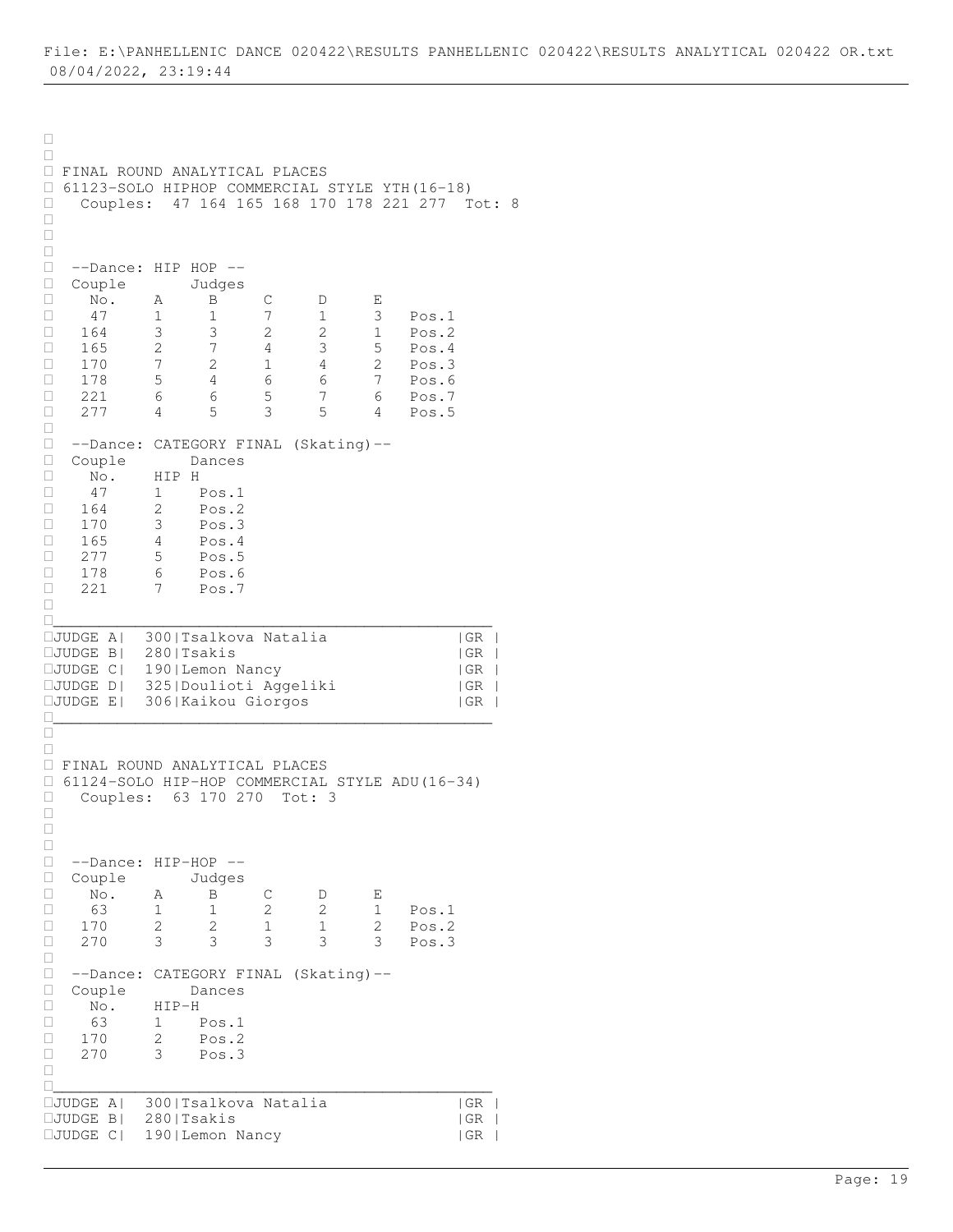```
\Box\Box FINAL ROUND ANALYTICAL PLACES 
□ 61123-SOLO HIPHOP COMMERCIAL STYLE YTH(16-18)<br>□ Couples: 47 164 165 168 170 178 221 277 T
    Couples: 47 164 165 168 170 178 221 277 Tot: 8
\Box\Box\Box --Dance: HIP HOP --
□ Couple Judges<br>□ No. A B
\Box No. A \overline{B} C D E
 47 1 1 7 1 3 Pos.1
 164 3 3 2 2 1 Pos.2
□ 165 2 7 4 3 5 Pos.4
□ 170 7 2 1 4 2 Pos.3
 178 5 4 6 6 7 Pos.6
□ 221 6 6 5 7 6 Pos.7
 277 4 5 3 5 4 Pos.5
\Box --Dance: CATEGORY FINAL (Skating)--
 Couple Dances
\begin{array}{ccc} \Box & \Box \Box \ \Box & \text{No.} & \text{HIP H} \\ \Box & 47 & 1 & \text{F} \end{array}\begin{array}{cccc} \Box & 47 & 1 & \text{Pos.1} \\ \Box & 164 & 2 & \text{Pos.2} \end{array}164 2 Pos.2
170 3 Pos.3
\Box 165 4 Pos.4
\Box 277 5 Pos.5
178 6 Pos.6
 221 7 Pos.7
\Box________________________________________________
JUDGE A| 300|Tsalkova Natalia |GR |
JUDGE B| 280|Tsakis |GR |
JUDGE C| 190|Lemon Nancy |GR |
JUDGE D| 325|Doulioti Aggeliki |GR |
JUDGE E| 306|Kaikou Giorgos |GR |
________________________________________________
\Box\Box FINAL ROUND ANALYTICAL PLACES 
 61124-SOLO HIP-HOP COMMERCIAL STYLE ADU(16-34) 
Couples: 63 170 270 Tot: 3
\Box\Box\Box --Dance: HIP-HOP --
□ Couple Judges<br>□ No. A B
 No. A B C D E
□ 63 1 1 2 2 1 Pos.1<br>□ 170 2 2 1 1 2 Pos.2
□ 170 2 2 1 1 2 Pos.2<br>□ 270 3 3 3 3 3 Pos.3
                            3 3 Pos.3
\Box --Dance: CATEGORY FINAL (Skating)--
 Couple Dances
 No. HIP-H
\begin{array}{cccc} \Box & 63 & 1 & \text{Pos.1} \\ \Box & 170 & 2 & \text{Pos.2} \end{array}2 \text{ Pos.} 2 270 3 Pos.3
\Box________________________________________________
JUDGE A| 300|Tsalkova Natalia |GR |
JUDGE B| 280|Tsakis |GR |
JUDGE C| 190|Lemon Nancy |GR |
```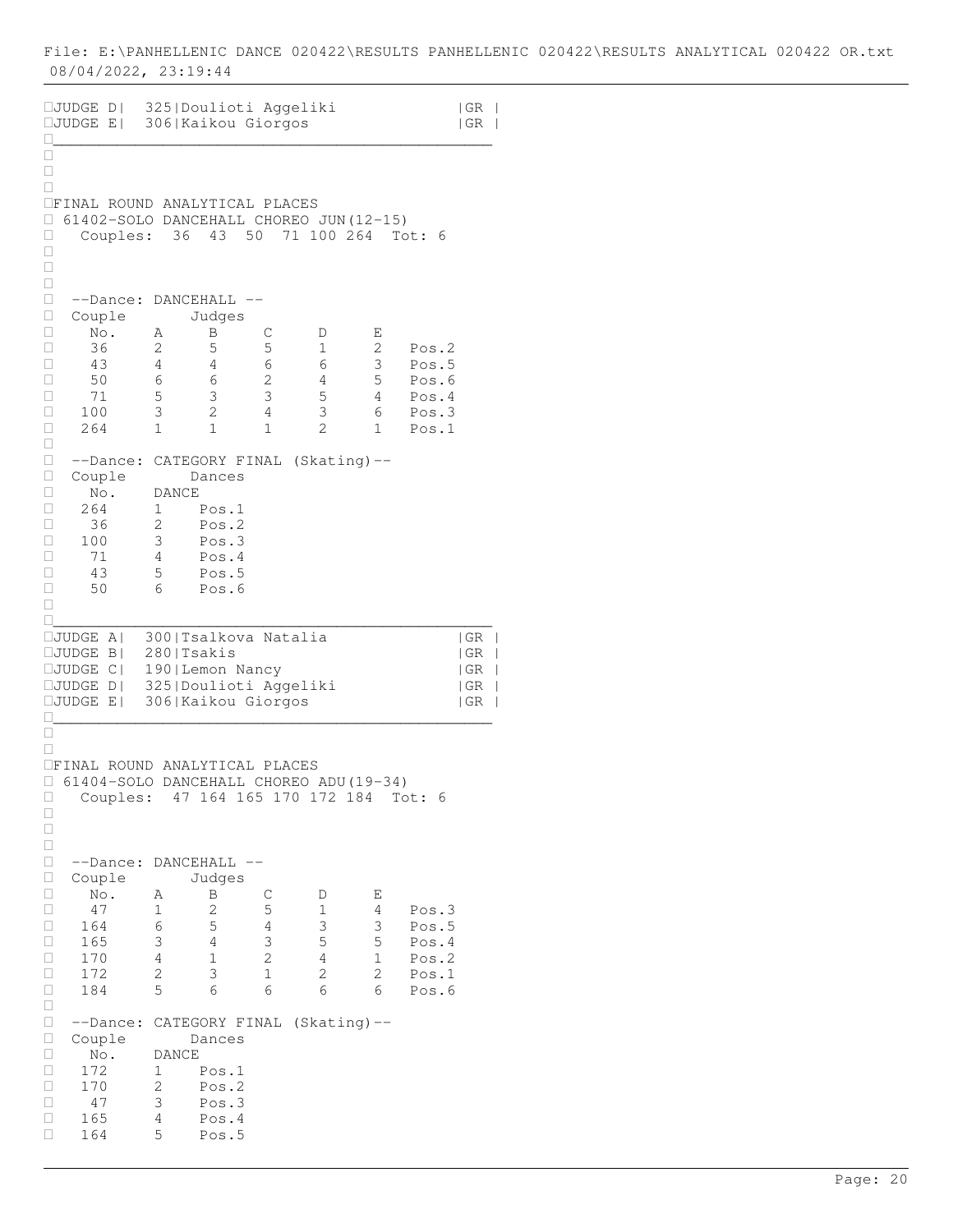```
JUDGE D| 325|Doulioti Aggeliki |GR |
JUDGE E| 306|Kaikou Giorgos |GR |
________________________________________________
\overline{\square}\Box\BoxFINAL ROUND ANALYTICAL PLACES 
\Box 61402-SOLO DANCEHALL CHOREO JUN(12-15)<br>\Box Couples: 36 43 50 71 100 264 To
      Couples: 36 43 50 71 100 264 Tot: 6
\Box\Box\Box --Dance: DANCEHALL --
 Couple Judges
□ No. A B C D E<br>□ 36 2 5 5 1 2
□ 36 2 5 5 1 2 Pos.2<br>□ 43 4 4 6 6 3 Pos.5
\begin{array}{cccccccc} \Box & 43 & 4 & 4 & 6 & 6 & 3 & \text{Pos.5} \\ \Box & 50 & 6 & 6 & 2 & 4 & 5 & \text{Pos.6} \end{array}□ 50 6 6 2 4 5 Pos.6<br>□ 71 5 3 3 5 4 Pos.4
\begin{array}{cccccccc} \Box & 71 & 5 & 3 & 3 & 5 & 4 & \text{Pos.4} \\ \Box & 100 & 3 & 2 & 4 & 3 & 6 & \text{Pos.3} \end{array} 100 3 2 4 3 6 Pos.3
 264 1 1 1 2 1 Pos.1
\Box --Dance: CATEGORY FINAL (Skating)--
□ Couple Dances<br>□ No. DANCE
\begin{array}{ccc} \square & \text{No.} & \text{DANCE} \\ \square & 264 & 1 \end{array}Pos.1
\begin{tabular}{|c|c|c|c|c|} \hline $\quad$ & 36 & $\quad$ 2 & $\quad$ Pos.2 \\ \hline $\quad$ & 100 & $\quad$ 3 & $\quad$ Pos.3 \\ \hline \end{tabular}\begin{array}{cccc} \Box & 100 & 3 & \text{Pos.3} \\ \Box & 71 & 4 & \text{Pos.4} \end{array}\begin{array}{ccccccccc}\n\Box & & 71 & & 4 & & \text{Pos.4} \\
\Box & & 43 & & 5 & & \text{Pos.5}\n\end{array}\begin{array}{cccc} \Box & 43 & 5 & \text{Pos.5} \\ \Box & 50 & 6 & \text{Pos.6} \end{array} 50 6 Pos.6
\Box________________________________________________
JUDGE A| 300|Tsalkova Natalia |GR |
JUDGE B| 280|Tsakis |GR |
JUDGE C| 190|Lemon Nancy |GR |
JUDGE D| 325|Doulioti Aggeliki |GR |
JUDGE E| 306|Kaikou Giorgos |GR |
________________________________________________
\Box\BoxFINAL ROUND ANALYTICAL PLACES 
 61404-SOLO DANCEHALL CHOREO ADU(19-34) 
 Couples: 47 164 165 170 172 184 Tot: 6
\Box\Box\Box□ --Dance: DANCEHALL --<br>□ Couple Judges
□ Couple Judges<br>□ No. A B
□ No. A B C D E<br>□ 47 1 2 5 1 4
 47 1 2 5 1 4 Pos.3
□ 164 6 5 4 3 3 Pos.5<br>□ 165 3 4 3 5 5 Pos.4
\begin{array}{cccccccc} \Box & 165 & 3 & 4 & 3 & 5 & 5 & \text{Pos.4} \\ \Box & 170 & 4 & 1 & 2 & 4 & 1 & \text{Pos.2} \end{array} 170 4 1 2 4 1 Pos.2
 172 2 3 1 2 2 Pos.1
 184 5 6 6 6 6 Pos.6
\Box --Dance: CATEGORY FINAL (Skating)--
 Couple Dances
□ No. DANCE<br>□ 172 1 H
\begin{array}{cccc} \Box & 172 & 1 & \text{Pos.1} \\ \Box & 170 & 2 & \text{Pos.2} \end{array}\begin{array}{cccc} \Box & 170 & 2 & \text{Pos.2} \\ \Box & 47 & 3 & \text{Pos.3} \end{array}3 Pos.3
 165 4 Pos.4
 164 5 Pos.5
```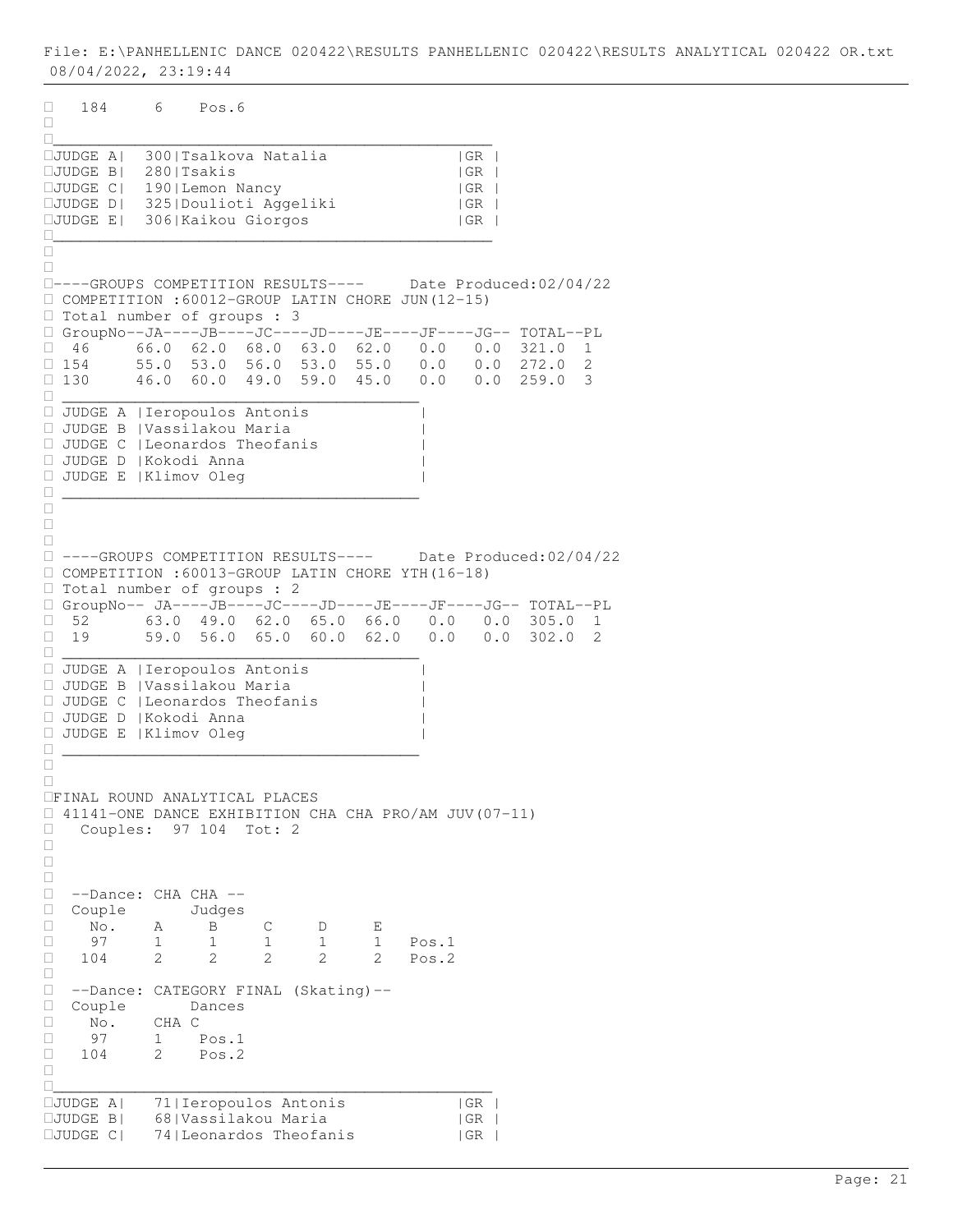184 6 Pos.6  $\Box$ \_\_\_\_\_\_\_\_\_\_\_\_\_\_\_\_\_\_\_\_\_\_\_\_\_\_\_\_\_\_\_\_\_\_\_\_\_\_\_\_\_\_\_\_\_\_\_\_ JUDGE A| 300|Tsalkova Natalia |GR |  $\square$ JUDGE B $\vert$  280|Tsakis  $\vert$  GR  $\vert$ JUDGE C| 190|Lemon Nancy |GR | JUDGE D| 325|Doulioti Aggeliki |GR | JUDGE E| 306|Kaikou Giorgos |GR | \_\_\_\_\_\_\_\_\_\_\_\_\_\_\_\_\_\_\_\_\_\_\_\_\_\_\_\_\_\_\_\_\_\_\_\_\_\_\_\_\_\_\_\_\_\_\_\_  $\Box$  $\Box$ ----GROUPS COMPETITION RESULTS---- Date Produced:02/04/22 COMPETITION :60012-GROUP LATIN CHORE JUN(12-15) □ Total number of groups : 3 GroupNo--JA----JB----JC----JD----JE----JF----JG-- TOTAL--PL  $\Box$  46 66.0 62.0 68.0 63.0 62.0 0.0 0.0 321.0 1<br> $\Box$  154 55.0 53.0 56.0 53.0 55.0 0.0 0.0 272.0 2  $\Box$  154 55.0 53.0 56.0 53.0 55.0 0.0 0.0 272.0 2<br> $\Box$  130 46.0 60.0 49.0 59.0 45.0 0.0 0.0 259.0 3  $\Box$  130 46.0 60.0 49.0 59.0 45.0 0.0 0.0 259.0 3 \_\_\_\_\_\_\_\_\_\_\_\_\_\_\_\_\_\_\_\_\_\_\_\_\_\_\_\_\_\_\_\_\_\_\_\_\_\_\_ JUDGE A |Ieropoulos Antonis | JUDGE B |Vassilakou Maria | JUDGE C |Leonardos Theofanis | JUDGE D |Kokodi Anna | JUDGE E |Klimov Oleg | \_\_\_\_\_\_\_\_\_\_\_\_\_\_\_\_\_\_\_\_\_\_\_\_\_\_\_\_\_\_\_\_\_\_\_\_\_\_\_  $\Box$  $\Box$  $\Box$  ----GROUPS COMPETITION RESULTS---- Date Produced:02/04/22 COMPETITION :60013-GROUP LATIN CHORE YTH(16-18) □ Total number of groups : 2 GroupNo-- JA----JB----JC----JD----JE----JF----JG-- TOTAL--PL  $\Box$  52 63.0 49.0 62.0 65.0 66.0 0.0 0.0 305.0 1<br> $\Box$  19 59.0 56.0 65.0 60.0 62.0 0.0 0.0 302.0 2 19 59.0 56.0 65.0 60.0 62.0 0.0 0.0 302.0 2 \_\_\_\_\_\_\_\_\_\_\_\_\_\_\_\_\_\_\_\_\_\_\_\_\_\_\_\_\_\_\_\_\_\_\_\_\_\_\_ JUDGE A |Ieropoulos Antonis | JUDGE B |Vassilakou Maria | JUDGE C |Leonardos Theofanis | JUDGE D |Kokodi Anna | JUDGE E |Klimov Oleg | \_\_\_\_\_\_\_\_\_\_\_\_\_\_\_\_\_\_\_\_\_\_\_\_\_\_\_\_\_\_\_\_\_\_\_\_\_\_\_  $\Box$  $\Box$ FINAL ROUND ANALYTICAL PLACES  $\Box$  41141-ONE DANCE EXHIBITION CHA CHA PRO/AM JUV(07-11)<br> $\Box$  Couples: 97 104 Tot: 2 Couples: 97 104 Tot: 2  $\Box$  $\Box$  $\Box$  --Dance: CHA CHA -- □ Couple Judges<br>□ No. A B No. A B C D E 97 1 1 1 1 1 Pos.1  $\begin{array}{cccccccc} \Box & 97 & 1 & 1 & 1 & 1 & 1 & \text{Pos.1} \\ \Box & 104 & 2 & 2 & 2 & 2 & 2 & \text{Pos.2} \end{array}$  $\Box$  --Dance: CATEGORY FINAL (Skating)-- Couple Dances  $\begin{array}{ccc} \Box & \text{No.} & \text{CHA} & C \\ \Box & 97 & 1 & P \end{array}$  97 1 Pos.1 104 2 Pos.2  $\Box$ \_\_\_\_\_\_\_\_\_\_\_\_\_\_\_\_\_\_\_\_\_\_\_\_\_\_\_\_\_\_\_\_\_\_\_\_\_\_\_\_\_\_\_\_\_\_\_\_ JUDGE A| 71|Ieropoulos Antonis |GR | JUDGE B| 68|Vassilakou Maria |GR | JUDGE C| 74|Leonardos Theofanis |GR |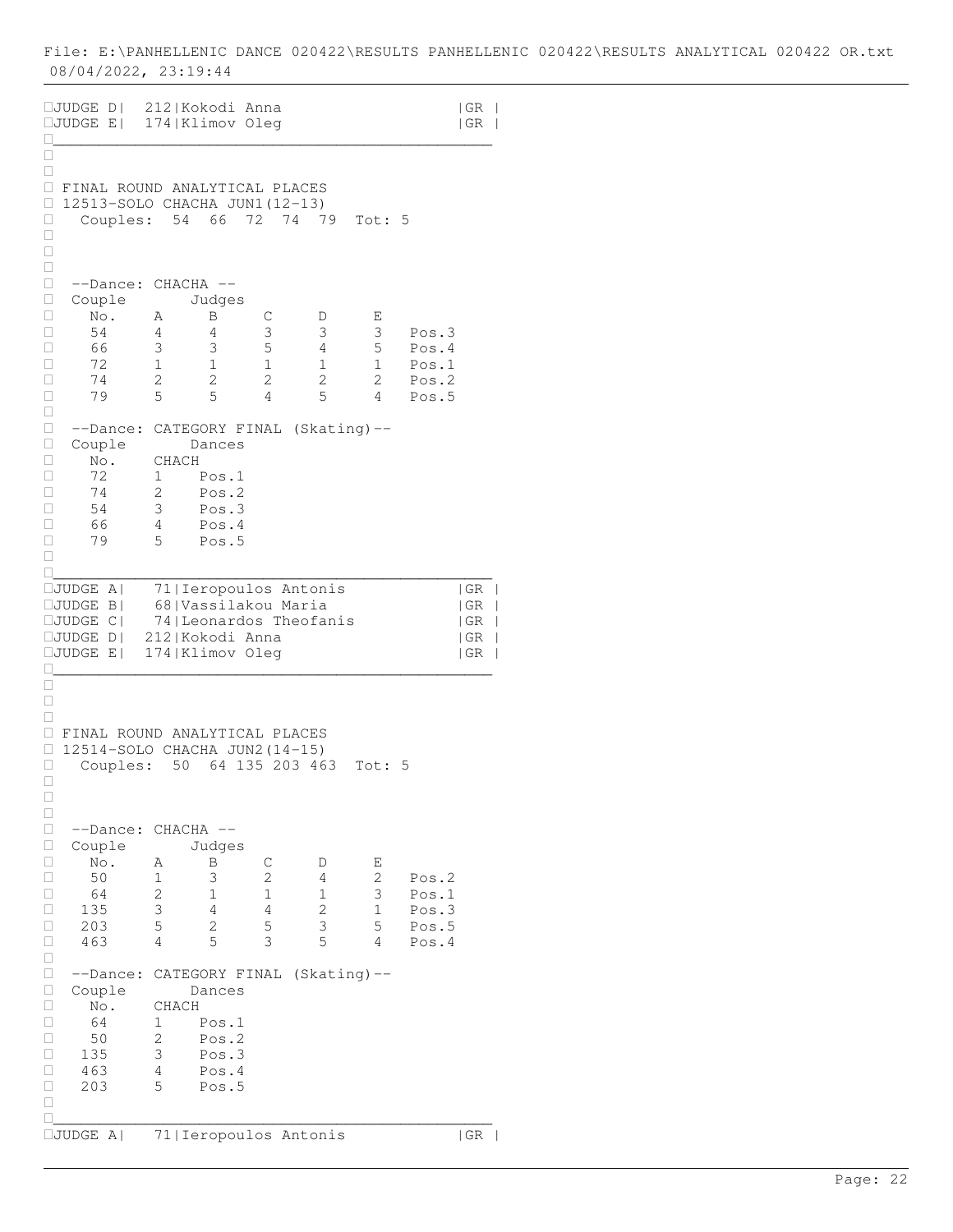| □JUDGE D  212 Kokodi Anna<br>□JUDGE E  174 Klimov Oleg                                                                                    |                                                                                                                                  |                                               |                                     |                                                    | GR<br>  GR                                |
|-------------------------------------------------------------------------------------------------------------------------------------------|----------------------------------------------------------------------------------------------------------------------------------|-----------------------------------------------|-------------------------------------|----------------------------------------------------|-------------------------------------------|
| □<br>□<br>O<br>□<br>$\Box$<br>Couples:<br>□<br>□                                                                                          | FINAL ROUND ANALYTICAL PLACES<br>12513-SOLO CHACHA JUN1 (12-13)<br>54 66                                                         | 72                                            | 74<br>79                            | Tot: 5                                             |                                           |
| $\Box$<br>□<br>--Dance:<br>□<br>Couple<br>□<br>No.<br>$\Box$<br>54<br>□<br>66<br>72<br>□<br>$\Box$<br>74<br>79<br>□                       | $CHACHA$ --<br>Judges<br>Β<br>Α<br>4<br>4<br>3<br>3<br>$\mathbf 1$<br>1<br>$\overline{c}$<br>$\overline{c}$<br>5<br>5            | С<br>3<br>5<br>1<br>2<br>4                    | D<br>3<br>4<br>1<br>2<br>5          | Е<br>3<br>5<br>$\mathbf{1}$<br>$\overline{2}$<br>4 | Pos.3<br>Pos.4<br>Pos.1<br>Pos.2<br>Pos.5 |
| $\Box$<br>$\Box$<br>--Dance:<br>$\Box$<br>Couple<br>□<br>No.<br>72<br>□<br>□<br>74<br>54<br>□<br>□<br>66<br>□<br>79<br>□                  | CATEGORY FINAL (Skating)--<br>Dances<br>CHACH<br>1<br>Pos.1<br>$\overline{2}$<br>Pos.2<br>3<br>Pos.3<br>Pos.4<br>4<br>5<br>Pos.5 |                                               |                                     |                                                    |                                           |
| П<br>$\square$ JUDGE<br>A  <br>$\square$ JUDGE B<br>$\square$ JUDGE C $\square$<br>$\square$ JUDGE D $\parallel$<br>$\square$ JUDGE E $ $ | 71   Ieropoulos Antonis<br>68   Vassilakou Maria<br>74   Leonardos Theofanis<br>212 Kokodi Anna<br>174   Klimov Oleg             |                                               |                                     |                                                    | GR<br>  GR<br> GR<br> GR<br>  GR          |
| O<br>□<br>□<br>□<br>0<br>Couples:<br>Ц<br>□<br>□                                                                                          | FINAL ROUND ANALYTICAL PLACES<br>12514-SOLO CHACHA JUN2 (14-15)<br>50                                                            |                                               | 64 135 203 463                      | Tot: 5                                             |                                           |
| □<br>О<br>--Dance:<br>$\Box$<br>Couple<br>$\Box$<br>No.<br>О<br>50<br>$\Box$<br>64<br>135<br>□<br>$\Box$<br>203<br>463<br>О               | CHACHA --<br>Judges<br>Α<br>Β<br>3<br>1<br>2<br>1<br>$\mathsf 3$<br>4<br>5<br>2<br>5<br>4                                        | С<br>2<br>$\mathbf 1$<br>$\sqrt{4}$<br>5<br>3 | D<br>4<br>1<br>$\sqrt{2}$<br>3<br>5 | Е<br>2<br>3<br>$\mathbf 1$<br>5<br>4               | Pos.2<br>Pos.1<br>Pos.3<br>Pos.5<br>Pos.4 |
| $\Box$<br>$\Box$<br>$--Dance:$<br>О<br>Couple<br>$\Box$<br>No.<br>64<br>□<br>$\Box$<br>50<br>135<br>□<br>$\Box$<br>463<br>203<br>□<br>□   | CATEGORY FINAL (Skating)--<br>Dances<br>CHACH<br>1<br>Pos.1<br>2<br>Pos.2<br>3<br>Pos.3<br>$\overline{4}$<br>Pos.4<br>5<br>Pos.5 |                                               |                                     |                                                    |                                           |
| П<br>□JUDGE A                                                                                                                             | 71   Ieropoulos Antonis                                                                                                          |                                               |                                     |                                                    | GR                                        |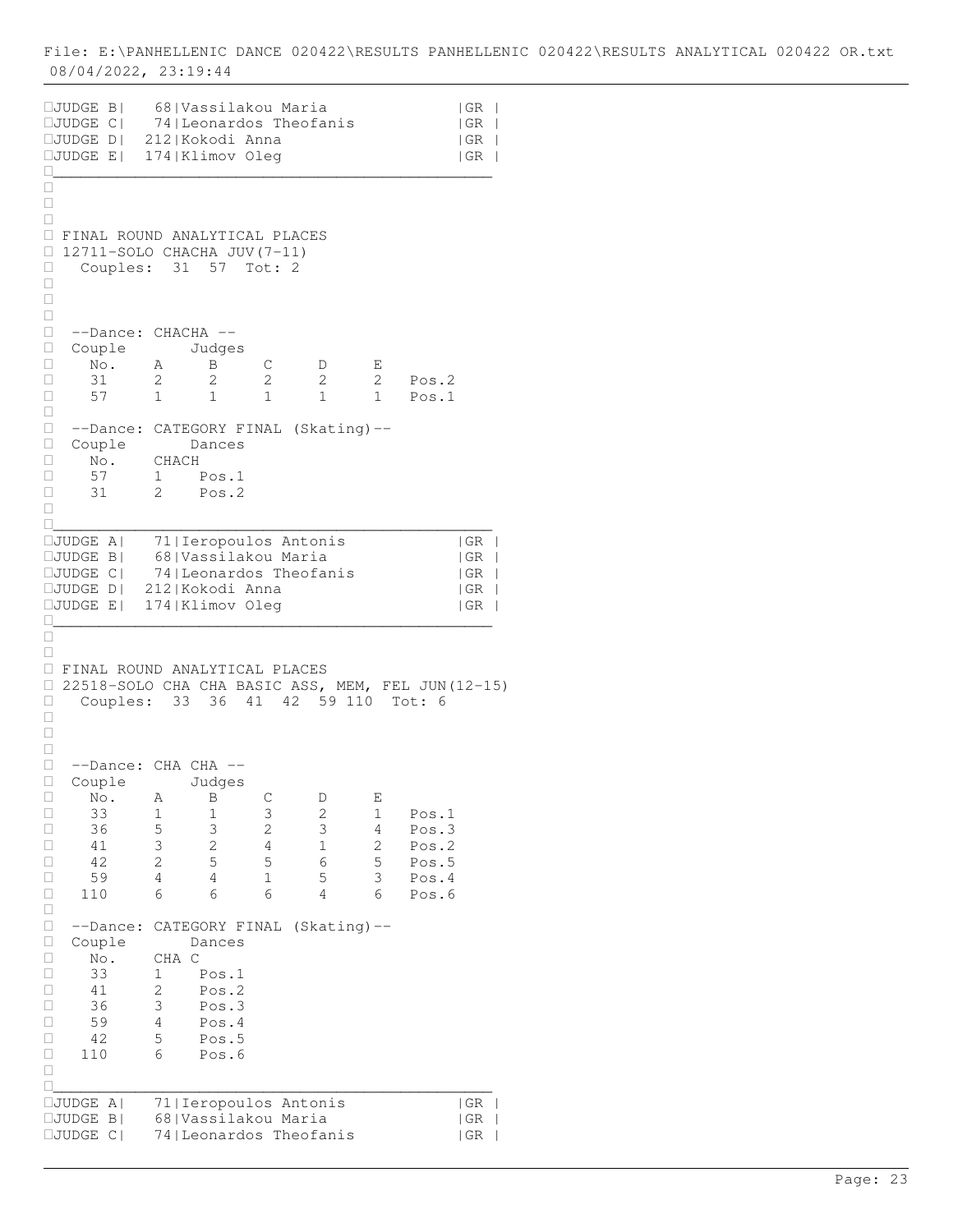JUDGE B| 68|Vassilakou Maria |GR | JUDGE C| 74|Leonardos Theofanis |GR | JUDGE D| 212|Kokodi Anna |GR | JUDGE E| 174|Klimov Oleg |GR | \_\_\_\_\_\_\_\_\_\_\_\_\_\_\_\_\_\_\_\_\_\_\_\_\_\_\_\_\_\_\_\_\_\_\_\_\_\_\_\_\_\_\_\_\_\_\_\_  $\Box$  $\Box$  $\Box$  FINAL ROUND ANALYTICAL PLACES  $\Box$  12711-SOLO CHACHA JUV(7-11) Couples: 31 57 Tot: 2  $\Box$  $\Box$  $\Box$  --Dance: CHACHA -- □ Couple Judges<br>□ No. A B  $\Box$  No. A  $\overline{B}$  C  $D$  E 31 2 2 2 2 2 Pos.2 □ 31 2 2 2 2 2 Pos.2<br>□ 57 1 1 1 1 1 Pos.1  $\Box$  --Dance: CATEGORY FINAL (Skating)-- Couple Dances No. CHACH 57 1 Pos.1 31 2 Pos.2  $\Box$ \_\_\_\_\_\_\_\_\_\_\_\_\_\_\_\_\_\_\_\_\_\_\_\_\_\_\_\_\_\_\_\_\_\_\_\_\_\_\_\_\_\_\_\_\_\_\_\_ JUDGE A| 71|Ieropoulos Antonis |GR | JUDGE B| 68|Vassilakou Maria |GR | JUDGE C| 74|Leonardos Theofanis |GR | JUDGE D| 212|Kokodi Anna |GR | JUDGE E| 174|Klimov Oleg |GR | \_\_\_\_\_\_\_\_\_\_\_\_\_\_\_\_\_\_\_\_\_\_\_\_\_\_\_\_\_\_\_\_\_\_\_\_\_\_\_\_\_\_\_\_\_\_\_\_  $\Box$  $\Box$  FINAL ROUND ANALYTICAL PLACES 22518-SOLO CHA CHA BASIC ASS, MEM, FEL JUN(12-15) Couples: 33 36 41 42 59 110 Tot: 6  $\Box$  $\Box$  $\Box$  --Dance: CHA CHA -- □ Couple Judges<br>□ No. A B C  $\Box$  No. A  $\overline{B}$  C  $D$  E 33 1 1 3 2 1 Pos.1 36 5 3 2 3 4 Pos.3 41 3 2 4 1 2 Pos.2 42 2 5 5 6 5 Pos.5 59 4 4 1 5 3 Pos.4 110 6 6 6 4 6 Pos.6  $\Box$  --Dance: CATEGORY FINAL (Skating)-- □ Couple Dances<br>□ No. CHA C  $\begin{array}{ccc} \Box & \text{No.} \\ \Box & 33 \end{array}$ 1 Pos.1 41 2 Pos.2 36 3 Pos.3  $\begin{array}{cccc} \Box & 59 & 4 & \text{Pos.4} \\ \Box & 42 & 5 & \text{Pos.5} \end{array}$ 42 5 Pos.5<br>110 6 Pos.6 110 6 Pos.6  $\Box$ \_\_\_\_\_\_\_\_\_\_\_\_\_\_\_\_\_\_\_\_\_\_\_\_\_\_\_\_\_\_\_\_\_\_\_\_\_\_\_\_\_\_\_\_\_\_\_\_ JUDGE A| 71|Ieropoulos Antonis |GR | JUDGE B| 68|Vassilakou Maria |GR | JUDGE C| 74|Leonardos Theofanis |GR |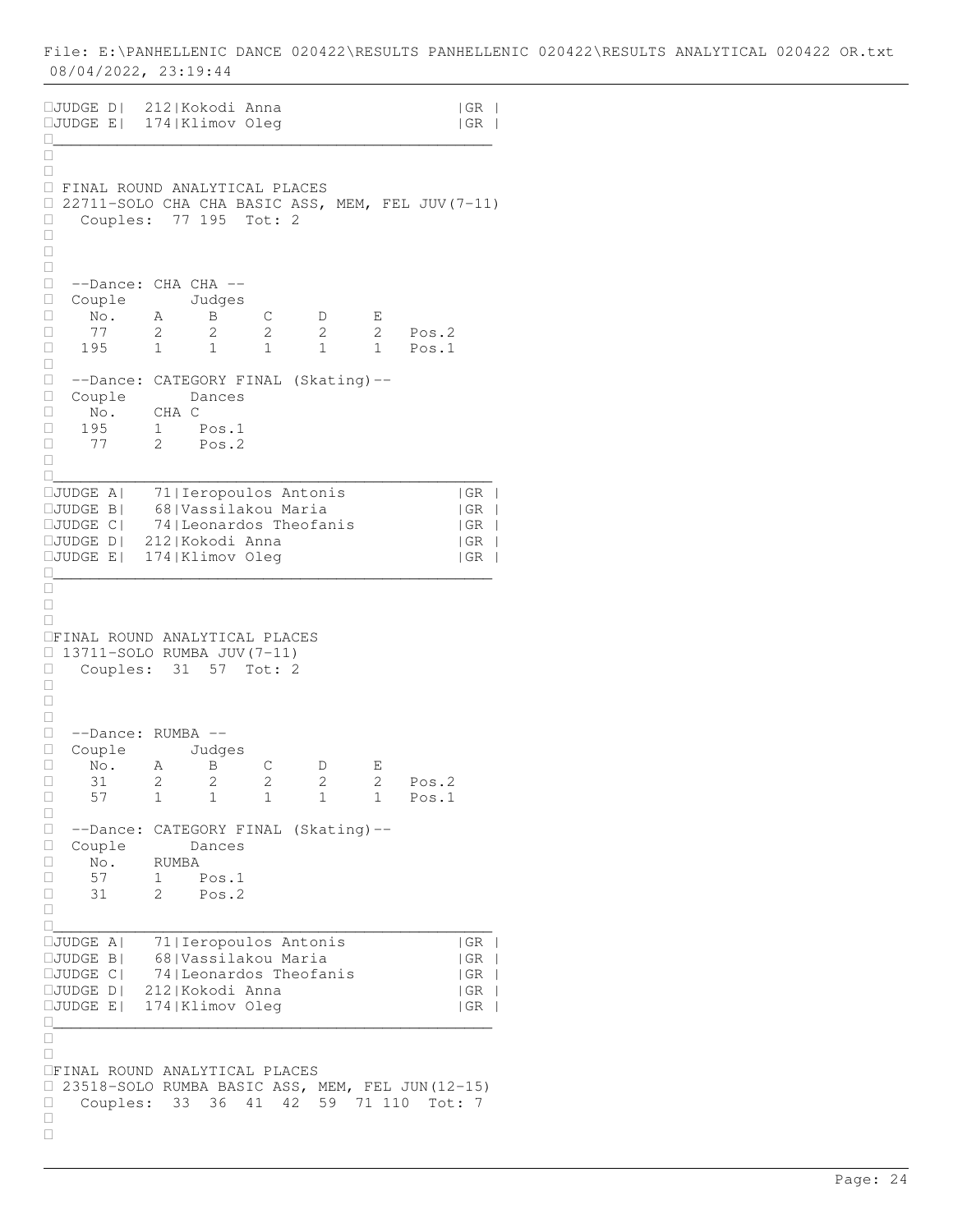JUDGE D| 212|Kokodi Anna |GR | JUDGE E| 174|Klimov Oleg |GR | \_\_\_\_\_\_\_\_\_\_\_\_\_\_\_\_\_\_\_\_\_\_\_\_\_\_\_\_\_\_\_\_\_\_\_\_\_\_\_\_\_\_\_\_\_\_\_\_  $\Box$  $\Box$  FINAL ROUND ANALYTICAL PLACES 22711-SOLO CHA CHA BASIC ASS, MEM, FEL JUV(7-11) □ Couples: 77 195 Tot: 2  $\Box$  $\Box$  $\Box$  --Dance: CHA CHA -- Couple Judges □ No. A B C D E<br>□ 77 2 2 2 2 2 □ 77 2 2 2 2 2 Pos.2 195 1 1 1 1 1 Pos.1  $\Box$  --Dance: CATEGORY FINAL (Skating)-- □ Couple Dances<br>□ No. CHA C No. CHA C 195 1 Pos.1 □ 77 2 Pos.2  $\Box$ \_\_\_\_\_\_\_\_\_\_\_\_\_\_\_\_\_\_\_\_\_\_\_\_\_\_\_\_\_\_\_\_\_\_\_\_\_\_\_\_\_\_\_\_\_\_\_\_ JUDGE A| 71|Ieropoulos Antonis |GR | JUDGE B| 68|Vassilakou Maria |GR |  $\square$ JUDGE C| 74|Leonardos Theofanis | GR | JUDGE D| 212|Kokodi Anna |GR | JUDGE E| 174|Klimov Oleg |GR | \_\_\_\_\_\_\_\_\_\_\_\_\_\_\_\_\_\_\_\_\_\_\_\_\_\_\_\_\_\_\_\_\_\_\_\_\_\_\_\_\_\_\_\_\_\_\_\_  $\Box$  $\Box$  $\Box$ FINAL ROUND ANALYTICAL PLACES  $\Box$  13711-SOLO RUMBA JUV(7-11) Couples: 31 57 Tot: 2  $\Box$  $\Box$  $\Box$  --Dance: RUMBA -- □ Couple Judges<br>□ No. A B No. A B C D E □ 31 2 2 2 2 2 Pos.2<br>□ 57 1 1 1 1 1 Pos.1 1 1 1 1 1 Pos.1  $\Box$ □ --Dance: CATEGORY FINAL (Skating)--<br>□ Couple Dances Couple Dances No. RUMBA 57 1 Pos.1 31 2 Pos.2  $\Box$ \_\_\_\_\_\_\_\_\_\_\_\_\_\_\_\_\_\_\_\_\_\_\_\_\_\_\_\_\_\_\_\_\_\_\_\_\_\_\_\_\_\_\_\_\_\_\_\_ D<br>
CJUDGE A| 71|Ieropoulos Antonis | |GR<br>
CJUDGE B| 68|Vassilakou Maria | |GR 68|Vassilakou Maria |GR<br>74|Leonardos Theofanis |GR  $IJUDGE C$  74 | Leonardos Theofanis JUDGE D| 212|Kokodi Anna |GR | JUDGE E| 174|Klimov Oleg |GR | \_\_\_\_\_\_\_\_\_\_\_\_\_\_\_\_\_\_\_\_\_\_\_\_\_\_\_\_\_\_\_\_\_\_\_\_\_\_\_\_\_\_\_\_\_\_\_\_  $\Box$  $\Box$ FINAL ROUND ANALYTICAL PLACES 23518-SOLO RUMBA BASIC ASS, MEM, FEL JUN(12-15) □ Couples: 33 36 41 42 59 71 110 Tot: 7  $\Box$  $\Box$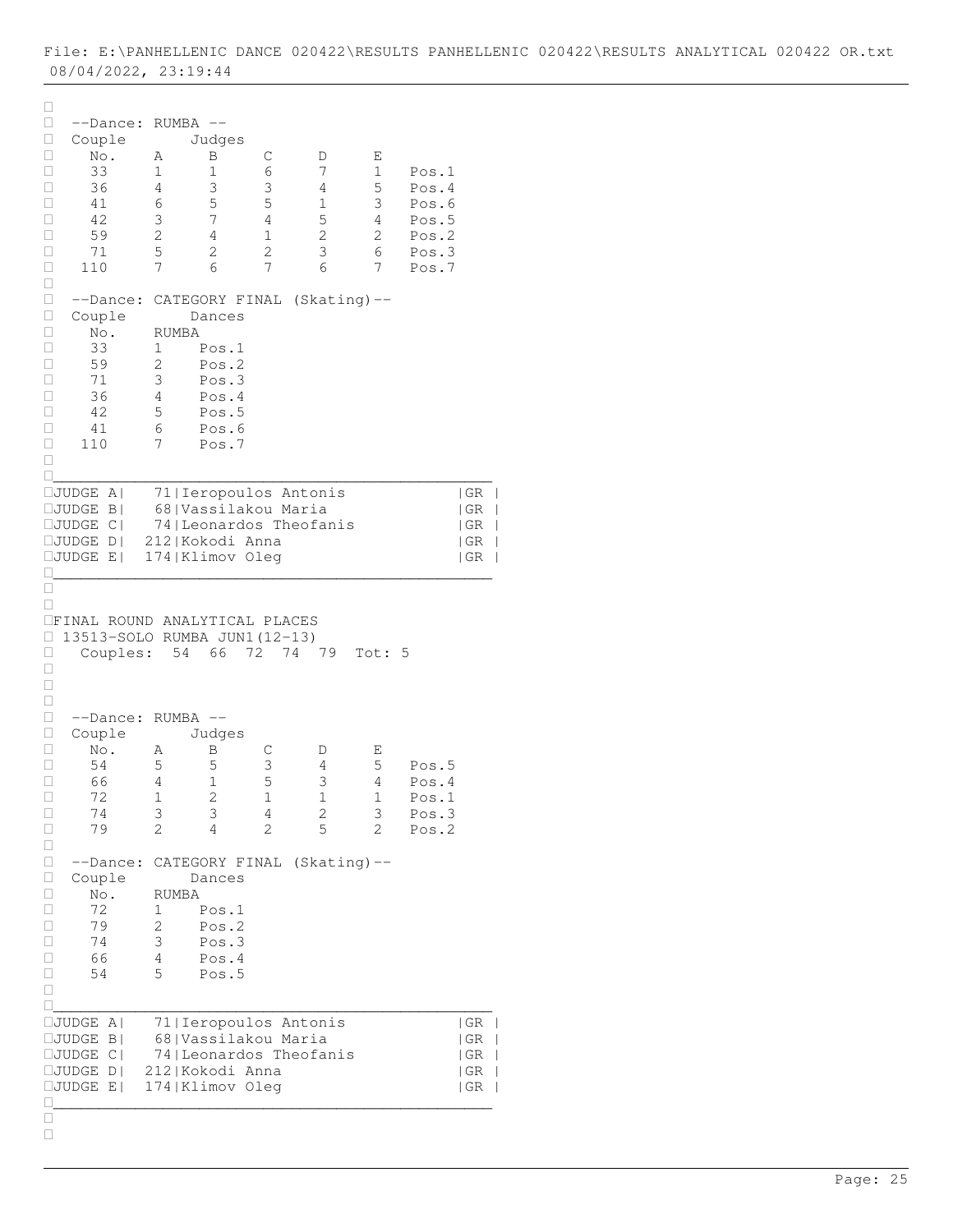| □<br>□<br>--Dance:<br>$\Box$<br>Couple<br>No.<br>Ц<br>33<br>$\Box$<br>36<br>□<br>□<br>41<br>42<br>□<br>$\Box$<br>59<br>$\Box$<br>71<br>110<br>□<br>$\Box$<br>□<br>--Dance:<br>□<br>Couple<br>□<br>No.<br>$\Box$<br>33<br>59<br>□<br>71<br>□<br>36<br>□<br>□<br>42<br>□<br>41<br>110<br>□<br>□ | RUMBA<br>Α<br>1<br>4<br>6<br>3<br>2<br>5<br>7<br>RUMBA<br>1<br>2<br>3<br>4<br>5<br>6<br>7 | $-$<br>Judges<br>Β<br>1<br>3<br>5<br>7<br>$\overline{4}$<br>2<br>6<br>Dances<br>Pos.1<br>Pos.2<br>Pos.3<br>Pos.4<br>Pos.5<br>Pos.6<br>Pos.7 | С<br>6<br>3<br>5<br>4<br>1<br>$\mathbf{2}$<br>7 | D<br>7<br>4<br>1<br>5<br>$\overline{c}$<br>3<br>6<br>CATEGORY FINAL (Skating)-- | Ε<br>$\mathbf 1$<br>5<br>3<br>4<br>2<br>6<br>7 | Pos.1<br>Pos.4<br>Pos.6<br>Pos.5<br>Pos.2<br>Pos.3<br>Pos.7                                                        |
|-----------------------------------------------------------------------------------------------------------------------------------------------------------------------------------------------------------------------------------------------------------------------------------------------|-------------------------------------------------------------------------------------------|---------------------------------------------------------------------------------------------------------------------------------------------|-------------------------------------------------|---------------------------------------------------------------------------------|------------------------------------------------|--------------------------------------------------------------------------------------------------------------------|
| $\square$ JUDGE<br>$A \mid$<br>$\square$ JUDGE<br>$\vert$ B $\vert$<br>$\square$ JUDGE<br> C <br>$\square$ JUDGE<br>D<br>$\square$ JUDGE<br>E                                                                                                                                                 |                                                                                           | 71   Ieropoulos Antonis<br>68   Vassilakou Maria<br>212   Kokodi Anna<br>174   Klimov Oleg                                                  |                                                 | 74   Leonardos Theofanis                                                        |                                                | GR<br> GR<br>$\overline{\phantom{a}}$<br> GR<br>$\overline{\phantom{a}}$<br> GR<br>$\overline{\phantom{a}}$<br> GR |
| П<br>OFINAL ROUND ANALYTICAL PLACES<br>□<br>13513-SOLO RUMBA JUN1 (12-13)<br>Couples:<br>□<br>Ц<br>$\Box$<br>□<br>□<br>$--Dance:$<br>$\Box$<br>Couple<br>□<br>$\mbox{No}$ .<br>54<br>□<br>66<br>□<br>$\Box$<br>72<br>74<br>□                                                                  | 54<br>RUMBA<br>Α<br>5<br>4<br>$\mathbf 1$<br>3                                            | 66<br>$-\,-$<br>Judges<br>Β<br>5<br>1<br>$\sqrt{2}$<br>3                                                                                    | 72<br>74<br>С<br>3<br>5<br>$\,1$<br>4           | 79<br>D<br>4<br>3<br>$\mathbf 1$<br>$\sqrt{2}$                                  | Tot: 5<br>Е<br>5<br>4<br>$\mathbf{1}$<br>3     | Pos.5<br>Pos.4<br>Pos.1<br>Pos.3                                                                                   |
| 79<br>□<br>$\Box$<br>$\Box$<br>--Dance:<br>$\Box$<br>Couple<br>$\Box$<br>No.<br>72<br>$\Box$<br>79<br>□<br>□<br>74<br>66<br>Ц<br>□<br>54<br>□                                                                                                                                                 | 2<br>RUMBA<br>1<br>2<br>3<br>4<br>5                                                       | 4<br>Dances<br>Pos.1<br>Pos.2<br>Pos.3<br>Pos.4<br>Pos.5                                                                                    | 2                                               | 5<br>CATEGORY FINAL (Skating)--                                                 | 2                                              | Pos.2                                                                                                              |
| $\square$ JUDGE<br>$A \mid$<br>$\square$ JUDGE<br>$\vert$ B<br>$\square$ JUDGE<br> C <br>⊔JUDGE<br>D <sub>1</sub><br>$\square$ JUDGE<br>E                                                                                                                                                     |                                                                                           | 71   Ieropoulos Antonis<br>68 Vassilakou Maria<br>212 Kokodi Anna<br>174   Klimov Oleg                                                      |                                                 | 74   Leonardos Theofanis                                                        |                                                | GR<br>  GR<br> GR<br> GR<br> GR                                                                                    |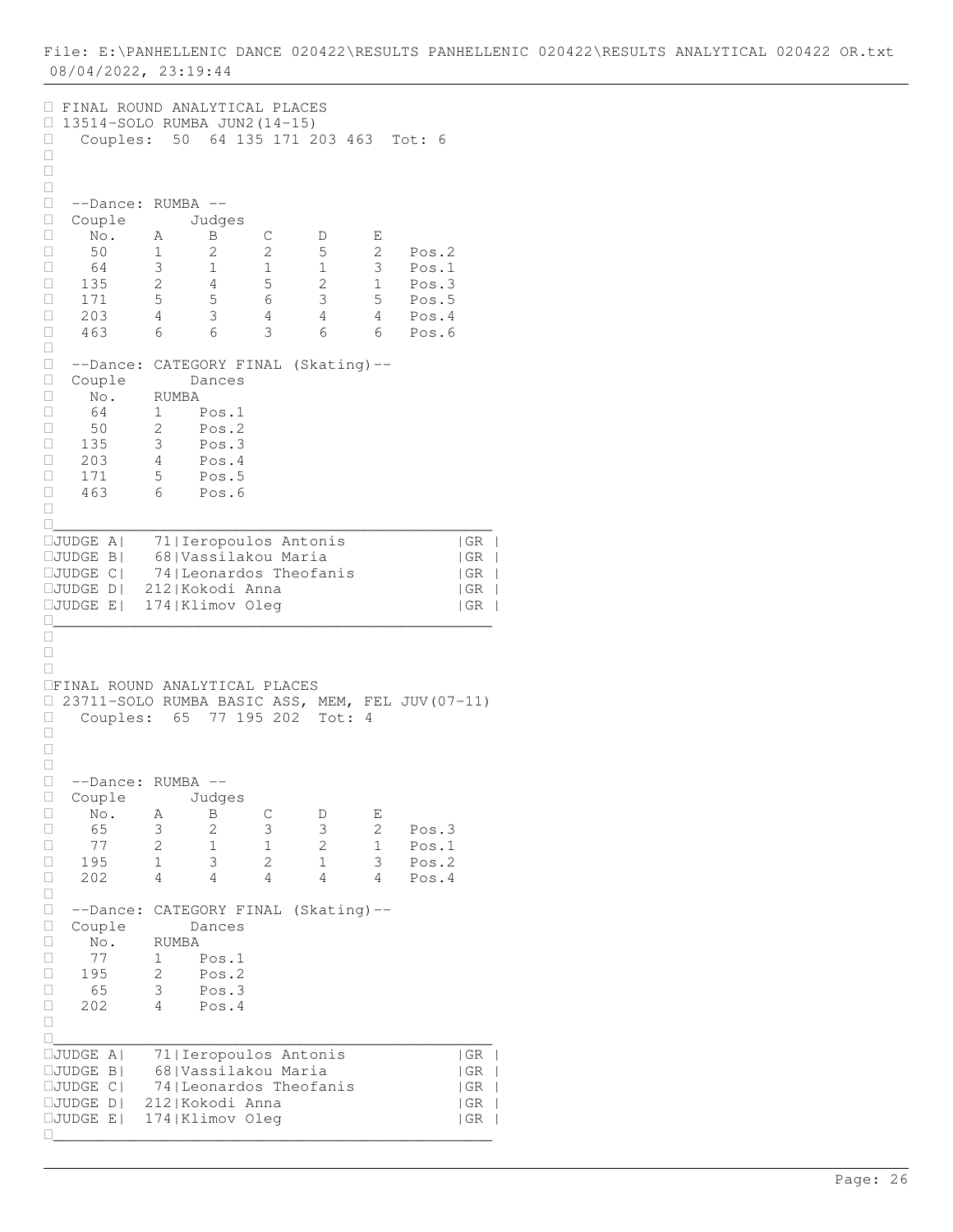FINAL ROUND ANALYTICAL PLACES 13514-SOLO RUMBA JUN2(14-15) Couples: 50 64 135 171 203 463 Tot: 6  $\Box$  $\Box$  $\Box$  --Dance: RUMBA -- □ --Dance: RUMBA --<br>□ Couple Judges<br>□ No. A B  $\Box$  No. A  $\overline{B}$  C  $D$  E 50 1 2 2 5 2 Pos.2 64 3 1 1 1 3 Pos.1 135 2 4 5 2 1 Pos.3 □ 171 5 5 6 3 5 Pos.5 203 4 3 4 4 4 Pos.4 463 6 6 3 6 6 Pos.6  $\begin{bmatrix} 1 \\ 1 \end{bmatrix}$  --Dance: CATEGORY FINAL (Skating)-- Couple Dances  $\begin{array}{ccc} \square & \text{No.} & \text{RUMBA} \\ \square & 64 & 1 \end{array}$  64 1 Pos.1 □ 50 2 Pos.2 135 3 Pos.3  $\Box$  203 4 Pos.4 171 5 Pos.5 463 6 Pos.6  $\Box$ \_\_\_\_\_\_\_\_\_\_\_\_\_\_\_\_\_\_\_\_\_\_\_\_\_\_\_\_\_\_\_\_\_\_\_\_\_\_\_\_\_\_\_\_\_\_\_\_ JUDGE A| 71|Ieropoulos Antonis |GR | JUDGE B| 68|Vassilakou Maria |GR | JUDGE C| 74|Leonardos Theofanis |GR | JUDGE D| 212|Kokodi Anna |GR | JUDGE E| 174|Klimov Oleg |GR | \_\_\_\_\_\_\_\_\_\_\_\_\_\_\_\_\_\_\_\_\_\_\_\_\_\_\_\_\_\_\_\_\_\_\_\_\_\_\_\_\_\_\_\_\_\_\_\_  $\Box$  $\Box$  $\Box$ FINAL ROUND ANALYTICAL PLACES 23711-SOLO RUMBA BASIC ASS, MEM, FEL JUV(07-11) Couples: 65 77 195 202 Tot: 4  $\Box$  $\Box$  $\Box$  --Dance: RUMBA -- □ Couple Judges<br>□ No. A B No. A B C D E □ 65 3 2 3 3 2 Pos.3 77 2 1 1 2 1 Pos.1 □ 195 1 3 2 1 3 Pos.2 202 4 4 4 4 4 Pos.4  $\Box$  --Dance: CATEGORY FINAL (Skating)-- □ Couple Dances<br>□ No. RUMBA No. RUMBA 77 1 Pos.1  $\overline{\square}$  195 2 Pos.2 65 3 Pos.3  $\Box$  202 4 Pos.4  $\Box$ \_\_\_\_\_\_\_\_\_\_\_\_\_\_\_\_\_\_\_\_\_\_\_\_\_\_\_\_\_\_\_\_\_\_\_\_\_\_\_\_\_\_\_\_\_\_\_\_ JUDGE A| 71|Ieropoulos Antonis |GR | JUDGE B| 68|Vassilakou Maria |GR | JUDGE C| 74|Leonardos Theofanis |GR | JUDGE D| 212|Kokodi Anna |GR | JUDGE E| 174|Klimov Oleg |GR | \_\_\_\_\_\_\_\_\_\_\_\_\_\_\_\_\_\_\_\_\_\_\_\_\_\_\_\_\_\_\_\_\_\_\_\_\_\_\_\_\_\_\_\_\_\_\_\_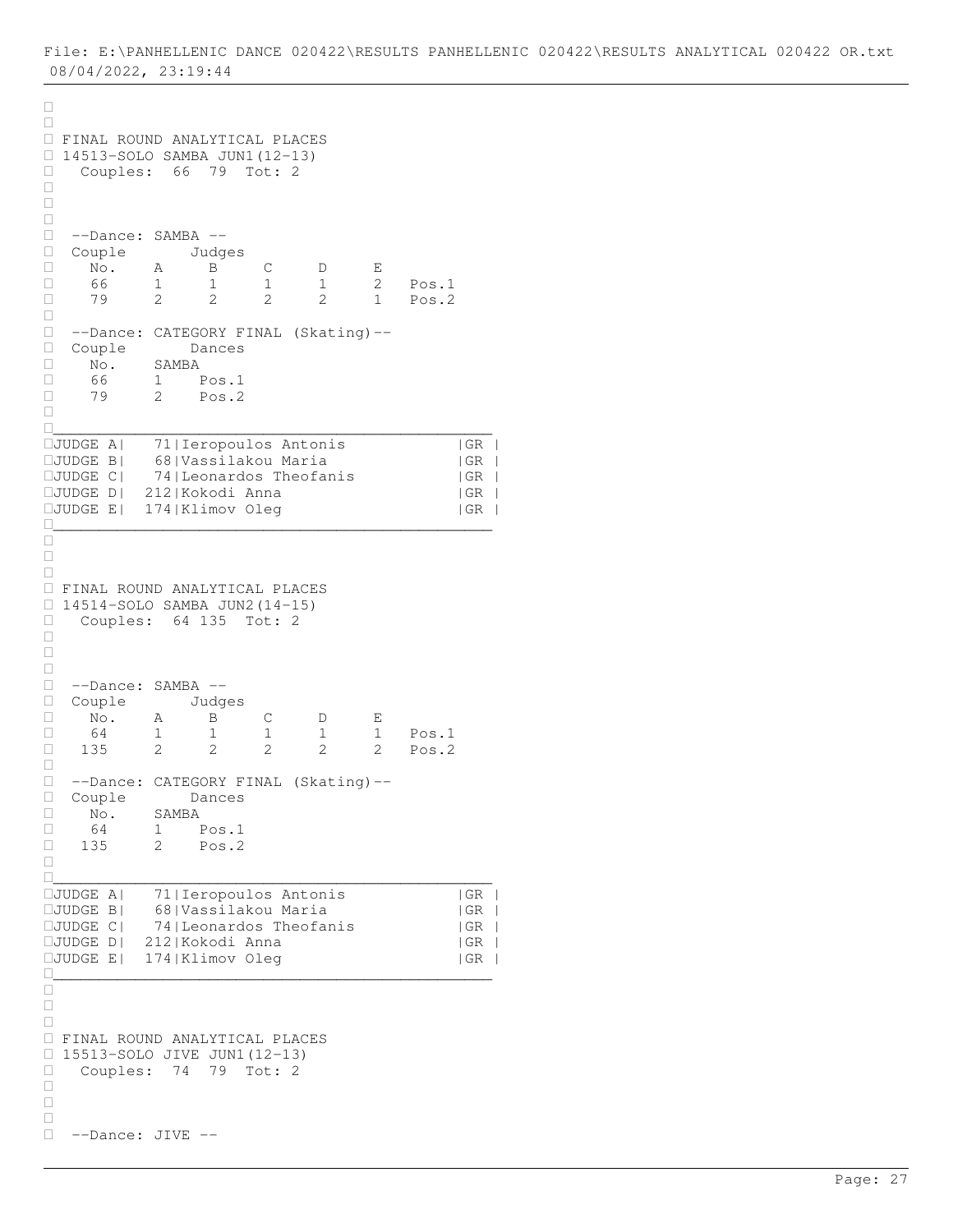```
\Box\Box FINAL ROUND ANALYTICAL PLACES 
\Box 14513-SOLO SAMBA JUN1(12-13)<br>\Box Couples: 66 79 Tot: 2
   Couples: 66 79 Tot: 2
\Box\Box\Box --Dance: SAMBA --
 Couple Judges
□ No. A B C D E<br>□ 66 1 1 1 1 2
□ 66 1 1 1 1 2 Pos.1<br>□ 79 2 2 2 2 1 Pos.2
                                          Pos.2
\Box --Dance: CATEGORY FINAL (Skating)--
 Couple Dances
\begin{array}{ccc} \square & \text{No.} & \text{SAMBA} \\ \square & 66 & 1 \end{array}\begin{array}{ccccccccc}\n\square & & 66 & & 1 & & \text{Pos.1} \\
\square & & 79 & & 2 & & \text{Pos.2}\n\end{array}2 Pos.2
\Box________________________________________________
JUDGE A| 71|Ieropoulos Antonis |GR |
JUDGE B| 68|Vassilakou Maria |GR |
\squareJUDGE C| 74|Leonardos Theofanis | GR |
JUDGE D| 212|Kokodi Anna |GR |
JUDGE E| 174|Klimov Oleg |GR |
________________________________________________
\frac{\square}{\square}\Box\Box FINAL ROUND ANALYTICAL PLACES 
\Box 14514-SOLO SAMBA JUN2(14-15)
Couples: 64 135 Tot: 2
\Box\Box\Box --Dance: SAMBA --
 Couple Judges
 No. A B C D E
\begin{array}{cccccccc} \Box & 64 & 1 & 1 & 1 & 1 & 1 & \text{Pos.1} \\ \Box & 135 & 2 & 2 & 2 & 2 & 2 & \text{Pos.2} \end{array}□ 135 2 2 2 2 2 Pos.2
\Box --Dance: CATEGORY FINAL (Skating)--
□ Couple Dances<br>□ No. SAMBA
 No. SAMBA
 64 1 Pos.1
135 2 Pos.2
\Box________________________________________________
JUDGE A| 71|Ieropoulos Antonis |GR |
JUDGE B| 68|Vassilakou Maria |GR |
           74|Leonardos Theofanis | GR
JUDGE D| 212|Kokodi Anna |GR |
JUDGE E| 174|Klimov Oleg |GR |
________________________________________________
\Box\Box\Box FINAL ROUND ANALYTICAL PLACES 
□ 15513-SOLO JIVE JUN1(12-13)
 Couples: 74 79 Tot: 2
\Box\Box\Box --Dance: JIVE --
```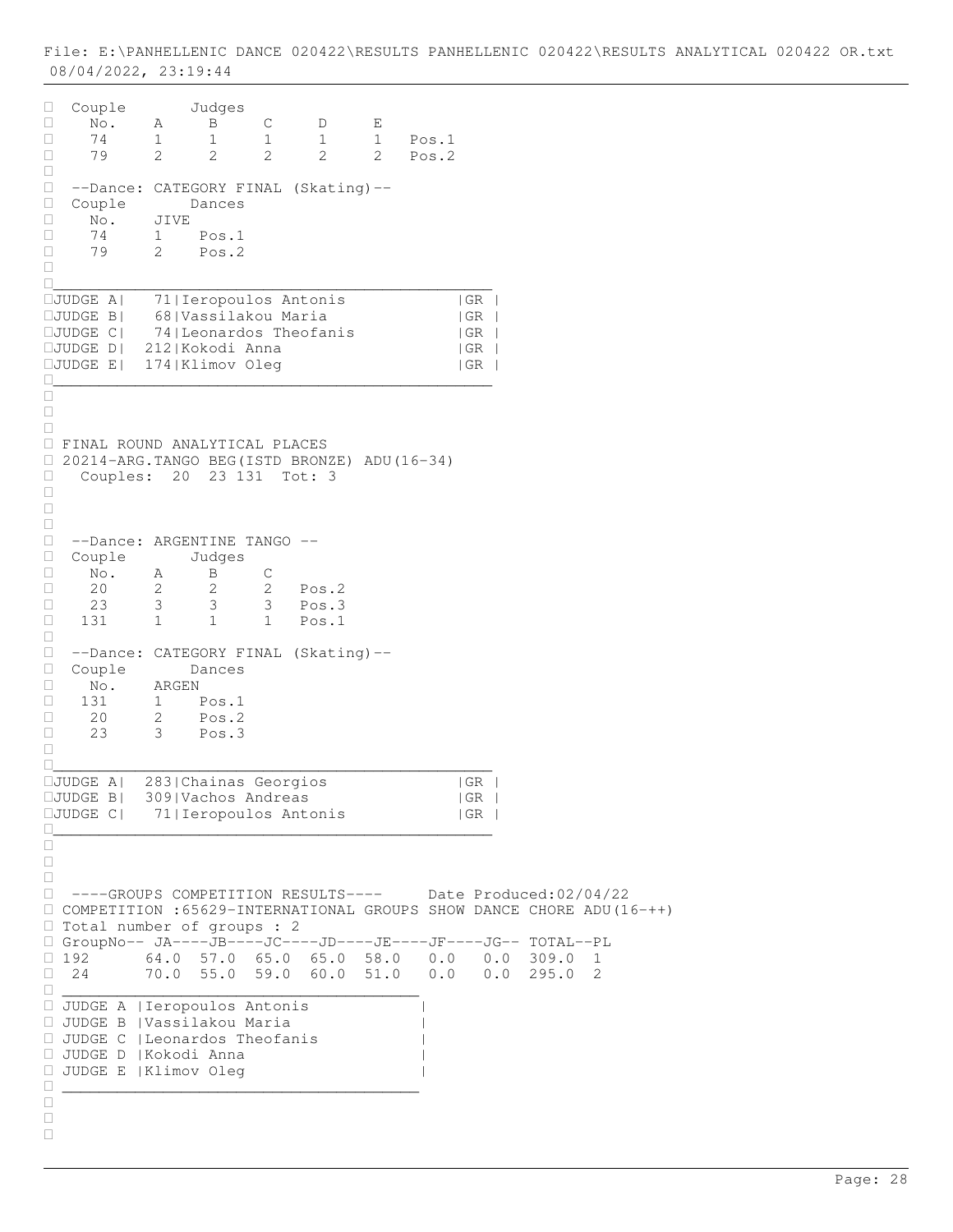Couple Judges No. A B C D E 74 1 1 1 1 1 Pos.1 79 2 2 2 2 2 Pos.2  $\Box$  --Dance: CATEGORY FINAL (Skating)-- □ Couple Dances<br>□ No. JIVE  $\Box$  No.  $1 \qquad \text{Pos.1}$  79 2 Pos.2  $\Box$ \_\_\_\_\_\_\_\_\_\_\_\_\_\_\_\_\_\_\_\_\_\_\_\_\_\_\_\_\_\_\_\_\_\_\_\_\_\_\_\_\_\_\_\_\_\_\_\_ JUDGE A| 71|Ieropoulos Antonis |GR | JUDGE B| 68|Vassilakou Maria |GR | JUDGE C| 74|Leonardos Theofanis |GR | JUDGE D| 212|Kokodi Anna |GR |  $IJUDGE E$ | 174|Klimov Oleg |GR | \_\_\_\_\_\_\_\_\_\_\_\_\_\_\_\_\_\_\_\_\_\_\_\_\_\_\_\_\_\_\_\_\_\_\_\_\_\_\_\_\_\_\_\_\_\_\_\_  $\Box$  $\Box$  $\Box$  FINAL ROUND ANALYTICAL PLACES 20214-ARG.TANGO BEG(ISTD BRONZE) ADU(16-34) □ Couples: 20 23 131 Tot: 3  $\Box$  $\Box$  $\Box$  --Dance: ARGENTINE TANGO -- □ Couple Judges<br>□ No. A B  $\begin{array}{ccccccccc}\n\Box & & \text{No.} & & \text{A} & & \text{B} & & \text{C} \\
\Box & & 20 & & 2 & & 2 & & 2\n\end{array}$ 2 2 2 Pos.2<br>3 3 3 Pos.3  $\begin{array}{ccccccc}\n\Box & 23 & 3 & 3 & 3 & P$ os.3<br>  $\Box & 131 & 1 & 1 & 1 & P$ os.1 131 1 1 1 Pos.1  $\Box$  --Dance: CATEGORY FINAL (Skating)-- Couple Dances  $\begin{array}{ccc} \Box & \text{No.} & \text{ARGEN} \\ \Box & 131 & 1 \end{array}$  131 1 Pos.1 □ 20 2 Pos.2 23 3 Pos.3  $\Box$ \_\_\_\_\_\_\_\_\_\_\_\_\_\_\_\_\_\_\_\_\_\_\_\_\_\_\_\_\_\_\_\_\_\_\_\_\_\_\_\_\_\_\_\_\_\_\_\_ JUDGE A| 283|Chainas Georgios |GR | JUDGE B| 309|Vachos Andreas |GR | JUDGE C| 71|Ieropoulos Antonis |GR |  $\Box$  $\Box$  $\Box$  $\Box$  ----GROUPS COMPETITION RESULTS---- Date Produced:02/04/22  $\Box$  COMPETITION :65629-INTERNATIONAL GROUPS SHOW DANCE CHORE ADU(16-++) Total number of groups : 2 GroupNo-- JA----JB----JC----JD----JE----JF----JG-- TOTAL--PL  $\begin{array}{cccccccc} \Box & 192 & & & 64.0 & 57.0 & 65.0 & 65.0 & 58.0 & 0.0 & 0.0 & 309.0 & 1 \ \Box & 24 & & & 70.0 & 55.0 & 59.0 & 60.0 & 51.0 & 0.0 & 0.0 & 295.0 & 2 \end{array}$  24 70.0 55.0 59.0 60.0 51.0 0.0 0.0 295.0 2 \_\_\_\_\_\_\_\_\_\_\_\_\_\_\_\_\_\_\_\_\_\_\_\_\_\_\_\_\_\_\_\_\_\_\_\_\_\_\_ JUDGE A |Ieropoulos Antonis | JUDGE B |Vassilakou Maria | JUDGE C |Leonardos Theofanis | JUDGE D |Kokodi Anna | JUDGE E |Klimov Oleg | \_\_\_\_\_\_\_\_\_\_\_\_\_\_\_\_\_\_\_\_\_\_\_\_\_\_\_\_\_\_\_\_\_\_\_\_\_\_\_  $\Box$  $\Box$  $\Box$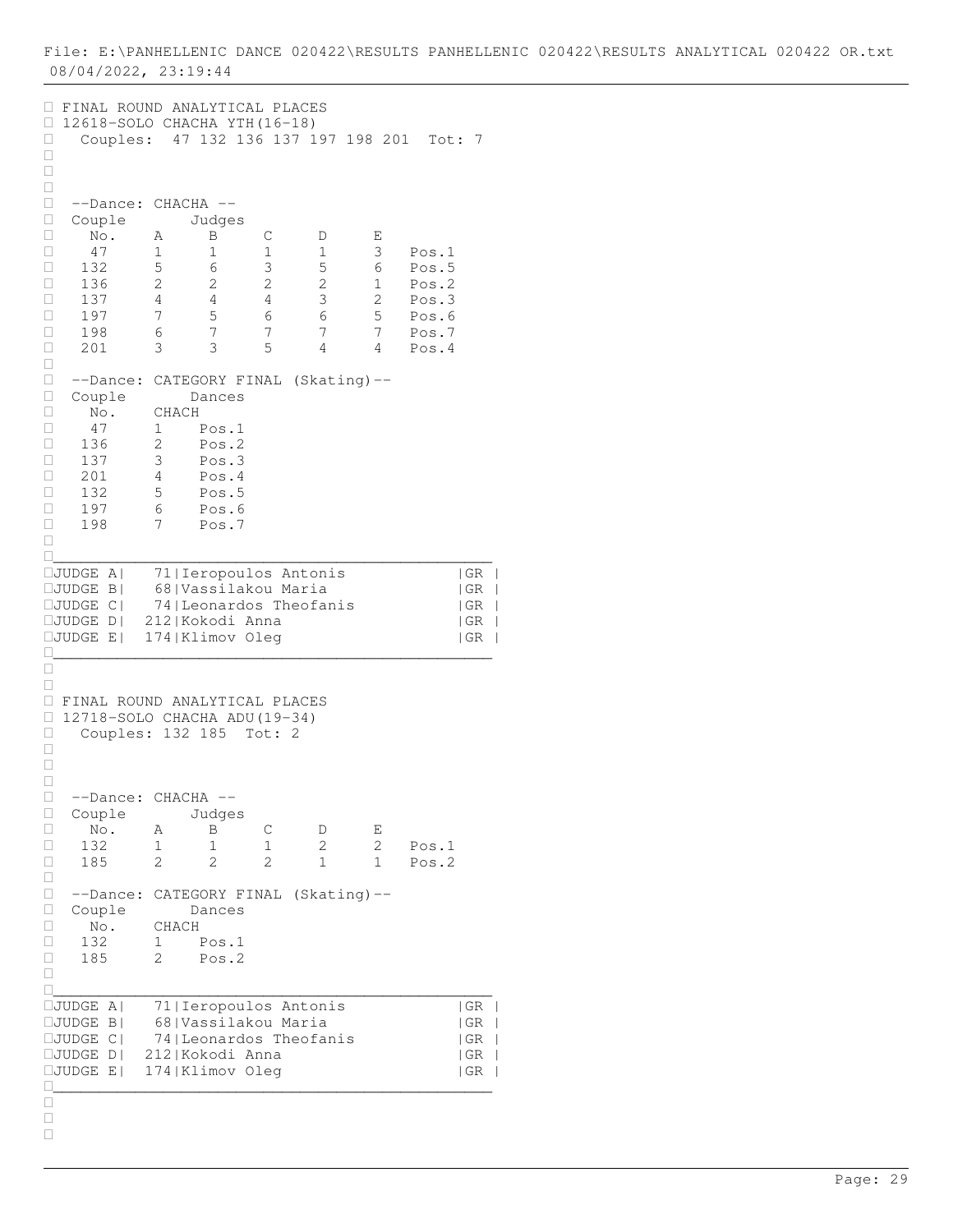FINAL ROUND ANALYTICAL PLACES  $\Box$  12618-SOLO CHACHA YTH(16-18) Couples: 47 132 136 137 197 198 201 Tot: 7  $\Box$  $\Box$  $\Box$  --Dance: CHACHA -- □ Couple Judges<br>□ No. A B  $\Box$  No. A  $\overline{B}$  C  $D$  E 47 1 1 1 1 3 Pos.1 132 5 6 3 5 6 Pos.5 □ 136 2 2 2 2 1 Pos.2 137 4 4 4 3 2 Pos.3 197 7 5 6 6 5 Pos.6 198 6 7 7 7 7 Pos.7 201 3 3 5 4 4 Pos.4  $\Box$  --Dance: CATEGORY FINAL (Skating)-- Couple Dances  $\begin{array}{ccc}\n\Box & \text{No.} & \text{CHACH} \\
\Box & 47 & 1\n\end{array}$  47 1 Pos.1 136 2 Pos.2 137 3 Pos.3 201 4 Pos.4  $\Box$  132 5 Pos.5 197 6 Pos.6 198 7 Pos.7  $\Box$ \_\_\_\_\_\_\_\_\_\_\_\_\_\_\_\_\_\_\_\_\_\_\_\_\_\_\_\_\_\_\_\_\_\_\_\_\_\_\_\_\_\_\_\_\_\_\_\_ JUDGE A| 71|Ieropoulos Antonis |GR | JUDGE B| 68|Vassilakou Maria |GR | JUDGE C| 74|Leonardos Theofanis |GR | JUDGE D| 212|Kokodi Anna |GR |  $IJUDGE E$ | 174|Klimov Oleg |GR | \_\_\_\_\_\_\_\_\_\_\_\_\_\_\_\_\_\_\_\_\_\_\_\_\_\_\_\_\_\_\_\_\_\_\_\_\_\_\_\_\_\_\_\_\_\_\_\_  $\Box$  $\Box$  FINAL ROUND ANALYTICAL PLACES  $\Box$  12718-SOLO CHACHA ADU(19-34) Couples: 132 185 Tot: 2  $\Box$  $\Box$  $\Box$ □ --Dance: CHACHA --<br>□ Couple Judges  $\Box$  Couple<br> $\Box$  No. A No. A B C D E 132 1 1 1 2 2 Pos.1 185 2 2 2 1 1 Pos.2  $\Box$  --Dance: CATEGORY FINAL (Skating)-- □ Couple Dances<br>□ No. CHACH No. CHACH 132 1 Pos.1 185 2 Pos.2  $\Box$ \_\_\_\_\_\_\_\_\_\_\_\_\_\_\_\_\_\_\_\_\_\_\_\_\_\_\_\_\_\_\_\_\_\_\_\_\_\_\_\_\_\_\_\_\_\_\_\_ JUDGE A| 71|Ieropoulos Antonis |GR | JUDGE B| 68|Vassilakou Maria |GR | JUDGE C| 74|Leonardos Theofanis |GR | JUDGE D| 212|Kokodi Anna |GR | JUDGE E| 174|Klimov Oleg |GR | \_\_\_\_\_\_\_\_\_\_\_\_\_\_\_\_\_\_\_\_\_\_\_\_\_\_\_\_\_\_\_\_\_\_\_\_\_\_\_\_\_\_\_\_\_\_\_\_  $\frac{\square}{\square}$  $\Box$  $\Box$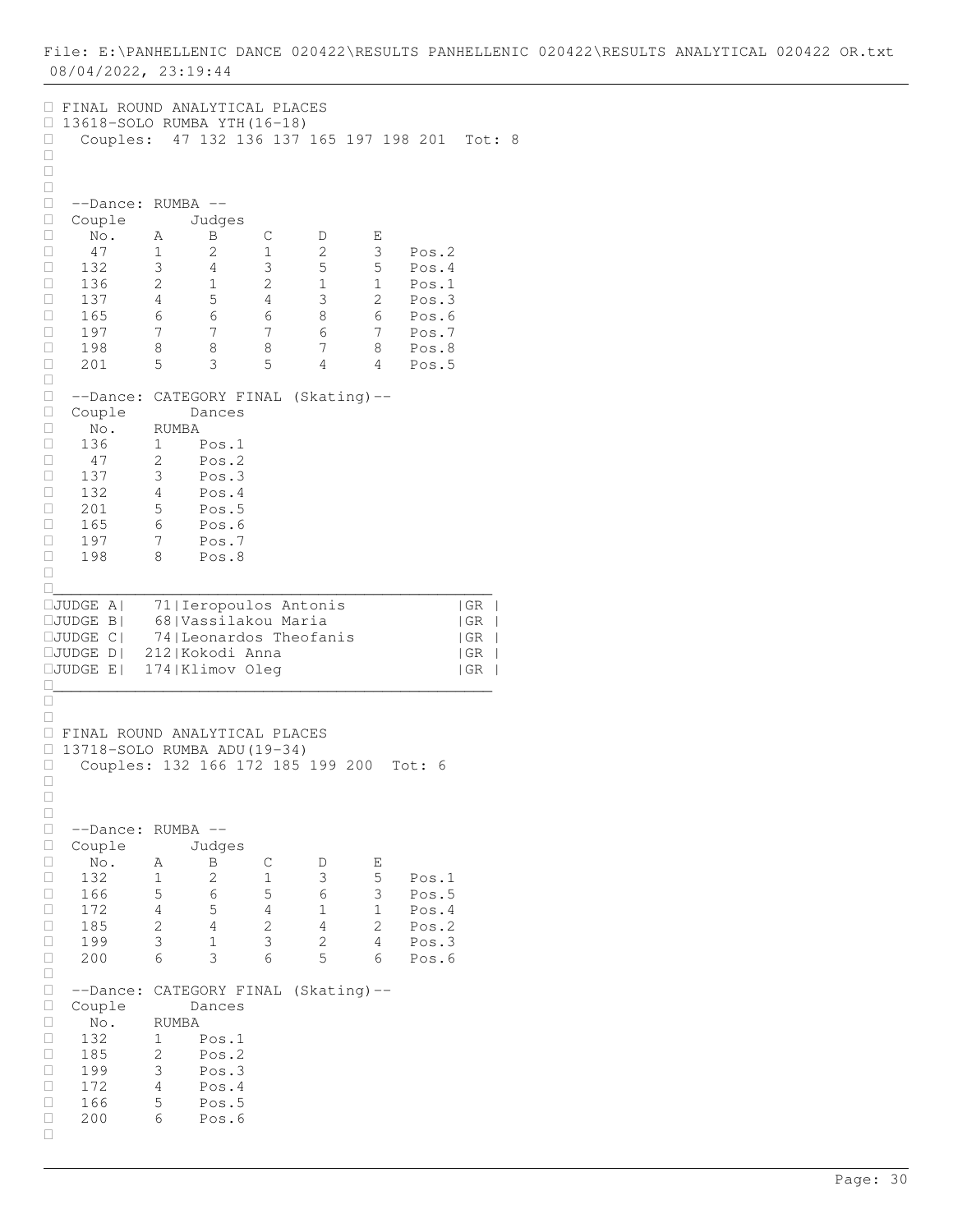FINAL ROUND ANALYTICAL PLACES 13618-SOLO RUMBA YTH(16-18) Couples: 47 132 136 137 165 197 198 201 Tot: 8  $\Box$  $\Box$  $\Box$ □ --Dance: RUMBA --<br>□ Couple Judα □ Couple Judges<br>□ No. A B  $\Box$  No. A  $\overline{B}$  C  $D$  E 47 1 2 1 2 3 Pos.2 □ 132 3 4 3 5 5 Pos.4<br>□ 136 2 1 2 1 1 Pos.1 □ 136 2 1 2 1 1 Pos.1<br>□ 137 4 5 4 3 2 Pos.3 Pos.3 □ 165 6 6 6 6 8 6 Pos.6<br>□ 197 7 7 7 6 7 Pos.7 □ 197 7 7 7 6 7 Pos.7 □ 197 7 7 7 6 7 Pos.7<br>□ 198 8 8 8 7 8 Pos.8<br>□ 201 5 3 5 4 4 Pos.5 201 5 3 5 4 4 Pos.5  $\Box$ □ --Dance: CATEGORY FINAL (Skating)--<br>□ Couple Dances  $\Box$  Couple<br> $\Box$  No.  $\begin{array}{ccc}\n\Box & \text{No.} & \text{RUMBA} \\
\Box & 136 & 1\n\end{array}$ 136 1 Pos.1<br>47 2 Pos.2  $\begin{array}{cccc} \Box & 47 & 2 & \text{Pos.2} \\ \Box & 137 & 3 & \text{Pos.3} \end{array}$  $\begin{array}{cccc} \Box & 137 & 3 & \text{Pos.3} \\ \Box & 132 & 4 & \text{Pos.4} \end{array}$  $\begin{array}{cccc} \Box & 132 & 4 & \text{Pos.4} \\ \Box & 201 & 5 & \text{Pos.5} \end{array}$ 5 Pos.5 165 6 Pos.6  $\begin{array}{cccc} \Box & 197 & 7 & \text{Pos.7} \\ \Box & 198 & 8 & \text{Pos.8} \end{array}$ 8 Pos.8  $\Box$ \_\_\_\_\_\_\_\_\_\_\_\_\_\_\_\_\_\_\_\_\_\_\_\_\_\_\_\_\_\_\_\_\_\_\_\_\_\_\_\_\_\_\_\_\_\_\_\_ JUDGE A| 71|Ieropoulos Antonis |GR | JUDGE B| 68|Vassilakou Maria |GR | 74| Leonardos Theofanis JUDGE D| 212|Kokodi Anna |GR | JUDGE E| 174|Klimov Oleg |GR | \_\_\_\_\_\_\_\_\_\_\_\_\_\_\_\_\_\_\_\_\_\_\_\_\_\_\_\_\_\_\_\_\_\_\_\_\_\_\_\_\_\_\_\_\_\_\_\_  $\Box$  $\Box$  FINAL ROUND ANALYTICAL PLACES □ 13718-SOLO RUMBA ADU(19-34)<br>□ Couples: 132 166 172 185 Couples: 132 166 172 185 199 200 Tot: 6  $\Box$  $\Box$  $\Box$ □ --Dance: RUMBA --<br>□ Couple Judges Couple □ No. A B C D E<br>□ 132 1 2 1 3 5 132 1 2 1 3 5 Pos.1  $\begin{array}{cccccccc} \Box & 166 & 5 & 6 & 5 & 6 & 3 & \text{Pos.5} \\ \Box & 172 & 4 & 5 & 4 & 1 & 1 & \text{Pos.4} \end{array}$  172 4 5 4 1 1 Pos.4 □ 185 2 4 2 4 2 Pos.2  $\begin{array}{cccccccc} \Box & 185 & 2 & 4 & 2 & 4 & 2 & \text{Pos.2} \\ \Box & 199 & 3 & 1 & 3 & 2 & 4 & \text{Pos.3} \\ \Box & 200 & 6 & 3 & 6 & 5 & 6 & \text{Pos.6} \end{array}$  200 6 3 6 5 6 Pos.6  $\Box$  --Dance: CATEGORY FINAL (Skating)-- Couple Dances  $\begin{array}{ccc}\n\Box & \text{No.} & \text{RUMBA} \\
\Box & 132 & 1\n\end{array}$ 1 Pos.1 □ 185 2 Pos.2<br>□ 199 3 Pos.3  $\Box$  199 3 Pos.3<br> $\Box$  172 4 Pos.4  $\begin{array}{cccc} \Box & 172 & 4 & \text{Pos.4} \\ \Box & 166 & 5 & \text{Pos.5} \end{array}$ 5 Pos.5 200 6 Pos.6  $\Box$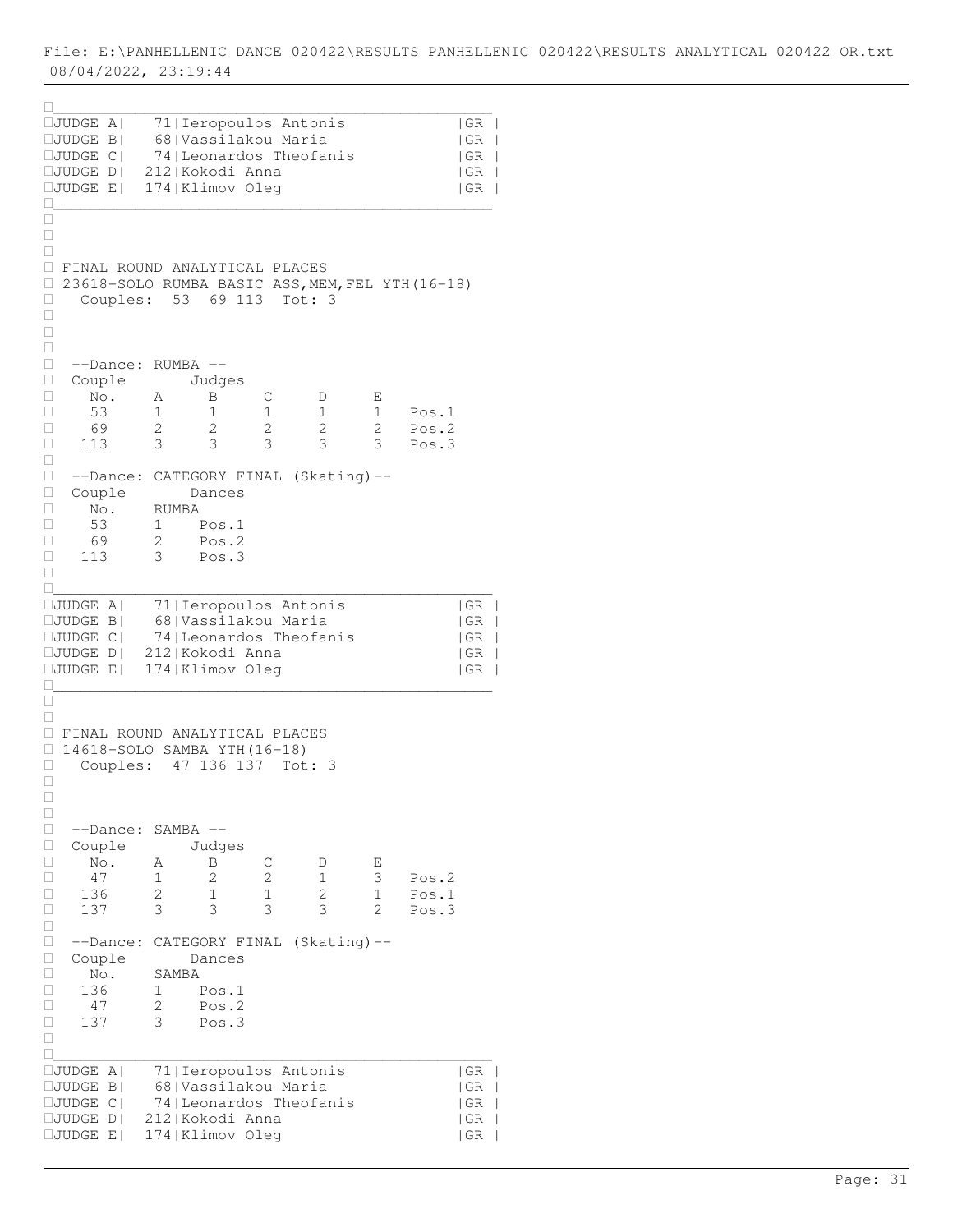| $\Box$ JUDGE A <br>$\Box$ JUDGE B                                         |                                      |            | 71   Ieropoulos Antonis<br>68   Vassilakou Maria |                            |              |                | GR <br> GR |
|---------------------------------------------------------------------------|--------------------------------------|------------|--------------------------------------------------|----------------------------|--------------|----------------|------------|
| $\square$ JUDGE C                                                         |                                      |            | 74   Leonardos Theofanis                         |                            |              |                | GR         |
| $\square$ JUDGE $D$                                                       | 212 Kokodi Anna                      |            |                                                  |                            |              |                | GR         |
| □JUDGE E                                                                  | 174   Klimov Oleg                    |            |                                                  |                            |              |                | GR         |
| Ш                                                                         |                                      |            |                                                  |                            |              |                |            |
| □                                                                         |                                      |            |                                                  |                            |              |                |            |
| □                                                                         |                                      |            |                                                  |                            |              |                |            |
| $\Box$<br>FINAL ROUND ANALYTICAL PLACES                                   |                                      |            |                                                  |                            |              |                |            |
| 23618-SOLO RUMBA BASIC ASS, MEM, FEL YTH (16-18)<br>□<br>Couples: 53<br>о |                                      | 69 113     | Tot: 3                                           |                            |              |                |            |
| $\Box$                                                                    |                                      |            |                                                  |                            |              |                |            |
| $\Box$                                                                    |                                      |            |                                                  |                            |              |                |            |
| $\Box$<br>□<br>--Dance:                                                   | RUMBA                                | $ -$       |                                                  |                            |              |                |            |
| □<br>Couple                                                               |                                      | Judges     |                                                  |                            |              |                |            |
| $\Box$<br>No.                                                             | Α                                    | B          | С                                                | D                          | Е            |                |            |
| 53<br>$\Box$                                                              | 1                                    | 1          | 1                                                | 1                          | $\mathbf{1}$ | Pos.1          |            |
| □<br>69<br>$\Box$<br>113                                                  | 2<br>3                               | 2<br>3     | 2<br>3                                           | 2<br>3                     | 2<br>3       | Pos.2<br>Pos.3 |            |
| $\Box$                                                                    |                                      |            |                                                  |                            |              |                |            |
| $\Box$<br>--Dance:                                                        |                                      |            |                                                  | CATEGORY FINAL (Skating)-- |              |                |            |
| $\Box$<br>Couple                                                          |                                      | Dances     |                                                  |                            |              |                |            |
| $\Box$<br>No.<br>□<br>53                                                  | RUMBA<br>$\mathbf{1}$                | Pos.1      |                                                  |                            |              |                |            |
| □<br>69                                                                   | 2                                    | Pos.2      |                                                  |                            |              |                |            |
| 113<br>□                                                                  | 3                                    | Pos.3      |                                                  |                            |              |                |            |
| □                                                                         |                                      |            |                                                  |                            |              |                |            |
| П<br>$\Box$ JUDGE A                                                       |                                      |            | 71   Ieropoulos Antonis                          |                            |              |                | GR         |
| $\Box$ JUDGE B                                                            |                                      |            | 68   Vassilakou Maria                            |                            |              |                | GR         |
| $\Box$ JUDGE C                                                            |                                      |            | 74   Leonardos Theofanis                         |                            |              |                | GR         |
| $\square$ JUDGE D $\mid$<br>$\Box$ JUDGE E                                | 212 Kokodi Anna<br>174   Klimov Oleg |            |                                                  |                            |              |                | GR<br>  GR |
|                                                                           |                                      |            |                                                  |                            |              |                |            |
| □                                                                         |                                      |            |                                                  |                            |              |                |            |
| □<br>FINAL ROUND ANALYTICAL PLACES                                        |                                      |            |                                                  |                            |              |                |            |
| $\Box$<br>14618-SOLO SAMBA YTH (16-18)<br>$\Box$                          |                                      |            |                                                  |                            |              |                |            |
| о<br>Couples:                                                             |                                      | 47 136 137 | Tot: 3                                           |                            |              |                |            |
| □                                                                         |                                      |            |                                                  |                            |              |                |            |
| $\Box$<br>□                                                               |                                      |            |                                                  |                            |              |                |            |
| $\Box$<br>--Dance:                                                        | SAMBA                                | $--$       |                                                  |                            |              |                |            |
| Couple<br>□                                                               |                                      | Judges     |                                                  |                            |              |                |            |
| □<br>No.                                                                  | Α                                    | Β          | C                                                | D                          | Ε            |                |            |
| 47<br>□<br>□<br>136                                                       | 1<br>2                               | 2<br>1     | 2<br>1                                           | $\mathbf 1$<br>2           | 3<br>1       | Pos.2<br>Pos.1 |            |
| О<br>137                                                                  | 3                                    | 3          | 3                                                | 3                          | 2            | Pos.3          |            |
| □                                                                         |                                      |            |                                                  |                            |              |                |            |
| О<br>--Dance:                                                             |                                      |            |                                                  | CATEGORY FINAL (Skating)-- |              |                |            |
| Couple<br>□<br>□<br>No.                                                   | SAMBA                                | Dances     |                                                  |                            |              |                |            |
| 136<br>□                                                                  | 1                                    | Pos.1      |                                                  |                            |              |                |            |
| 47<br>□                                                                   | 2                                    | Pos.2      |                                                  |                            |              |                |            |
| 137<br>□<br>□                                                             | 3                                    | Pos.3      |                                                  |                            |              |                |            |
| о                                                                         |                                      |            |                                                  |                            |              |                |            |
| $\square$ JUDGE<br>- A I                                                  |                                      |            | 71   Ieropoulos Antonis                          |                            |              |                | GR         |
| $\square$ JUDGE B                                                         |                                      |            | 68   Vassilakou Maria                            |                            |              |                | GR         |
| $\Box$ JUDGE C <br>□JUDGE D                                               | 212 Kokodi Anna                      |            | 74   Leonardos Theofanis                         |                            |              |                | GR<br> GR  |
| $\Box$ JUDGE E                                                            | 174   Klimov Oleg                    |            |                                                  |                            |              |                | GR         |
|                                                                           |                                      |            |                                                  |                            |              |                |            |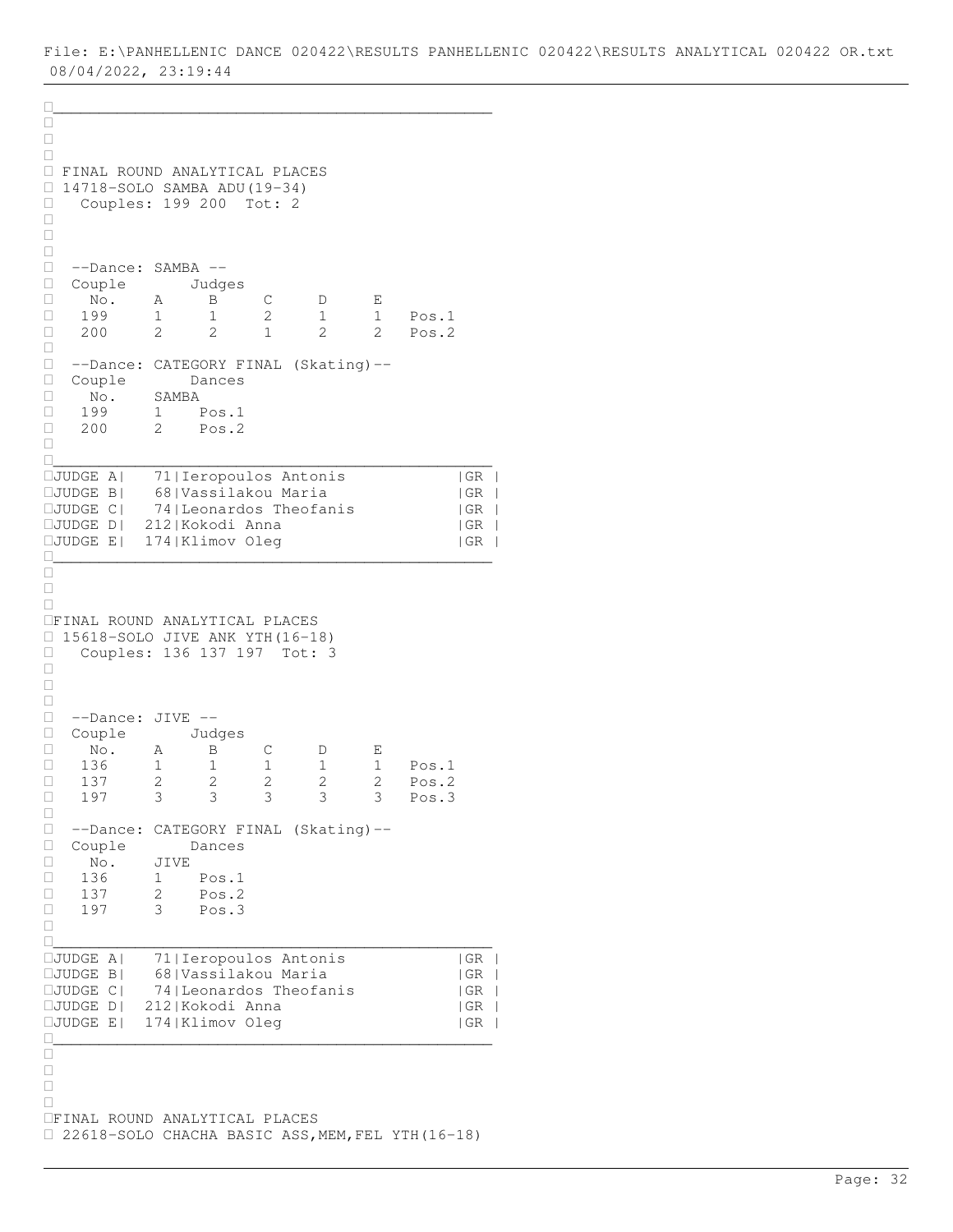\_\_\_\_\_\_\_\_\_\_\_\_\_\_\_\_\_\_\_\_\_\_\_\_\_\_\_\_\_\_\_\_\_\_\_\_\_\_\_\_\_\_\_\_\_\_\_\_  $\frac{\Box}{\Box}$  $\Box$  $\Box$  FINAL ROUND ANALYTICAL PLACES 14718-SOLO SAMBA ADU(19-34) Couples: 199 200 Tot: 2  $\Box$  $\Box$  $\Box$  --Dance: SAMBA -- □ Couple Judges<br>□ No. A B  $\Box$  No. A  $\overline{B}$  C  $D$  E 199 1 1 2 1 1 Pos.1 200 2 2 1 2 2 Pos.2  $\Box$  --Dance: CATEGORY FINAL (Skating)-- Couple Dances No. SAMBA 199 1 Pos.1 □ 200 2 Pos.2  $\Box$ \_\_\_\_\_\_\_\_\_\_\_\_\_\_\_\_\_\_\_\_\_\_\_\_\_\_\_\_\_\_\_\_\_\_\_\_\_\_\_\_\_\_\_\_\_\_\_\_ JUDGE A| 71|Ieropoulos Antonis |GR | JUDGE B| 68|Vassilakou Maria |GR |  $\square$ JUDGE C| 74|Leonardos Theofanis | GR | JUDGE D| 212|Kokodi Anna |GR |  $\square$ JUDGE E| 174|Klimov Oleg |GR | \_\_\_\_\_\_\_\_\_\_\_\_\_\_\_\_\_\_\_\_\_\_\_\_\_\_\_\_\_\_\_\_\_\_\_\_\_\_\_\_\_\_\_\_\_\_\_\_  $\Box$  $\Box$  $\Box$ FINAL ROUND ANALYTICAL PLACES 15618-SOLO JIVE ANK YTH(16-18) Couples: 136 137 197 Tot: 3  $\Box$  $\Box$  $\Box$  --Dance: JIVE -- □ Couple Judges<br>□ No. A B No. A B C D E 136 1 1 1 1 1 Pos.1 □ 137 2 2 2 2 2 Pos.2 □ 197 3 3 3 3 3 Pos.3  $\Box$  --Dance: CATEGORY FINAL (Skating)-- Couple Dances No. JIVE 136 1 Pos.1 137 2 Pos.2  $\Box$  197 3 Pos. 3  $\Box$ \_\_\_\_\_\_\_\_\_\_\_\_\_\_\_\_\_\_\_\_\_\_\_\_\_\_\_\_\_\_\_\_\_\_\_\_\_\_\_\_\_\_\_\_\_\_\_\_ JUDGE A| 71|Ieropoulos Antonis |GR |  $IJUDGE B$ | 68|Vassilakou Maria JUDGE C| 74|Leonardos Theofanis |GR | JUDGE D| 212|Kokodi Anna |GR |  $IJUDGE E$ | 174|Klimov Oleg | GR | \_\_\_\_\_\_\_\_\_\_\_\_\_\_\_\_\_\_\_\_\_\_\_\_\_\_\_\_\_\_\_\_\_\_\_\_\_\_\_\_\_\_\_\_\_\_\_\_  $\Box$  $\Box$  $\Box$  $\Box$ FINAL ROUND ANALYTICAL PLACES 22618-SOLO CHACHA BASIC ASS,MEM,FEL YTH(16-18)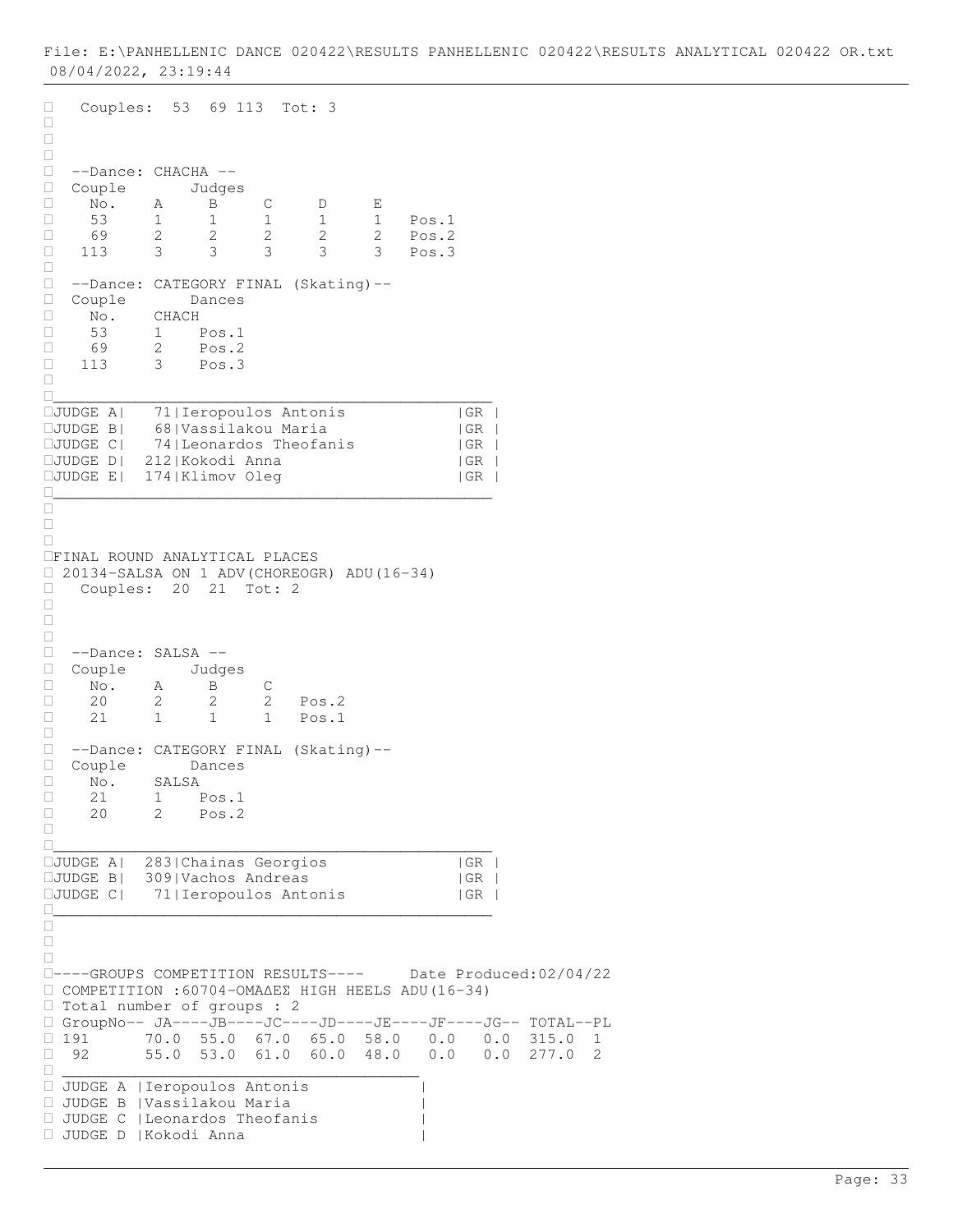```
Couples: 53 69 113 Tot: 3
\Box\Box\Box --Dance: CHACHA --
□ Couple Judges<br>□ No. A B
 No. A B C D E
 53 1 1 1 1 1 Pos.1
 69 2 2 2 2 2 Pos.2
□ 113 3 3 3 3 3 Pos.3
\Box --Dance: CATEGORY FINAL (Skating)--
 Couple Dances
 No. CHACH
□ 53 1 Pos.1<br>□ 69 2 Pos.2
\begin{array}{cccc} \Box & 69 & 2 & \text{Pos.2} \\ \Box & 113 & 3 & \text{Pos.3} \end{array}3 Pos.3
\Box________________________________________________
JUDGE A| 71|Ieropoulos Antonis |GR |
JUDGE B| 68|Vassilakou Maria |GR |
\squareJUDGE C| 74|Leonardos Theofanis | GR |
JUDGE D| 212|Kokodi Anna |GR |
JUDGE E| 174|Klimov Oleg |GR |
\Box\Box\Box\BoxFINAL ROUND ANALYTICAL PLACES 
\Box 20134-SALSA ON 1 ADV(CHOREOGR) ADU(16-34)<br>\Box Couples: 20 21 Tot: 2
   Couples: 20 21 Tot: 2
\Box\Box\Box --Dance: SALSA --
□ Couple Judges<br>□ No. A B
\begin{tabular}{lllllllllll} \Box & \text{No.} & \text{A} & \text{B} & \text{C} \\ \Box & 20 & 2 & 2 & 2 \end{tabular}□ 20 2 2 2 Pos.2<br>□ 21 1 1 1 Pos.1
            21 1 1 1 Pos.1
\Box --Dance: CATEGORY FINAL (Skating)--
 Couple Dances
\begin{array}{ccc} \Box & \text{No.} & \text{SALSA} \\ \Box & 21 & 1 & \text{P} \end{array}\begin{tabular}{|c|c|c|c|} \hline & 21 & 1 & Pos.1 \\ \hline \quad & 20 & 2 & Pos.2 \\ \hline \end{tabular}Pos.2\Box________________________________________________
JUDGE A| 283|Chainas Georgios |GR |
\squareJUDGE B| 309|Vachos Andreas |GR |
JUDGE C| 71|Ieropoulos Antonis |GR |
________________________________________________
\Box\Box\Box----GROUPS COMPETITION RESULTS---- Date Produced:02/04/22
 COMPETITION :60704-ΟΜΑ∆ΕΣ HIGH HEELS ADU(16-34) 
 Total number of groups : 2
 GroupNo-- JA----JB----JC----JD----JE----JF----JG-- TOTAL--PL
\Box 191 70.0 55.0 67.0 65.0 58.0 0.0 0.0 315.0 1<br>\Box 92 55.0 53.0 61.0 60.0 48.0 0.0 0.0 277.0 2
           92 55.0 53.0 61.0 60.0 48.0 0.0 0.0 277.0 2
 _______________________________________
 JUDGE A |Ieropoulos Antonis |
 JUDGE B |Vassilakou Maria |
 JUDGE C |Leonardos Theofanis |
 JUDGE D |Kokodi Anna |
```